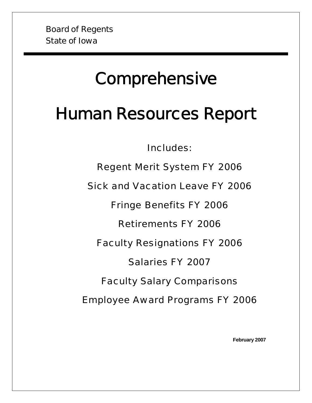# **Comprehensive**

# Human Resources Report

Includes:

Regent Merit System FY 2006

Sick and Vacation Leave FY 2006

Fringe Benefits FY 2006

Retirements FY 2006

Faculty Resignations FY 2006

Salaries FY 2007

Faculty Salary Comparisons

Employee Award Programs FY 2006

**February 2007**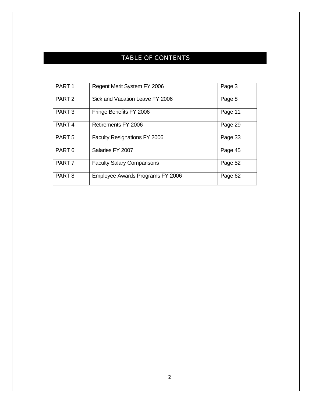# TABLE OF CONTENTS

| PART <sub>1</sub> | Regent Merit System FY 2006         | Page 3  |
|-------------------|-------------------------------------|---------|
| PART <sub>2</sub> | Sick and Vacation Leave FY 2006     | Page 8  |
| PART <sub>3</sub> | Fringe Benefits FY 2006             | Page 11 |
| PART <sub>4</sub> | Retirements FY 2006                 | Page 29 |
| PART <sub>5</sub> | <b>Faculty Resignations FY 2006</b> | Page 33 |
| PART <sub>6</sub> | Salaries FY 2007                    | Page 45 |
| PART <sub>7</sub> | <b>Faculty Salary Comparisons</b>   | Page 52 |
| PART <sub>8</sub> | Employee Awards Programs FY 2006    | Page 62 |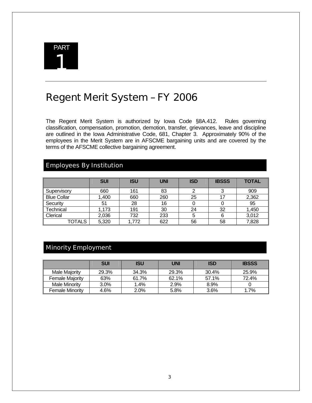

# Regent Merit System – FY 2006

The Regent Merit System is authorized by Iowa Code §8A.412. Rules governing classification, compensation, promotion, demotion, transfer, grievances, leave and discipline are outlined in the Iowa Administrative Code, 681, Chapter 3. Approximately 90% of the employees in the Merit System are in AFSCME bargaining units and are covered by the terms of the AFSCME collective bargaining agreement.

# Employees By Institution

|                    | <b>SUI</b> | <b>ISU</b> | <b>UNI</b> | <b>ISD</b> | <b>IBSSS</b> | <b>TOTAL</b> |
|--------------------|------------|------------|------------|------------|--------------|--------------|
| Supervisory        | 660        | 161        | 83         |            |              | 909          |
| <b>Blue Collar</b> | 1,400      | 660        | 260        | 25         |              | 2,362        |
| Security           | 51         | 28         | 16         |            |              | 95           |
| Technical          | 1,173      | 191        | 30         | 24         | 32           | 1,450        |
| Clerical           | 2,036      | 732        | 233        | 5          |              | 3,012        |
| TOTALS             | 5,320      | ,772       | 622        | 56         | 58           | 7,828        |

# Minority Employment

|                        | <b>SUI</b> | ISU     | <b>UNI</b> | <b>ISD</b> | <b>IBSSS</b> |
|------------------------|------------|---------|------------|------------|--------------|
| Male Maiority          | 29.3%      | 34.3%   | 29.3%      | 30.4%      | 25.9%        |
| <b>Female Majority</b> | 63%        | 61.7%   | 62.1%      | 57.1%      | 72.4%        |
| <b>Male Minority</b>   | 3.0%       | 1.4%    | 2.9%       | 8.9%       |              |
| <b>Female Minority</b> | 4.6%       | $2.0\%$ | 5.8%       | $3.6\%$    | 1.7%         |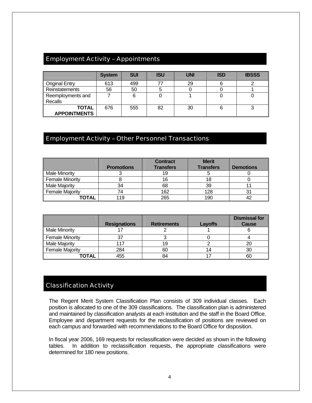# Employment Activity – Appointments

|                                     | <b>System</b> | <b>SUI</b> | <b>ISU</b> | <b>UNI</b> | <b>ISD</b> | <b>IBSSS</b> |
|-------------------------------------|---------------|------------|------------|------------|------------|--------------|
| <b>Original Entry</b>               | 613           | 499        |            | 29         |            |              |
| Reinstatements                      | 56            | 50         |            |            |            |              |
| Reemployments and<br>Recalls        |               | 6          |            |            |            |              |
| <b>TOTAL</b><br><b>APPOINTMENTS</b> | 676           | 555        | 82         | 30         |            |              |

## Employment Activity – Other Personnel Transactions

|                        | <b>Promotions</b> | <b>Contract</b><br><b>Transfers</b> | <b>Merit</b><br><b>Transfers</b> | <b>Demotions</b> |
|------------------------|-------------------|-------------------------------------|----------------------------------|------------------|
| <b>Male Minority</b>   |                   | 19                                  |                                  |                  |
| <b>Female Minority</b> |                   | 16                                  | 18                               |                  |
| <b>Male Majority</b>   | 34                | 68                                  | 39                               |                  |
| <b>Female Majority</b> | 74                | 162                                 | 128                              | 31               |
| TOTAL                  | 119               | 265                                 | 190                              |                  |

|                        | <b>Resignations</b> | <b>Retirements</b> | Layoffs | <b>Dismissal for</b><br><b>Cause</b> |
|------------------------|---------------------|--------------------|---------|--------------------------------------|
| <b>Male Minority</b>   |                     |                    |         |                                      |
| <b>Female Minority</b> |                     |                    |         |                                      |
| <b>Male Majority</b>   | 117                 | 19                 |         |                                      |
| <b>Female Majority</b> | 284                 | 60                 |         | 30                                   |
| TOTAL                  | 455                 | 84                 |         | 60                                   |

## Classification Activity

The Regent Merit System Classification Plan consists of 309 individual classes. Each position is allocated to one of the 309 classifications. The classification plan is administered and maintained by classification analysts at each institution and the staff in the Board Office. Employee and department requests for the reclassification of positions are reviewed on each campus and forwarded with recommendations to the Board Office for disposition.

In fiscal year 2006, 169 requests for reclassification were decided as shown in the following tables. In addition to reclassification requests, the appropriate classifications were determined for 180 new positions.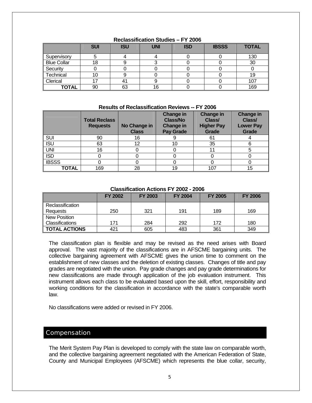|                    | <b>SUI</b> | <b>ISU</b> | <b>UNI</b> | <b>ISD</b> | <b>IBSSS</b> | <b>TOTAL</b> |
|--------------------|------------|------------|------------|------------|--------------|--------------|
| Supervisory        |            |            |            |            |              | 130          |
| <b>Blue Collar</b> | 18         |            |            |            |              | 30           |
| Security           |            |            |            |            |              |              |
| Technical          | 10         |            |            |            |              | 19           |
| Clerical           |            |            |            |            |              | 107          |
| <b>TOTAL</b>       | 90         | 63         | 16         |            |              | 169          |

#### **Reclassification Studies – FY 2006**

#### **Results of Reclassification Reviews -- FY 2006**

|              | <b>Total Reclass</b><br><b>Requests</b> | No Change in<br><b>Class</b> | Change in<br><b>Class/No</b><br><b>Change in</b><br><b>Pay Grade</b> | <b>Change in</b><br>Class/<br><b>Higher Pay</b><br>Grade | <b>Change in</b><br>Class/<br><b>Lower Pay</b><br>Grade |
|--------------|-----------------------------------------|------------------------------|----------------------------------------------------------------------|----------------------------------------------------------|---------------------------------------------------------|
| SUI          | 90                                      | 16                           |                                                                      | 61                                                       |                                                         |
| <b>ISU</b>   | 63                                      | 12                           | 10                                                                   | 35                                                       | 6                                                       |
| <b>UNI</b>   | 16                                      |                              |                                                                      |                                                          |                                                         |
| <b>ISD</b>   |                                         |                              |                                                                      |                                                          |                                                         |
| <b>IBSSS</b> |                                         |                              |                                                                      |                                                          |                                                         |
| <b>TOTAL</b> | 169                                     | 28                           | 19                                                                   | 107                                                      | 15                                                      |

#### **Classification Actions FY 2002 - 2006**

|                        | <b>FY 2002</b> | <b>FY 2003</b> | <b>FY 2004</b> | <b>FY 2005</b> | <b>FY 2006</b> |
|------------------------|----------------|----------------|----------------|----------------|----------------|
| Reclassification       |                |                |                |                |                |
| Requests               | 250            | 321            | 191            | 189            | 169            |
| <b>New Position</b>    |                |                |                |                |                |
| <b>Classifications</b> | 171            | 284            | 292            | 172            | 180            |
| <b>TOTAL ACTIONS</b>   | 421            | 605            | 483            | 361            | 349            |

The classification plan is flexible and may be revised as the need arises with Board approval. The vast majority of the classifications are in AFSCME bargaining units. The collective bargaining agreement with AFSCME gives the union time to comment on the establishment of new classes and the deletion of existing classes. Changes of title and pay grades are negotiated with the union. Pay grade changes and pay grade determinations for new classifications are made through application of the job evaluation instrument. This instrument allows each class to be evaluated based upon the skill, effort, responsibility and working conditions for the classification in accordance with the state's comparable worth law.

No classifications were added or revised in FY 2006.

#### **Compensation**

The Merit System Pay Plan is developed to comply with the state law on comparable worth, and the collective bargaining agreement negotiated with the American Federation of State, County and Municipal Employees (AFSCME) which represents the blue collar, security,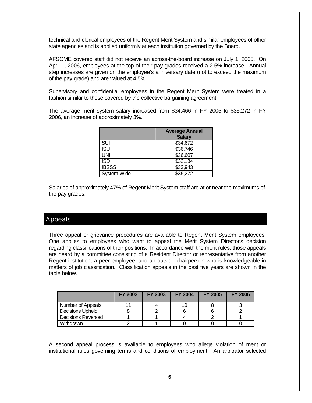technical and clerical employees of the Regent Merit System and similar employees of other state agencies and is applied uniformly at each institution governed by the Board.

AFSCME covered staff did not receive an across-the-board increase on July 1, 2005. On April 1, 2006, employees at the top of their pay grades received a 2.5% increase. Annual step increases are given on the employee's anniversary date (not to exceed the maximum of the pay grade) and are valued at 4.5%.

Supervisory and confidential employees in the Regent Merit System were treated in a fashion similar to those covered by the collective bargaining agreement.

The average merit system salary increased from \$34,466 in FY 2005 to \$35,272 in FY 2006, an increase of approximately 3%.

|              | <b>Average Annual</b><br><b>Salary</b> |
|--------------|----------------------------------------|
| SUI          | \$34,672                               |
| <b>ISU</b>   | \$36,746                               |
| <b>UNI</b>   | \$36,607                               |
| <b>ISD</b>   | \$32,134                               |
| <b>IBSSS</b> | \$33,943                               |
| System-Wide  | \$35,272                               |

Salaries of approximately 47% of Regent Merit System staff are at or near the maximums of the pay grades.

## Appeals

Three appeal or grievance procedures are available to Regent Merit System employees. One applies to employees who want to appeal the Merit System Director's decision regarding classifications of their positions. In accordance with the merit rules, those appeals are heard by a committee consisting of a Resident Director or representative from another Regent institution, a peer employee, and an outside chairperson who is knowledgeable in matters of job classification. Classification appeals in the past five years are shown in the table below.

|                           | <b>FY 2002</b> | <b>FY 2003</b> | <b>FY 2004</b> | <b>FY 2005</b> | <b>FY 2006</b> |
|---------------------------|----------------|----------------|----------------|----------------|----------------|
| Number of Appeals         |                |                |                |                |                |
| <b>Decisions Upheld</b>   |                |                |                |                |                |
| <b>Decisions Reversed</b> |                |                |                |                |                |
| Withdrawn                 |                |                |                |                |                |

A second appeal process is available to employees who allege violation of merit or institutional rules governing terms and conditions of employment. An arbitrator selected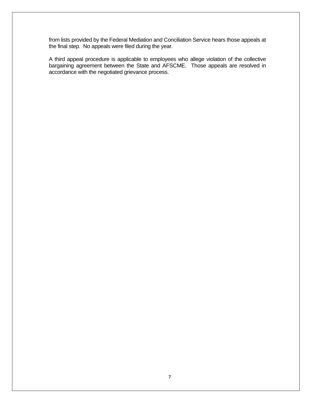from lists provided by the Federal Mediation and Conciliation Service hears those appeals at the final step. No appeals were filed during the year.

A third appeal procedure is applicable to employees who allege violation of the collective bargaining agreement between the State and AFSCME. Those appeals are resolved in accordance with the negotiated grievance process.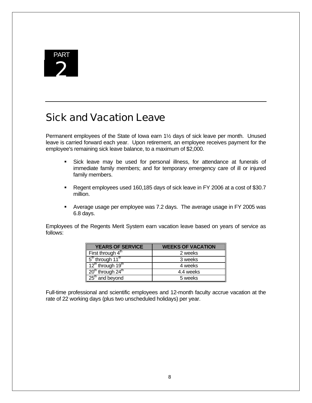

# Sick and Vacation Leave

Permanent employees of the State of Iowa earn 1½ days of sick leave per month. Unused leave is carried forward each year. Upon retirement, an employee receives payment for the employee's remaining sick leave balance, to a maximum of \$2,000.

- Sick leave may be used for personal illness, for attendance at funerals of immediate family members; and for temporary emergency care of ill or injured family members.
- Regent employees used 160,185 days of sick leave in FY 2006 at a cost of \$30.7 million.
- Average usage per employee was 7.2 days. The average usage in FY 2005 was 6.8 days.

Employees of the Regents Merit System earn vacation leave based on years of service as follows:

| <b>YEARS OF SERVICE</b>                                | <b>WEEKS OF VACATION</b> |
|--------------------------------------------------------|--------------------------|
| First through $4th$                                    | 2 weeks                  |
| $\frac{1}{3}$ 5 <sup>th</sup> through 11 <sup>th</sup> | 3 weeks                  |
| $12th$ through 19 <sup>th</sup>                        | 4 weeks                  |
| $20th$ through $24th$                                  | 4.4 weeks                |
| $\sqrt{25}$ and beyond                                 | 5 weeks                  |

Full-time professional and scientific employees and 12-month faculty accrue vacation at the rate of 22 working days (plus two unscheduled holidays) per year.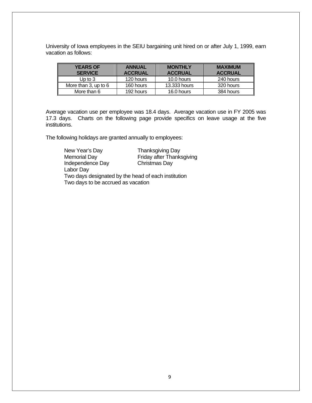University of Iowa employees in the SEIU bargaining unit hired on or after July 1, 1999, earn vacation as follows:

| <b>YEARS OF</b><br><b>SERVICE</b> | <b>ANNUAL</b><br><b>ACCRUAL</b> | <b>MONTHLY</b><br><b>ACCRUAL</b> | <b>MAXIMUM</b><br><b>ACCRUAL</b> |
|-----------------------------------|---------------------------------|----------------------------------|----------------------------------|
| Up to 3                           | 120 hours                       | 10.0 hours                       | 240 hours                        |
| More than 3, up to 6              | 160 hours                       | 13,333 hours                     | 320 hours                        |
| More than 6                       | 192 hours                       | 16.0 hours                       | 384 hours                        |

Average vacation use per employee was 18.4 days. Average vacation use in FY 2005 was 17.3 days. Charts on the following page provide specifics on leave usage at the five institutions.

The following holidays are granted annually to employees:

| New Year's Day                                      | <b>Thanksgiving Day</b>   |
|-----------------------------------------------------|---------------------------|
| Memorial Day                                        | Friday after Thanksgiving |
| <b>Independence Day</b>                             | Christmas Day             |
| Labor Day                                           |                           |
| Two days designated by the head of each institution |                           |
| Two days to be accrued as vacation                  |                           |
|                                                     |                           |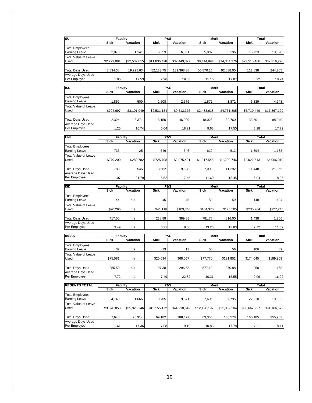| SUI                                 | Faculty        |              | <b>P&amp;S</b> |              | <b>Merit</b>         |              | <b>Total</b>                |                 |
|-------------------------------------|----------------|--------------|----------------|--------------|----------------------|--------------|-----------------------------|-----------------|
|                                     | <b>Sick</b>    | Vacation     | <b>Sick</b>    | Vacation     | <b>Sick</b>          | Vacation     | <b>Sick</b>                 | Vacation        |
|                                     |                |              |                |              |                      |              |                             |                 |
| <b>Total Employees</b>              |                |              |                |              |                      |              |                             |                 |
| <b>Earning Leave</b>                | 2,073          | 1,141        | 6,553          | 6,691        | 5,097                | 5,196        | 13,723                      | 13,028          |
| <b>Total Value of Leave</b>         |                |              |                |              |                      |              |                             |                 |
| Used                                | \$2,229,084    | \$22,532,015 | \$11,836,428   | \$32,449,879 | \$8,444,894          | \$14,334,376 | \$22,510,406                | \$69,316,270    |
|                                     |                |              |                |              |                      |              |                             |                 |
| <b>Total Days Used</b>              | 3,834.38       | 19,998.63    | 52,133.75      | 131,368.38   | 56,870.25            | 92,838.00    | 112,838                     | 244,205         |
| Average Days Used                   |                |              |                |              |                      |              |                             |                 |
| Per Employee                        | 1.85           | 17.53        | 7.96           | 19.63        | 11.16                | 17.87        | 8.22                        | 18.74           |
|                                     |                |              |                |              |                      |              |                             |                 |
| <b>ISU</b>                          | Faculty        |              | <b>P&amp;S</b> |              | Merit                |              | Total                       |                 |
|                                     | <b>Sick</b>    | Vacation     | <b>Sick</b>    | Vacation     | <b>Sick</b>          | Vacation     | <b>Sick</b>                 | <b>Vacation</b> |
| <b>Total Employees</b>              |                |              |                |              |                      |              |                             |                 |
| <b>Earning Leave</b>                | 1,859          | 500          | 2,608          | 2,576        | 1,872                | 1,872        | 6,339                       | 4,948           |
| <b>Total Value of Leave</b>         |                |              |                |              |                      |              |                             |                 |
| Used                                | \$704,697      | \$3,101,949  | \$2,531,134    | \$9,513,375  | \$2,483,618          | \$4,751,805  | \$5,719,449                 | \$17,367,129    |
|                                     |                |              |                |              |                      |              |                             |                 |
| <b>Total Days Used</b>              | 2,324          | 8,371        | 13,150         | 46,909       | 18,028               | 32,760       | 33,501                      | 88,040          |
| Average Days Used                   |                |              |                |              |                      |              |                             |                 |
| Per Employee                        | 1.25           | 16.74        | 5.04           | 18.21        | 9.63                 | 17.50        | 5.28                        | 17.79           |
|                                     |                |              |                |              |                      |              |                             |                 |
| UNI                                 | Faculty        |              | P&S            |              | Merit                |              | <b>Total</b>                |                 |
|                                     | <b>Sick</b>    | Vacation     | <b>Sick</b>    | Vacation     | <b>Sick</b>          | Vacation     | <b>Sick</b>                 | Vacation        |
| <b>Total Employees</b>              |                |              |                |              |                      |              |                             |                 |
| <b>Earning Leave</b>                | 736            | 25           | 546            | 546          | 612                  | 612          | 1,894                       | 1,183           |
|                                     |                |              |                |              |                      |              |                             |                 |
| <b>Total Value of Leave</b>         |                |              |                |              |                      |              |                             |                 |
| Used                                | \$279,200      | \$289,782    | \$725,798      | \$2,075,491  | \$1,017,545          | \$1,700,746  | \$2,022,543                 | \$4,066,019     |
|                                     |                |              |                |              |                      |              |                             |                 |
| <b>Total Days Used</b>              | 788            | 545          | 3,562          | 9,528        | 7.098                | 11,292       | 11,448                      | 21,365          |
| <b>Average Days Used</b>            |                |              |                |              |                      |              |                             |                 |
| Per Employee                        | 1.07           | 21.79        | 6.52           | 17.45        | 11.60                | 18.45        | 6.04                        | 18.06           |
|                                     |                |              |                |              |                      |              |                             |                 |
|                                     |                |              |                |              |                      |              |                             |                 |
| <b>ISD</b>                          | <b>Faculty</b> |              | <b>P&amp;S</b> |              | Merit                |              | Total                       |                 |
|                                     | <b>Sick</b>    | Vacation     | <b>Sick</b>    | Vacation     | <b>Sick</b>          | Vacation     | <b>Sick</b>                 | Vacation        |
| Total Employees                     |                |              |                |              |                      |              |                             |                 |
| <b>Earning Leave</b>                | 44             | n/a          | 45             | 45           | 59                   | 59           | 148                         | 104             |
| <b>Total Value of Leave</b>         |                |              |                |              |                      |              |                             |                 |
| Used                                | \$90,296       | n/a          | \$41,118       | \$103,740    | \$104,370            | \$123,505    | \$235,784                   | \$227,245       |
|                                     |                |              |                |              |                      |              |                             |                 |
|                                     |                |              |                |              |                      |              |                             |                 |
| <b>Total Days Used</b>              | 417.50         | n/a          | 238.88         | 389.88       | 781.75               | 816.00       | 1,438                       | 1,206           |
| Average Days Used                   |                |              |                |              |                      |              |                             |                 |
| Per Employee                        | 9.49           | n/a          | 5.31           | 8.66         | 13.25                | 13.83        | 9.72                        | 11.59           |
|                                     |                |              |                |              |                      |              |                             |                 |
| <b>IBSSS</b>                        | <b>Faculty</b> |              | <b>P&amp;S</b> | Vacation     | Merit<br><b>Sick</b> |              | <b>Total</b><br><b>Sick</b> | Vacation        |
|                                     | <b>Sick</b>    | Vacation     | <b>Sick</b>    |              |                      | Vacation     |                             |                 |
| <b>Total Employees</b>              |                |              |                |              |                      |              |                             |                 |
| <b>Earning Leave</b>                | 37             | n/a          | 13             | 13           | 56                   | 56           | 106                         | 69              |
| <b>Total Value of Leave</b>         |                |              |                |              |                      |              |                             |                 |
| Used                                | \$75,581       | n/a          | \$20,694       | \$68,057     | \$77,770             | \$121,852    | \$174,045                   | \$189,909       |
|                                     |                |              |                |              |                      |              |                             |                 |
| <b>Total Days Used</b>              | 285.50         | n/a          | 97.38          | 296.63       | 577.13               | 870.88       | 960                         | 1,168           |
| Average Days Used                   |                |              |                |              |                      |              |                             |                 |
| Per Employee                        | 7.72           | n/a          | 7.49           | 22.82        | 10.31                | 15.55        | 9.06                        | 16.92           |
|                                     |                |              |                |              |                      |              |                             |                 |
| <b>REGENTS TOTAL</b>                | <b>Faculty</b> |              | <b>P&amp;S</b> |              | Merit                |              | <b>Total</b>                |                 |
|                                     | Sick           | Vacation     | Sick           | Vacation     | Sick                 | Vacation     | Sick                        | Vacation        |
| <b>Total Employees</b>              |                |              |                |              |                      |              |                             |                 |
| <b>Earning Leave</b>                | 4,749          | 1,666        | 9,765          | 9,871        | 7,696                | 7,795        | 22,210                      | 19,332          |
|                                     |                |              |                |              |                      |              |                             |                 |
| <b>Total Value of Leave</b><br>Used | \$3,378,858    | \$25,923,746 | \$15,155,172   | \$44,210,542 | \$12,128,197         | \$21,032,284 | \$30,662,227                | \$91,166,572    |
|                                     |                |              |                |              |                      |              |                             |                 |
| <b>Total Days Used</b>              |                |              |                |              |                      |              |                             |                 |
|                                     | 7,648          | 28,914       | 69,182         | 188,492      | 83,355               | 138,578      | 160,185                     | 355,983         |
| Average Days Used<br>Per Employee   | 1.61           | 17.36        | 7.08           | 19.10        | 10.83                | 17.78        | 7.21                        | 18.41           |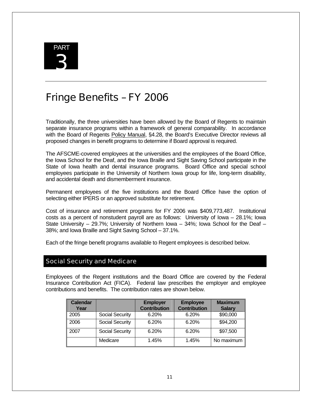

# Fringe Benefits – FY 2006

Traditionally, the three universities have been allowed by the Board of Regents to maintain separate insurance programs within a framework of general comparability. In accordance with the Board of Regents Policy Manual, §4.28, the Board's Executive Director reviews all proposed changes in benefit programs to determine if Board approval is required.

The AFSCME-covered employees at the universities and the employees of the Board Office, the Iowa School for the Deaf, and the Iowa Braille and Sight Saving School participate in the State of Iowa health and dental insurance programs. Board Office and special school employees participate in the University of Northern Iowa group for life, long-term disability, and accidental death and dismemberment insurance.

Permanent employees of the five institutions and the Board Office have the option of selecting either IPERS or an approved substitute for retirement.

Cost of insurance and retirement programs for FY 2006 was \$409,773,487. Institutional costs as a percent of nonstudent payroll are as follows: University of Iowa – 28.1%; Iowa State University – 29.7%; University of Northern Iowa – 34%; Iowa School for the Deaf – 38%; and Iowa Braille and Sight Saving School – 37.1%.

Each of the fringe benefit programs available to Regent employees is described below.

#### Social Security and Medicare

Employees of the Regent institutions and the Board Office are covered by the Federal Insurance Contribution Act (FICA). Federal law prescribes the employer and employee contributions and benefits. The contribution rates are shown below.

| <b>Calendar</b><br>Year |                        | <b>Employer</b><br><b>Contribution</b> | <b>Employee</b><br><b>Contribution</b> | <b>Maximum</b><br><b>Salary</b> |
|-------------------------|------------------------|----------------------------------------|----------------------------------------|---------------------------------|
| 2005                    | <b>Social Security</b> | 6.20%                                  | 6.20%                                  | \$90,000                        |
| 2006                    | <b>Social Security</b> | 6.20%                                  | 6.20%                                  | \$94,200                        |
| 2007                    | <b>Social Security</b> | 6.20%                                  | 6.20%                                  | \$97,500                        |
|                         | Medicare               | 1.45%                                  | 1.45%                                  | No maximum                      |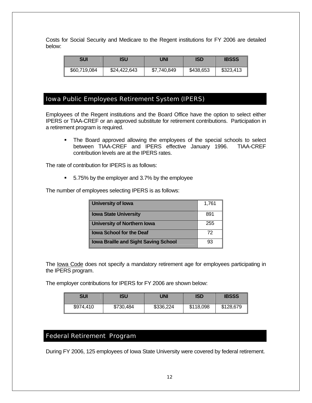Costs for Social Security and Medicare to the Regent institutions for FY 2006 are detailed below:

| <b>SUI</b>   | ISU          | UNI         | <b>ISD</b> | <b>IBSSS</b> |
|--------------|--------------|-------------|------------|--------------|
| \$60,719,084 | \$24,422,643 | \$7,740,849 | \$438,653  | \$323,413    |

## Iowa Public Employees Retirement System (IPERS)

Employees of the Regent institutions and the Board Office have the option to select either IPERS or TIAA-CREF or an approved substitute for retirement contributions. Participation in a retirement program is required.

• The Board approved allowing the employees of the special schools to select between TIAA-CREF and IPERS effective January 1996. TIAA-CREF contribution levels are at the IPERS rates.

The rate of contribution for IPERS is as follows:

■ 5.75% by the employer and 3.7% by the employee

The number of employees selecting IPERS is as follows:

| University of Iowa                          | 1,761 |
|---------------------------------------------|-------|
| <b>Iowa State University</b>                | 891   |
| <b>University of Northern Iowa</b>          | 255   |
| <b>Iowa School for the Deaf</b>             | 72    |
| <b>Iowa Braille and Sight Saving School</b> | 93    |

The Iowa Code does not specify a mandatory retirement age for employees participating in the IPERS program.

The employer contributions for IPERS for FY 2006 are shown below:

| SUI       | <b>ISU</b> | UNI       | <b>ISD</b> | <b>IBSSS</b> |
|-----------|------------|-----------|------------|--------------|
| \$974,410 | \$730,484  | \$336,224 | \$118,098  | \$128,679    |

## Federal Retirement Program

During FY 2006, 125 employees of Iowa State University were covered by federal retirement.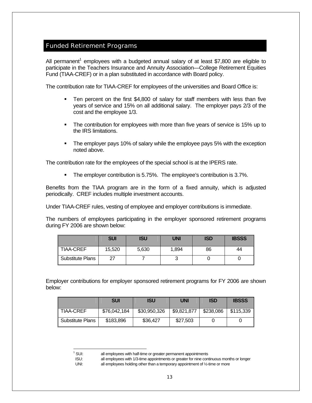## Funded Retirement Programs

All permanent<sup>1</sup> employees with a budgeted annual salary of at least \$7,800 are eligible to participate in the Teachers Insurance and Annuity Association—College Retirement Equities Fund (TIAA-CREF) or in a plan substituted in accordance with Board policy.

The contribution rate for TIAA-CREF for employees of the universities and Board Office is:

- Ten percent on the first \$4,800 of salary for staff members with less than five years of service and 15% on all additional salary. The employer pays 2/3 of the cost and the employee 1/3.
- The contribution for employees with more than five years of service is 15% up to the IRS limitations.
- The employer pays 10% of salary while the employee pays 5% with the exception noted above.

The contribution rate for the employees of the special school is at the IPERS rate.

**The employer contribution is 5.75%. The employee's contribution is 3.7%.** 

Benefits from the TIAA program are in the form of a fixed annuity, which is adjusted periodically. CREF includes multiple investment accounts.

Under TIAA-CREF rules, vesting of employee and employer contributions is immediate.

The numbers of employees participating in the employer sponsored retirement programs during FY 2006 are shown below:

|                         | <b>SUI</b> | ISU   | <b>UNI</b> | <b>ISD</b> | <b>IBSSS</b> |
|-------------------------|------------|-------|------------|------------|--------------|
| <b>TIAA-CREF</b>        | 15,520     | 5,630 | 1,894      | 86         | 44           |
| <b>Substitute Plans</b> | 27         |       | ັ          |            |              |

Employer contributions for employer sponsored retirement programs for FY 2006 are shown below:

|                         | <b>SUI</b>   | <b>ISU</b>   | <b>UNI</b>  | <b>ISD</b> | <b>IBSSS</b> |
|-------------------------|--------------|--------------|-------------|------------|--------------|
| <b>TIAA-CREF</b>        | \$76,042,184 | \$30,950,326 | \$9,821,877 | \$238,086  | \$115,339    |
| <b>Substitute Plans</b> | \$183,896    | \$36,427     | \$27,503    |            |              |

-

 $1$  SUI: all employees with half-time or greater permanent appointments

ISU: all employees with 1/3-time appointments or greater for nine continuous months or longer

UNI: all employees holding other than a temporary appointment of 1/2-time or more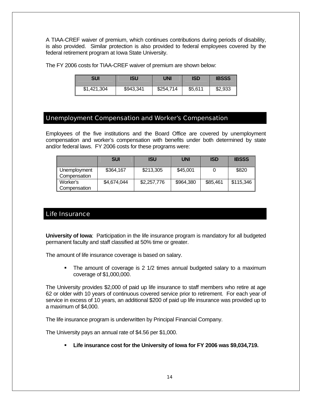A TIAA-CREF waiver of premium, which continues contributions during periods of disability, is also provided. Similar protection is also provided to federal employees covered by the federal retirement program at Iowa State University.

The FY 2006 costs for TIAA-CREF waiver of premium are shown below:

| SUI         | ISU       | UNI       | <b>ISD</b> | <b>IBSSS</b> |
|-------------|-----------|-----------|------------|--------------|
| \$1,421,304 | \$943,341 | \$254,714 | \$5,611    | \$2,933      |

#### Unemployment Compensation and Worker's Compensation

Employees of the five institutions and the Board Office are covered by unemployment compensation and worker's compensation with benefits under both determined by state and/or federal laws. FY 2006 costs for these programs were:

|                              | <b>SUI</b>  | <b>ISU</b>  | <b>UNI</b> | <b>ISD</b> | <b>IBSSS</b> |
|------------------------------|-------------|-------------|------------|------------|--------------|
| Unemployment<br>Compensation | \$364,167   | \$213,305   | \$45,001   |            | \$820        |
| Worker's<br>Compensation     | \$4,674,044 | \$2,257,776 | \$964,380  | \$85,461   | \$115,346    |

## Life Insurance

**University of Iowa**: Participation in the life insurance program is mandatory for all budgeted permanent faculty and staff classified at 50% time or greater.

The amount of life insurance coverage is based on salary.

• The amount of coverage is 2 1/2 times annual budgeted salary to a maximum coverage of \$1,000,000.

The University provides \$2,000 of paid up life insurance to staff members who retire at age 62 or older with 10 years of continuous covered service prior to retirement. For each year of service in excess of 10 years, an additional \$200 of paid up life insurance was provided up to a maximum of \$4,000.

The life insurance program is underwritten by Principal Financial Company.

The University pays an annual rate of \$4.56 per \$1,000.

**Life insurance cost for the University of Iowa for FY 2006 was \$9,034,719.**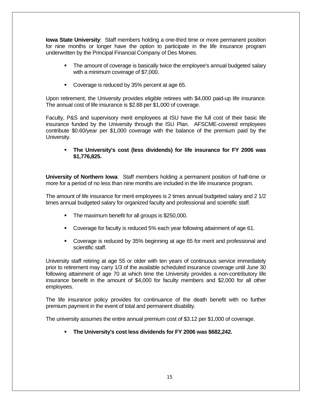**Iowa State University**: Staff members holding a one-third time or more permanent position for nine months or longer have the option to participate in the life insurance program underwritten by the Principal Financial Company of Des Moines.

- The amount of coverage is basically twice the employee's annual budgeted salary with a minimum coverage of \$7,000.
- Coverage is reduced by 35% percent at age 65.

Upon retirement, the University provides eligible retirees with \$4,000 paid-up life insurance. The annual cost of life insurance is \$2.88 per \$1,000 of coverage.

Faculty, P&S and supervisory merit employees at ISU have the full cost of their basic life insurance funded by the University through the ISU Plan. AFSCME-covered employees contribute \$0.60/year per \$1,000 coverage with the balance of the premium paid by the University.

#### **The University's cost (less dividends) for life insurance for FY 2006 was \$1,776,825.**

**University of Northern Iowa**: Staff members holding a permanent position of half-time or more for a period of no less than nine months are included in the life insurance program.

The amount of life insurance for merit employees is 2 times annual budgeted salary and 2 1/2 times annual budgeted salary for organized faculty and professional and scientific staff.

- **The maximum benefit for all groups is \$250,000.**
- Coverage for faculty is reduced 5% each year following attainment of age 61.
- Coverage is reduced by 35% beginning at age 65 for merit and professional and scientific staff.

University staff retiring at age 55 or older with ten years of continuous service immediately prior to retirement may carry 1/3 of the available scheduled insurance coverage until June 30 following attainment of age 70 at which time the University provides a non-contributory life insurance benefit in the amount of \$4,000 for faculty members and \$2,000 for all other employees.

The life insurance policy provides for continuance of the death benefit with no further premium payment in the event of total and permanent disability.

The university assumes the entire annual premium cost of \$3.12 per \$1,000 of coverage.

**The University's cost less dividends for FY 2006 was \$682,242.**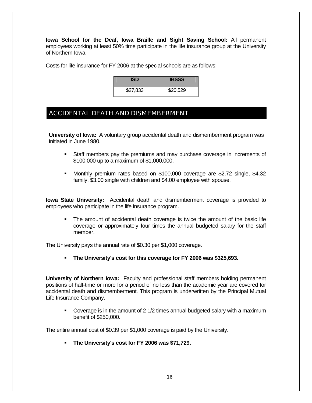**Iowa School for the Deaf, Iowa Braille and Sight Saving School:** All permanent employees working at least 50% time participate in the life insurance group at the University of Northern Iowa.

Costs for life insurance for FY 2006 at the special schools are as follows:

| 'SD.     | <b>IBSSS</b> |
|----------|--------------|
| \$27,833 | \$20,529     |

# ACCIDENTAL DEATH AND DISMEMBERMENT

**University of Iowa:** A voluntary group accidental death and dismemberment program was initiated in June 1980.

- Staff members pay the premiums and may purchase coverage in increments of \$100,000 up to a maximum of \$1,000,000.
- Monthly premium rates based on \$100,000 coverage are \$2.72 single, \$4.32 family, \$3.00 single with children and \$4.00 employee with spouse.

**Iowa State University:** Accidental death and dismemberment coverage is provided to employees who participate in the life insurance program.

 The amount of accidental death coverage is twice the amount of the basic life coverage or approximately four times the annual budgeted salary for the staff member.

The University pays the annual rate of \$0.30 per \$1,000 coverage.

**The University's cost for this coverage for FY 2006 was \$325,693.** 

**University of Northern Iowa:** Faculty and professional staff members holding permanent positions of half-time or more for a period of no less than the academic year are covered for accidental death and dismemberment. This program is underwritten by the Principal Mutual Life Insurance Company.

 Coverage is in the amount of 2 1/2 times annual budgeted salary with a maximum benefit of \$250,000.

The entire annual cost of \$0.39 per \$1,000 coverage is paid by the University.

**The University's cost for FY 2006 was \$71,729.**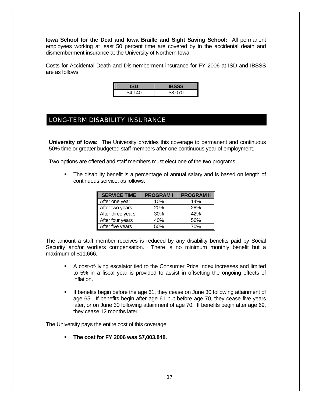**Iowa School for the Deaf and Iowa Braille and Sight Saving School:** All permanent employees working at least 50 percent time are covered by in the accidental death and dismemberment insurance at the University of Northern Iowa.

Costs for Accidental Death and Dismemberment insurance for FY 2006 at ISD and IBSSS are as follows:

| \$4,140 | \$3.070 |
|---------|---------|

# LONG-TERM DISABILITY INSURANCE

**University of Iowa:** The University provides this coverage to permanent and continuous 50% time or greater budgeted staff members after one continuous year of employment.

Two options are offered and staff members must elect one of the two programs.

 The disability benefit is a percentage of annual salary and is based on length of continuous service, as follows:

| <b>SERVICE TIME</b> | <b>PROGRAMI</b> | <b>PROGRAM II</b> |
|---------------------|-----------------|-------------------|
| After one year      | 10%             | 14%               |
| After two years     | <b>20%</b>      | 28%               |
| After three years   | 30%             | 42%               |
| After four years    | 40%             | 56%               |
| After five years    | 50%             | 70%               |

The amount a staff member receives is reduced by any disability benefits paid by Social Security and/or workers compensation. There is no minimum monthly benefit but a maximum of \$11,666.

- A cost-of-living escalator tied to the Consumer Price Index increases and limited to 5% in a fiscal year is provided to assist in offsetting the ongoing effects of inflation.
- If benefits begin before the age 61, they cease on June 30 following attainment of age 65. If benefits begin after age 61 but before age 70, they cease five years later, or on June 30 following attainment of age 70. If benefits begin after age 69, they cease 12 months later.

The University pays the entire cost of this coverage.

**The cost for FY 2006 was \$7,003,848.**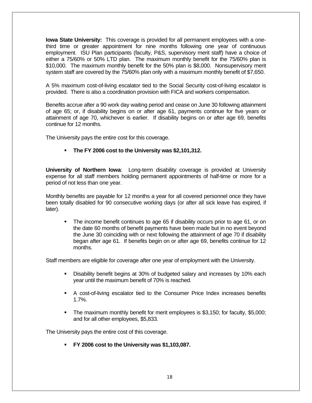**Iowa State University:** This coverage is provided for all permanent employees with a onethird time or greater appointment for nine months following one year of continuous employment. ISU Plan participants (faculty, P&S, supervisory merit staff) have a choice of either a 75/60% or 50% LTD plan. The maximum monthly benefit for the 75/60% plan is \$10,000. The maximum monthly benefit for the 50% plan is \$8,000. Nonsupervisory merit system staff are covered by the 75/60% plan only with a maximum monthly benefit of \$7,650.

A 5% maximum cost-of-living escalator tied to the Social Security cost-of-living escalator is provided. There is also a coordination provision with FICA and workers compensation.

Benefits accrue after a 90 work day waiting period and cease on June 30 following attainment of age 65; or, if disability begins on or after age 61, payments continue for five years or attainment of age 70, whichever is earlier. If disability begins on or after age 69, benefits continue for 12 months.

The University pays the entire cost for this coverage.

#### **The FY 2006 cost to the University was \$2,101,312.**

**University of Northern Iowa**: Long-term disability coverage is provided at University expense for all staff members holding permanent appointments of half-time or more for a period of not less than one year.

Monthly benefits are payable for 12 months a year for all covered personnel once they have been totally disabled for 90 consecutive working days (or after all sick leave has expired, if later).

 The income benefit continues to age 65 if disability occurs prior to age 61, or on the date 60 months of benefit payments have been made but in no event beyond the June 30 coinciding with or next following the attainment of age 70 if disability began after age 61. If benefits begin on or after age 69, benefits continue for 12 months.

Staff members are eligible for coverage after one year of employment with the University.

- Disability benefit begins at 30% of budgeted salary and increases by 10% each year until the maximum benefit of 70% is reached.
- A cost-of-living escalator tied to the Consumer Price Index increases benefits 1.7%.
- The maximum monthly benefit for merit employees is \$3,150; for faculty, \$5,000; and for all other employees, \$5,833.

The University pays the entire cost of this coverage.

**FY 2006 cost to the University was \$1,103,087.**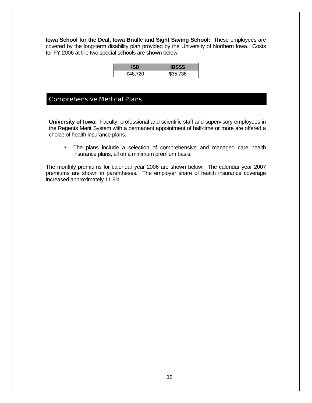**Iowa School for the Deaf, Iowa Braille and Sight Saving School:** These employees are covered by the long-term disability plan provided by the University of Northern Iowa. Costs for FY 2006 at the two special schools are shown below:

|          | 1BSSS    |
|----------|----------|
| \$48,720 | \$35,736 |

## Comprehensive Medical Plans

**University of Iowa:** Faculty, professional and scientific staff and supervisory employees in the Regents Merit System with a permanent appointment of half-time or more are offered a choice of health insurance plans.

 The plans include a selection of comprehensive and managed care health insurance plans, all on a minimum premium basis.

The monthly premiums for calendar year 2006 are shown below. The calendar year 2007 premiums are shown in parentheses. The employer share of health insurance coverage increased approximately 11.9%.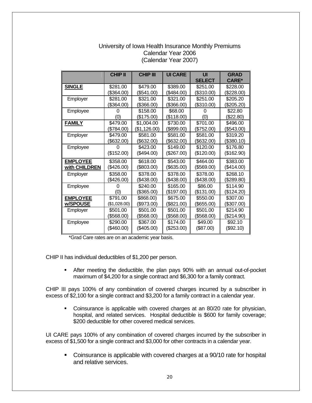#### University of Iowa Health Insurance Monthly Premiums Calendar Year 2006 (Calendar Year 2007)

|                 | <b>CHIP II</b> | <b>CHIP III</b> | <b>UI CARE</b> | UI            | <b>GRAD</b>  |
|-----------------|----------------|-----------------|----------------|---------------|--------------|
|                 |                |                 |                | <b>SELECT</b> | <b>CARE*</b> |
| <b>SINGLE</b>   | \$281.00       | \$479.00        | \$389.00       | \$251.00      | \$228.00     |
|                 | \$364.00)      | (\$541.00)      | (\$484.00)     | (\$310.00)    | (\$228.00)   |
| Employer        | \$281.00       | \$321.00        | \$321.00       | \$251.00      | \$205.20     |
|                 | (\$364.00)     | (\$366.00)      | (\$366.00)     | (\$310.00)    | (\$205.20)   |
| Employee        |                | \$158.00        | \$68,00        |               | \$22.80      |
|                 | (0)            | (\$175.00)      | (\$118.00)     | (0)           | (\$22.80)    |
| <b>FAMILY</b>   | \$479.00       | \$1,004.00      | \$730.00       | \$701.00      | \$496.00     |
|                 | (\$784.00)     | (\$1,126.00)    | (\$899.00)     | (\$752.00)    | (\$543.00)   |
| Employer        | \$479.00       | \$581.00        | \$581.00       | \$581.00      | \$319.20     |
|                 | (\$632.00)     | (\$632.00)      | (\$632.00)     | (\$632.00)    | (\$380.10)   |
| Employee        |                | \$423.00        | \$149.00       | \$120.00      | \$176.80     |
|                 | (\$152.00)     | $(\$494.00)$    | (\$267.00)     | (\$120.00)    | (\$162.90)   |
| <b>EMPLOYEE</b> | \$358.00       | \$618.00        | \$543.00       | \$464.00      | \$383.00     |
| with CHILDREN   | (\$426.00)     | (\$803.00)      | (\$635.00)     | (\$569.00)    | (\$414.00)   |
| Employer        | \$358.00       | \$378.00        | \$378.00       | \$378.00      | \$268.10     |
|                 | (\$426.00)     | (\$438.00)      | (\$438.00)     | (\$438.00)    | (\$289.80)   |
| Employee        |                | \$240.00        | \$165.00       | \$86.00       | \$114.90     |
|                 | (0)            | (\$365.00)      | (\$197.00)     | (\$131.00)    | (\$124.20)   |
| <b>EMPLOYEE</b> | \$791.00       | \$868.00)       | \$675.00       | \$550.00      | \$307.00     |
| w/SPOUSE        | (\$1,028.00)   | (\$973.00)      | (\$821.00)     | (\$655.00)    | (\$307.00)   |
| Employer        | \$501.00       | \$501.00        | \$501.00       | \$501.00      | \$214.90     |
|                 | \$568.00)      | (\$568.00)      | (\$568.00)     | (\$568.00)    | (\$214.90)   |
| Employee        | \$290.00       | \$367.00        | \$174.00       | \$49.00       | \$92.10      |
|                 | (\$460.00)     | (\$405.00)      | (\$253.00)     | (\$87.00)     | (\$92.10)    |

\*Grad Care rates are on an academic year basis.

CHIP II has individual deductibles of \$1,200 per person.

 After meeting the deductible, the plan pays 90% with an annual out-of-pocket maximum of \$4,200 for a single contract and \$6,300 for a family contract.

CHIP III pays 100% of any combination of covered charges incurred by a subscriber in excess of \$2,100 for a single contract and \$3,200 for a family contract in a calendar year.

 Coinsurance is applicable with covered charges at an 80/20 rate for physician, hospital, and related services. Hospital deductible is \$600 for family coverage; \$200 deductible for other covered medical services.

UI CARE pays 100% of any combination of covered charges incurred by the subscriber in excess of \$1,500 for a single contract and \$3,000 for other contracts in a calendar year.

• Coinsurance is applicable with covered charges at a 90/10 rate for hospital and relative services.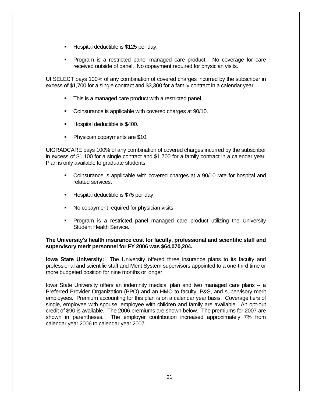- Hospital deductible is \$125 per day.
- Program is a restricted panel managed care product. No coverage for care received outside of panel. No copayment required for physician visits.

UI SELECT pays 100% of any combination of covered charges incurred by the subscriber in excess of \$1,700 for a single contract and \$3,300 for a family contract in a calendar year.

- This is a managed care product with a restricted panel.
- Coinsurance is applicable with covered charges at 90/10.
- **Hospital deductible is \$400.**
- **Physician copayments are \$10.**

UIGRADCARE pays 100% of any combination of covered charges incurred by the subscriber in excess of \$1,100 for a single contract and \$1,700 for a family contract in a calendar year. Plan is only available to graduate students.

- Coinsurance is applicable with covered charges at a 90/10 rate for hospital and related services.
- **Hospital deductible is \$75 per day.**
- No copayment required for physician visits.
- Program is a restricted panel managed care product utilizing the University Student Health Service.

#### **The University's health insurance cost for faculty, professional and scientific staff and supervisory merit personnel for FY 2006 was \$64,070,204.**

**Iowa State University:** The University offered three insurance plans to its faculty and professional and scientific staff and Merit System supervisors appointed to a one-third time or more budgeted position for nine months or longer.

Iowa State University offers an indemnity medical plan and two managed care plans -- a Preferred Provider Organization (PPO) and an HMO to faculty, P&S, and supervisory merit employees. Premium accounting for this plan is on a calendar year basis. Coverage tiers of single, employee with spouse, employee with children and family are available. An opt-out credit of \$90 is available. The 2006 premiums are shown below. The premiums for 2007 are shown in parentheses. The employer contribution increased approximately 7% from calendar year 2006 to calendar year 2007.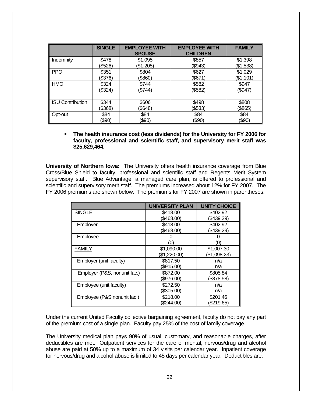|                         | <b>SINGLE</b> | <b>EMPLOYEE WITH</b><br><b>SPOUSE</b> | <b>EMPLOYEE WITH</b><br><b>CHILDREN</b> | <b>FAMILY</b> |
|-------------------------|---------------|---------------------------------------|-----------------------------------------|---------------|
| Indemnity               | \$478         | \$1,095                               | \$857                                   | \$1,398       |
|                         | (\$526)       | (\$1,205)                             | (\$943)                                 | (\$1,538)     |
| <b>PPO</b>              | \$351         | \$804                                 | \$627                                   | \$1,029       |
|                         | (\$376)       | (\$860)                               | (\$671)                                 | (\$1,101)     |
| <b>HMO</b>              | \$324         | \$744                                 | \$582                                   | \$947         |
|                         | (\$324)       | \$744)                                | (\$582)                                 | (\$947)       |
| <b>ISU Contribution</b> | \$344         | \$606                                 | \$498                                   | \$808         |
|                         | (\$368)       | \$648                                 | (\$533)                                 | (\$865)       |
| Opt-out                 | \$84          | \$84                                  | \$84                                    | \$84          |
|                         | (\$90)        | (\$90)                                | (\$90)                                  | (\$90)        |

 **The health insurance cost (less dividends) for the University for FY 2006 for faculty, professional and scientific staff, and supervisory merit staff was \$25,629,464.** 

**University of Northern Iowa:** The University offers health insurance coverage from Blue Cross/Blue Shield to faculty, professional and scientific staff and Regents Merit System supervisory staff. Blue Advantage, a managed care plan, is offered to professional and scientific and supervisory merit staff. The premiums increased about 12% for FY 2007. The FY 2006 premiums are shown below. The premiums for FY 2007 are shown in parentheses.

|                              | <b>UNIVERSITY PLAN</b> | <b>UNITY CHOICE</b> |
|------------------------------|------------------------|---------------------|
| <b>SINGLE</b>                | \$418.00               | \$402.92            |
|                              | (\$468.00)             | (\$439.29)          |
| Employer                     | \$418.00               | \$402.92            |
|                              | (\$468.00)             | (\$439.29)          |
| Employee                     |                        |                     |
|                              | (0)                    | (0)                 |
| <b>FAMILY</b>                | \$1,090.00             | \$1,007.30          |
|                              | \$1,220.00             | (\$1,098.23)        |
| Employer (unit faculty)      | \$817.50               | n/a                 |
|                              | (\$915.00)             | n/a                 |
| Employer (P&S, nonunit fac.) | \$872.00               | \$805.84            |
|                              | \$976.00               | (\$878.58)          |
| Employee (unit faculty)      | \$272.50               | n/a                 |
|                              | (\$305.00)             | n/a                 |
| Employee (P&S nonunit fac.)  | \$218.00               | \$201.46            |
|                              | (\$244.00)             | \$219.65            |

Under the current United Faculty collective bargaining agreement, faculty do not pay any part of the premium cost of a single plan. Faculty pay 25% of the cost of family coverage.

The University medical plan pays 90% of usual, customary, and reasonable charges, after deductibles are met. Outpatient services for the care of mental, nervous/drug and alcohol abuse are paid at 50% up to a maximum of 34 visits per calendar year. Inpatient coverage for nervous/drug and alcohol abuse is limited to 45 days per calendar year. Deductibles are: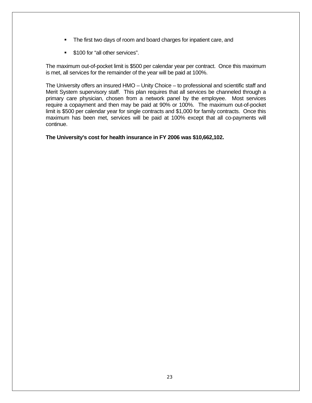- The first two days of room and board charges for inpatient care, and
- **5100 for "all other services".**

The maximum out-of-pocket limit is \$500 per calendar year per contract. Once this maximum is met, all services for the remainder of the year will be paid at 100%.

The University offers an insured HMO – Unity Choice – to professional and scientific staff and Merit System supervisory staff. This plan requires that all services be channeled through a primary care physician, chosen from a network panel by the employee. Most services require a copayment and then may be paid at 90% or 100%. The maximum out-of-pocket limit is \$500 per calendar year for single contracts and \$1,000 for family contracts. Once this maximum has been met, services will be paid at 100% except that all co-payments will continue.

**The University's cost for health insurance in FY 2006 was \$10,662,102.**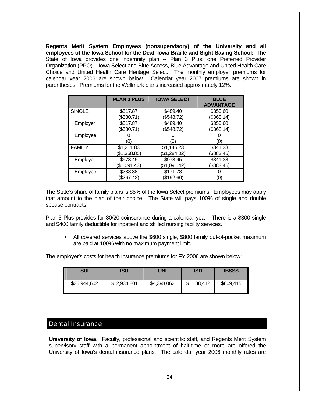**Regents Merit System Employees (nonsupervisory) of the University and all employees of the Iowa School for the Deaf, Iowa Braille and Sight Saving School:** The State of Iowa provides one indemnity plan -- Plan 3 Plus; one Preferred Provider Organization (PPO) – Iowa Select and Blue Access, Blue Advantage and United Health Care Choice and United Health Care Heritage Select. The monthly employer premiums for calendar year 2006 are shown below. Calendar year 2007 premiums are shown in parentheses. Premiums for the Wellmark plans increased approximately 12%.

|               | <b>PLAN 3 PLUS</b> | <b>IOWA SELECT</b> | <b>BLUE</b><br><b>ADVANTAGE</b> |
|---------------|--------------------|--------------------|---------------------------------|
| <b>SINGLE</b> | \$517.87           | \$489.40           | \$350.60                        |
|               | (\$580.71)         | \$548.72           | (\$368.14)                      |
| Employer      | \$517.87           | \$489.40           | \$350.60                        |
|               | (\$580.71)         | \$548.72           | (\$368.14)                      |
| Employee      |                    |                    |                                 |
|               | (O)                | (0                 | (0)                             |
| <b>FAMILY</b> | \$1,211.83         | \$1,145.23         | \$841.38                        |
|               | (\$1,358.85)       | (\$1,284.02)       | (\$883.46)                      |
| Employer      | \$973.45           | \$973.45           | \$841.38                        |
|               | (\$1,091.43)       | (\$1,091.42)       | (\$883.46)                      |
| Employee      | \$238.38           | \$171.78           |                                 |
|               | (\$267.42)         | (\$192.60          | (O)                             |

The State's share of family plans is 85% of the Iowa Select premiums. Employees may apply that amount to the plan of their choice. The State will pays 100% of single and double spouse contracts.

Plan 3 Plus provides for 80/20 coinsurance during a calendar year. There is a \$300 single and \$400 family deductible for inpatient and skilled nursing facility services.

 All covered services above the \$600 single, \$800 family out-of-pocket maximum are paid at 100% with no maximum payment limit.

The employer's costs for health insurance premiums for FY 2006 are shown below:

| <b>SUI</b>   | ISU          | UNI         | <b>ISD</b>  | <b>IBSSS</b> |
|--------------|--------------|-------------|-------------|--------------|
| \$35,944,602 | \$12,934,801 | \$4,398,062 | \$1,188,412 | \$809,415    |

#### Dental Insurance

**University of Iowa.** Faculty, professional and scientific staff, and Regents Merit System supervisory staff with a permanent appointment of half-time or more are offered the University of Iowa's dental insurance plans. The calendar year 2006 monthly rates are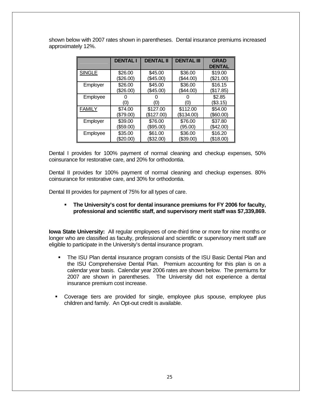shown below with 2007 rates shown in parentheses. Dental insurance premiums increased approximately 12%.

|               | <b>DENTAL I</b> | <b>DENTAL II</b> | <b>DENTAL III</b> | <b>GRAD</b>   |
|---------------|-----------------|------------------|-------------------|---------------|
|               |                 |                  |                   | <b>DENTAL</b> |
| <b>SINGLE</b> | \$26.00         | \$45.00          | \$36.00           | \$19.00       |
|               | \$26.00         | (\$45.00)        | \$44.00           | \$21.00       |
| Employer      | \$26.00         | \$45.00          | \$36.00           | \$16.15       |
|               | (\$26.00)       | (\$45.00)        | (\$44.00)         | (\$17.85)     |
| Employee      |                 |                  |                   | \$2.85        |
|               | (0)             | (0               | (0)               | (\$3.15)      |
| <b>FAMILY</b> | \$74.00         | \$127.00         | \$112.00          | \$54.00       |
|               | \$79.00         | (\$127.00)       | (\$134.00)        | \$60.00       |
| Employer      | \$39.00         | \$76.00          | \$76.00           | \$37.80       |
|               | (\$59.00)       | (\$95.00)        | (95.00)           | (\$42.00)     |
| Employee      | \$35.00         | \$61.00          | \$36.00           | \$16.20       |
|               | \$20.00         | (\$32.00)        | \$39.00           | (\$18.00      |

Dental I provides for 100% payment of normal cleaning and checkup expenses, 50% coinsurance for restorative care, and 20% for orthodontia.

Dental II provides for 100% payment of normal cleaning and checkup expenses. 80% coinsurance for restorative care, and 30% for orthodontia.

Dental III provides for payment of 75% for all types of care.

#### **The University's cost for dental insurance premiums for FY 2006 for faculty, professional and scientific staff, and supervisory merit staff was \$7,339,869.**

**Iowa State University:** All regular employees of one-third time or more for nine months or longer who are classified as faculty, professional and scientific or supervisory merit staff are eligible to participate in the University's dental insurance program.

- The ISU Plan dental insurance program consists of the ISU Basic Dental Plan and the ISU Comprehensive Dental Plan. Premium accounting for this plan is on a calendar year basis. Calendar year 2006 rates are shown below. The premiums for 2007 are shown in parentheses. The University did not experience a dental insurance premium cost increase.
- Coverage tiers are provided for single, employee plus spouse, employee plus children and family. An Opt-out credit is available.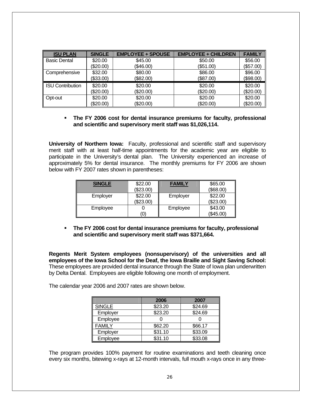| <b>ISU PLAN</b>        | <b>SINGLE</b> | <b>EMPLOYEE + SPOUSE</b> | <b>EMPLOYEE + CHILDREN</b> | <b>FAMILY</b> |
|------------------------|---------------|--------------------------|----------------------------|---------------|
| <b>Basic Dental</b>    | \$20.00       | \$45.00                  | \$50.00                    | \$56.00       |
|                        | (\$20.00)     | (\$46.00)                | (\$51.00)                  | (\$57.00)     |
| Comprehensive          | \$32.00       | \$80.00                  | \$86.00                    | \$96.00       |
|                        | (\$33.00)     | (\$82.00)                | (\$87.00)                  | (\$98.00)     |
| ISU Contribution       | \$20.00       | \$20.00                  | \$20.00                    | \$20.00       |
|                        | (\$20.00)     | (\$20.00)                | (\$20.00)                  | (\$20.00)     |
| $\blacksquare$ Opt-out | \$20.00       | \$20.00                  | \$20.00                    | \$20.00       |
|                        | (\$20.00)     | (\$20.00)                | (\$20.00)                  | (\$20.00)     |

#### **The FY 2006 cost for dental insurance premiums for faculty, professional and scientific and supervisory merit staff was \$1,026,114.**

**University of Northern Iowa:** Faculty, professional and scientific staff and supervisory merit staff with at least half-time appointments for the academic year are eligible to participate in the University's dental plan. The University experienced an increase of approximately 5% for dental insurance. The monthly premiums for FY 2006 are shown below with FY 2007 rates shown in parentheses:

| <b>SINGLE</b> | \$22.00<br>(\$23.00) | <b>FAMILY</b> | \$65.00<br>(\$68.00) |
|---------------|----------------------|---------------|----------------------|
| Employer      | \$22.00<br>(\$23.00) | Employer      | \$22.00<br>(\$23.00) |
| Employee      | Ό)                   | Employee      | \$43.00<br>(\$45.00) |

 **The FY 2006 cost for dental insurance premiums for faculty, professional and scientific and supervisory merit staff was \$371,664.** 

**Regents Merit System employees (nonsupervisory) of the universities and all employees of the Iowa School for the Deaf, the Iowa Braille and Sight Saving School:**  These employees are provided dental insurance through the State of Iowa plan underwritten by Delta Dental. Employees are eligible following one month of employment.

The calendar year 2006 and 2007 rates are shown below.

|               | 2006    | 2007    |
|---------------|---------|---------|
| <b>SINGLE</b> | \$23.20 | \$24.69 |
| Employer      | \$23.20 | \$24.69 |
| Employee      |         |         |
| <b>FAMILY</b> | \$62.20 | \$66.17 |
| Employer      | \$31.10 | \$33.09 |
| Employee      | \$31.10 | \$33.08 |

The program provides 100% payment for routine examinations and teeth cleaning once every six months, bitewing x-rays at 12-month intervals, full mouth x-rays once in any three-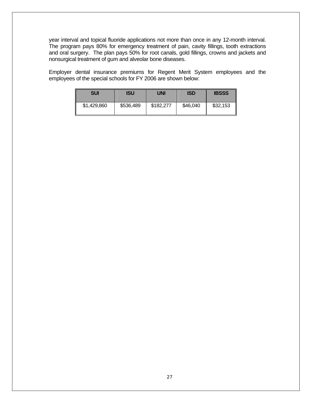year interval and topical fluoride applications not more than once in any 12-month interval. The program pays 80% for emergency treatment of pain, cavity fillings, tooth extractions and oral surgery. The plan pays 50% for root canals, gold fillings, crowns and jackets and nonsurgical treatment of gum and alveolar bone diseases.

Employer dental insurance premiums for Regent Merit System employees and the employees of the special schools for FY 2006 are shown below:

| <b>SUI</b>  | ISU       | <b>UNI</b> | <b>ISD</b> | <b>IBSSS</b> |
|-------------|-----------|------------|------------|--------------|
| \$1,429,860 | \$536,489 | \$182,277  | \$46,040   | \$32,153     |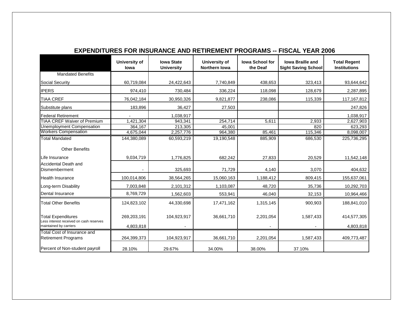|                                                                      | <b>University of</b><br>lowa | <b>Iowa State</b><br><b>University</b> | <b>University of</b><br>Northern Iowa | <b>Iowa School for</b><br>the Deaf | lowa Braille and<br><b>Sight Saving School</b> | <b>Total Regent</b><br><b>Institutions</b> |
|----------------------------------------------------------------------|------------------------------|----------------------------------------|---------------------------------------|------------------------------------|------------------------------------------------|--------------------------------------------|
| <b>Mandated Benefits</b>                                             |                              |                                        |                                       |                                    |                                                |                                            |
| <b>Social Security</b>                                               | 60,719,084                   | 24,422,643                             | 7,740,849                             | 438,653                            | 323,413                                        | 93,644,642                                 |
| <b>IPERS</b>                                                         | 974,410                      | 730,484                                | 336,224                               | 118,098                            | 128,679                                        | 2,287,895                                  |
| <b>TIAA CREF</b>                                                     | 76,042,184                   | 30,950,326                             | 9,821,877                             | 238,086                            | 115,339                                        | 117, 167, 812                              |
| Substitute plans                                                     | 183,896                      | 36,427                                 | 27,503                                |                                    |                                                | 247,826                                    |
| <b>Federal Retirement</b>                                            |                              | 1,038,917                              |                                       |                                    |                                                | 1,038,917                                  |
| <b>TIAA CREF Waiver of Premium</b>                                   | 1,421,304                    | 943,341                                | 254,714                               | 5,611                              | 2,933                                          | 2,627,903                                  |
| Unemployment Compensation                                            | 364,167                      | 213,305                                | 45,001                                |                                    | 820                                            | 623,293                                    |
| <b>Workers Compensation</b>                                          | 4,675,044                    | 2,257,776                              | 964,380                               | 85,461                             | 115,346                                        | 8,098,007                                  |
| <b>Total Mandated</b>                                                | 144,380,089                  | 60,593,219                             | 19,190,548                            | 885,909                            | 686,530                                        | 225,736,295                                |
| <b>Other Benefits</b>                                                |                              |                                        |                                       |                                    |                                                |                                            |
| Life Insurance                                                       | 9,034,719                    | 1,776,825                              | 682,242                               | 27,833                             | 20,529                                         | 11,542,148                                 |
| Accidental Death and                                                 |                              |                                        |                                       |                                    |                                                |                                            |
| Dismemberment                                                        |                              | 325,693                                | 71,729                                | 4,140                              | 3,070                                          | 404,632                                    |
| <b>Health Insurance</b>                                              | 100,014,806                  | 38,564,265                             | 15,060,163                            | 1,188,412                          | 809,415                                        | 155,637,061                                |
| Long-term Disability                                                 | 7,003,848                    | 2,101,312                              | 1,103,087                             | 48,720                             | 35,736                                         | 10,292,703                                 |
| Dental Insurance                                                     | 8,769,729                    | 1,562,603                              | 553,941                               | 46,040                             | 32,153                                         | 10,964,466                                 |
| <b>Total Other Benefits</b>                                          | 124,823,102                  | 44,330,698                             | 17,471,162                            | 1,315,145                          | 900,903                                        | 188,841,010                                |
| <b>Total Expenditures</b><br>Less interest received on cash reserves | 269,203,191                  | 104,923,917                            | 36,661,710                            | 2,201,054                          | 1,587,433                                      | 414,577,305                                |
| maintained by carriers                                               | 4,803,818                    |                                        |                                       |                                    |                                                | 4,803,818                                  |
| Total Cost of Insurance and                                          |                              |                                        |                                       |                                    |                                                |                                            |
| <b>Retirement Programs</b>                                           | 264,399,373                  | 104,923,917                            | 36,661,710                            | 2,201,054                          | 1,587,433                                      | 409,773,487                                |
| Percent of Non-student payroll                                       | 28.10%                       | 29.67%                                 | 34.00%                                | 38.00%                             | 37.10%                                         |                                            |

## **EXPENDITURES FOR INSURANCE AND RETIREMENT PROGRAMS -- FISCAL YEAR 2006**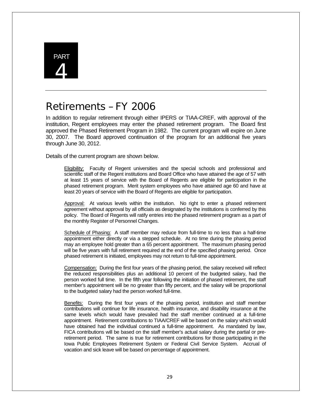

# Retirements – FY 2006

In addition to regular retirement through either IPERS or TIAA-CREF, with approval of the institution, Regent employees may enter the phased retirement program. The Board first approved the Phased Retirement Program in 1982. The current program will expire on June 30, 2007. The Board approved continuation of the program for an additional five years through June 30, 2012.

Details of the current program are shown below.

Eligibility: Faculty of Regent universities and the special schools and professional and scientific staff of the Regent institutions and Board Office who have attained the age of 57 with at least 15 years of service with the Board of Regents are eligible for participation in the phased retirement program. Merit system employees who have attained age 60 and have at least 20 years of service with the Board of Regents are eligible for participation.

Approval: At various levels within the institution. No right to enter a phased retirement agreement without approval by all officials as designated by the institutions is conferred by this policy. The Board of Regents will ratify entries into the phased retirement program as a part of the monthly Register of Personnel Changes.

Schedule of Phasing: A staff member may reduce from full-time to no less than a half-time appointment either directly or via a stepped schedule. At no time during the phasing period may an employee hold greater than a 65 percent appointment. The maximum phasing period will be five years with full retirement required at the end of the specified phasing period. Once phased retirement is initiated, employees may not return to full-time appointment.

Compensation: During the first four years of the phasing period, the salary received will reflect the reduced responsibilities plus an additional 10 percent of the budgeted salary, had the person worked full time. In the fifth year following the initiation of phased retirement, the staff member's appointment will be no greater than fifty percent, and the salary will be proportional to the budgeted salary had the person worked full-time.

Benefits: During the first four years of the phasing period, institution and staff member contributions will continue for life insurance, health insurance, and disability insurance at the same levels which would have prevailed had the staff member continued at a full-time appointment. Retirement contributions to TIAA/CREF will be based on the salary which would have obtained had the individual continued a full-time appointment. As mandated by law, FICA contributions will be based on the staff member's actual salary during the partial or preretirement period. The same is true for retirement contributions for those participating in the Iowa Public Employees Retirement System or Federal Civil Service System. Accrual of vacation and sick leave will be based on percentage of appointment.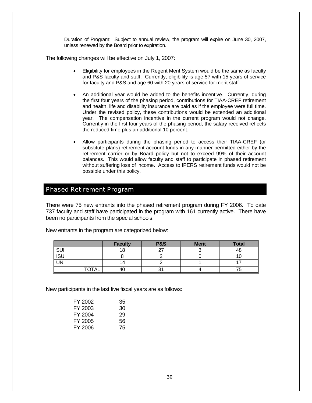Duration of Program: Subject to annual review, the program will expire on June 30, 2007, unless renewed by the Board prior to expiration.

The following changes will be effective on July 1, 2007:

- Eligibility for employees in the Regent Merit System would be the same as faculty and P&S faculty and staff. Currently, eligibility is age 57 with 15 years of service for faculty and P&S and age 60 with 20 years of service for merit staff.
- An additional year would be added to the benefits incentive. Currently, during the first four years of the phasing period, contributions for TIAA-CREF retirement and health, life and disability insurance are paid as if the employee were full time. Under the revised policy, these contributions would be extended an additional year. The compensation incentive in the current program would not change. Currently in the first four years of the phasing period, the salary received reflects the reduced time plus an additional 10 percent.
- Allow participants during the phasing period to access their TIAA-CREF (or substitute plans) retirement account funds in any manner permitted either by the retirement carrier or by Board policy but not to exceed 99% of their account balances. This would allow faculty and staff to participate in phased retirement without suffering loss of income. Access to IPERS retirement funds would not be possible under this policy.

## Phased Retirement Program

There were 75 new entrants into the phased retirement program during FY 2006. To date 737 faculty and staff have participated in the program with 161 currently active. There have been no participants from the special schools.

|              | <b>Faculty</b> | <b>P&amp;S</b> | <b>Merit</b> | <b>Total</b> |
|--------------|----------------|----------------|--------------|--------------|
| SUI          |                | $\sim$         |              | 48           |
| <b>ISU</b>   |                |                |              |              |
| <b>UNI</b>   | 14             |                |              |              |
| <b>TOTAL</b> |                |                |              |              |

New entrants in the program are categorized below:

New participants in the last five fiscal years are as follows:

| FY 2002 | 35 |
|---------|----|
| FY 2003 | 30 |
| FY 2004 | 29 |
| FY 2005 | 56 |
| FY 2006 | 75 |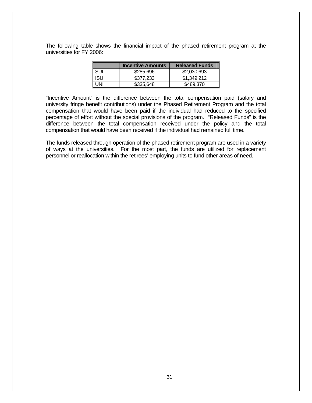The following table shows the financial impact of the phased retirement program at the universities for FY 2006:

|            | <b>Incentive Amounts</b> | <b>Released Funds</b> |
|------------|--------------------------|-----------------------|
| <b>SUI</b> | \$285,696                | \$2,030,693           |
| isu        | \$377,233                | \$1,349,212           |
| INI        | \$335,648                | \$489.370             |

"Incentive Amount" is the difference between the total compensation paid (salary and university fringe benefit contributions) under the Phased Retirement Program and the total compensation that would have been paid if the individual had reduced to the specified percentage of effort without the special provisions of the program. "Released Funds" is the difference between the total compensation received under the policy and the total compensation that would have been received if the individual had remained full time.

The funds released through operation of the phased retirement program are used in a variety of ways at the universities. For the most part, the funds are utilized for replacement personnel or reallocation within the retirees' employing units to fund other areas of need.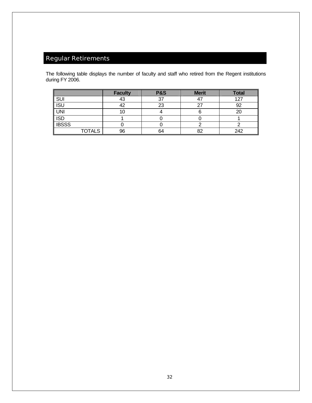# Regular Retirements

The following table displays the number of faculty and staff who retired from the Regent institutions during FY 2006.

|              |               | <b>Faculty</b> | <b>P&amp;S</b> | <b>Merit</b> | <b>Total</b> |
|--------------|---------------|----------------|----------------|--------------|--------------|
| SUI          |               |                |                |              | 127          |
| <b>ISU</b>   |               |                | 23             |              | 92           |
| <b>UNI</b>   |               |                |                |              | 20           |
| <b>ISD</b>   |               |                |                |              |              |
| <b>IBSSS</b> |               |                |                |              |              |
|              | <b>TOTALS</b> | 96             | 64             | o∩           | 242          |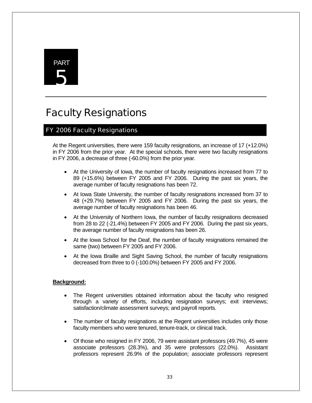# PART 5

# Faculty Resignations

# FY 2006 Faculty Resignations

At the Regent universities, there were 159 faculty resignations, an increase of 17 (+12.0%) in FY 2006 from the prior year. At the special schools, there were two faculty resignations in FY 2006, a decrease of three (-60.0%) from the prior year.

- At the University of Iowa, the number of faculty resignations increased from 77 to 89 (+15.6%) between FY 2005 and FY 2006. During the past six years, the average number of faculty resignations has been 72.
- At Iowa State University, the number of faculty resignations increased from 37 to 48 (+29.7%) between FY 2005 and FY 2006. During the past six years, the average number of faculty resignations has been 46.
- At the University of Northern Iowa, the number of faculty resignations decreased from 28 to 22 (-21.4%) between FY 2005 and FY 2006. During the past six years, the average number of faculty resignations has been 26.
- At the Iowa School for the Deaf, the number of faculty resignations remained the same (two) between FY 2005 and FY 2006.
- At the Iowa Braille and Sight Saving School, the number of faculty resignations decreased from three to 0 (-100.0%) between FY 2005 and FY 2006.

#### **Background:**

- The Regent universities obtained information about the faculty who resigned through a variety of efforts, including resignation surveys; exit interviews; satisfaction/climate assessment surveys; and payroll reports.
- The number of faculty resignations at the Regent universities includes only those faculty members who were tenured, tenure-track, or clinical track.
- Of those who resigned in FY 2006, 79 were assistant professors (49.7%), 45 were associate professors (28.3%), and 35 were professors (22.0%). Assistant professors represent 26.9% of the population; associate professors represent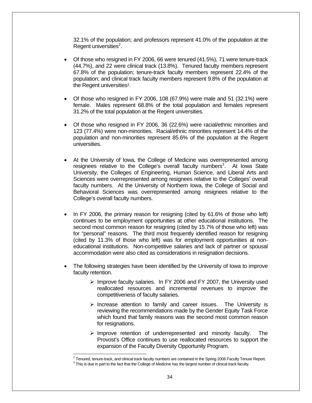32.1% of the population; and professors represent 41.0% of the population at the Regent universities<sup>2</sup>.

- Of those who resigned in FY 2006, 66 were tenured (41.5%), 71 were tenure-track (44.7%), and 22 were clinical track (13.8%). Tenured faculty members represent 67.8% of the population; tenure-track faculty members represent 22.4% of the population; and clinical track faculty members represent 9.8% of the population at the Regent universities<sup>1</sup>.
- Of those who resigned in FY 2006, 108 (67.9%) were male and 51 (32.1%) were female. Males represent 68.8% of the total population and females represent 31.2% of the total population at the Regent universities.
- Of those who resigned in FY 2006, 36 (22.6%) were racial/ethnic minorities and 123 (77.4%) were non-minorities. Racial/ethnic minorities represent 14.4% of the population and non-minorities represent 85.6% of the population at the Regent universities.
- At the University of Iowa, the College of Medicine was overrepresented among resignees relative to the College's overall faculty numbers<sup>3</sup>. At lowa State University, the Colleges of Engineering, Human Science, and Liberal Arts and Sciences were overrepresented among resignees relative to the Colleges' overall faculty numbers. At the University of Northern Iowa, the College of Social and Behavioral Sciences was overrepresented among resignees relative to the College's overall faculty numbers.
- In FY 2006, the primary reason for resigning (cited by 61.6% of those who left) continues to be employment opportunities at other educational institutions. The second most common reason for resigning (cited by 15.7% of those who left) was for "personal" reasons. The third most frequently identified reason for resigning (cited by 11.3% of those who left) was for employment opportunities at noneducational institutions. Non-competitive salaries and lack of partner or spousal accommodation were also cited as considerations in resignation decisions.
- The following strategies have been identified by the University of Iowa to improve faculty retention.
	- $\triangleright$  Improve faculty salaries. In FY 2006 and FY 2007, the University used reallocated resources and incremental revenues to improve the competitiveness of faculty salaries.
	- $\triangleright$  Increase attention to family and career issues. The University is reviewing the recommendations made by the Gender Equity Task Force which found that family reasons was the second most common reason for resignations.
	- $\triangleright$  Improve retention of underrepresented and minority faculty. The Provost's Office continues to use reallocated resources to support the expansion of the Faculty Diversity Opportunity Program.

l

<sup>&</sup>lt;sup>2</sup> Tenured, tenure-track, and clinical track faculty numbers are contained in the Spring 2006 Faculty Tenure Report.<br><sup>3</sup> This is due in part to the feet that the Cellage of Madisian has the largest number of clinical tra

 $3$  This is due in part to the fact that the College of Medicine has the largest number of clinical track faculty.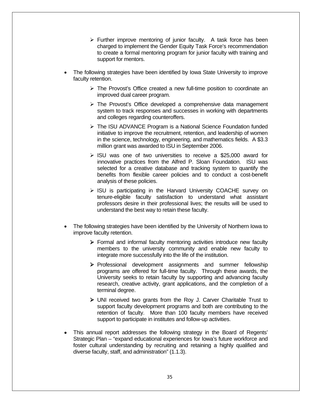- $\triangleright$  Further improve mentoring of junior faculty. A task force has been charged to implement the Gender Equity Task Force's recommendation to create a formal mentoring program for junior faculty with training and support for mentors.
- The following strategies have been identified by Iowa State University to improve faculty retention.
	- $\triangleright$  The Provost's Office created a new full-time position to coordinate an improved dual career program.
	- $\triangleright$  The Provost's Office developed a comprehensive data management system to track responses and successes in working with departments and colleges regarding counteroffers.
	- ¾ The ISU ADVANCE Program is a National Science Foundation funded initiative to improve the recruitment, retention, and leadership of women in the science, technology, engineering, and mathematics fields. A \$3.3 million grant was awarded to ISU in September 2006.
	- $\triangleright$  ISU was one of two universities to receive a \$25,000 award for innovative practices from the Alfred P. Sloan Foundation. ISU was selected for a creative database and tracking system to quantify the benefits from flexible career policies and to conduct a cost-benefit analysis of these policies.
	- $\triangleright$  ISU is participating in the Harvard University COACHE survey on tenure-eligible faculty satisfaction to understand what assistant professors desire in their professional lives; the results will be used to understand the best way to retain these faculty.
- The following strategies have been identified by the University of Northern Iowa to improve faculty retention.
	- $\triangleright$  Formal and informal faculty mentoring activities introduce new faculty members to the university community and enable new faculty to integrate more successfully into the life of the institution.
	- ¾ Professional development assignments and summer fellowship programs are offered for full-time faculty. Through these awards, the University seeks to retain faculty by supporting and advancing faculty research, creative activity, grant applications, and the completion of a terminal degree.
	- ¾ UNI received two grants from the Roy J. Carver Charitable Trust to support faculty development programs and both are contributing to the retention of faculty. More than 100 faculty members have received support to participate in institutes and follow-up activities.
- This annual report addresses the following strategy in the Board of Regents' Strategic Plan – "expand educational experiences for Iowa's future workforce and foster cultural understanding by recruiting and retaining a highly qualified and diverse faculty, staff, and administration" (1.1.3).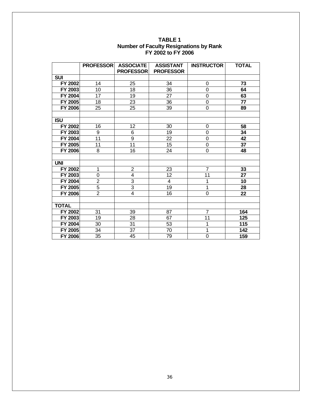|                | <b>PROFESSOR</b> | <b>ASSOCIATE</b> | <b>ASSISTANT</b> | <b>INSTRUCTOR</b> | <b>TOTAL</b> |
|----------------|------------------|------------------|------------------|-------------------|--------------|
|                |                  | <b>PROFESSOR</b> | <b>PROFESSOR</b> |                   |              |
| <b>SUI</b>     |                  |                  |                  |                   |              |
| FY 2002        | 14               | 25               | 34               | 0                 | 73           |
| FY 2003        | 10               | 18               | 36               | 0                 | 64           |
| FY 2004        | 17               | 19               | 27               | 0                 | 63           |
| FY 2005        | 18               | 23               | 36               | $\overline{0}$    | 77           |
| <b>FY 2006</b> | 25               | 25               | 39               | $\mathbf 0$       | 89           |
|                |                  |                  |                  |                   |              |
| <b>ISU</b>     |                  |                  |                  |                   |              |
| FY 2002        | 16               | 12               | 30               | 0                 | 58           |
| FY 2003        | 9                | 6                | 19               | 0                 | 34           |
| FY 2004        | $\overline{11}$  | $\overline{9}$   | $\overline{22}$  | $\overline{0}$    | 42           |
| FY 2005        | 11               | 11               | 15               | $\mathbf 0$       | 37           |
| <b>FY 2006</b> | 8                | 16               | 24               | 0                 | 48           |
|                |                  |                  |                  |                   |              |
| <b>UNI</b>     |                  |                  |                  |                   |              |
| FY 2002        | $\mathbf 1$      | $\overline{2}$   | 23               | $\overline{7}$    | 33           |
| FY 2003        | 0                | 4                | 12               | 11                | 27           |
| FY 2004        | $\overline{2}$   | $\overline{3}$   | $\overline{4}$   | 1                 | 10           |
| FY 2005        | $\overline{5}$   | $\overline{3}$   | 19               | 1                 | 28           |
| <b>FY 2006</b> | $\overline{2}$   | 4                | 16               | 0                 | 22           |
|                |                  |                  |                  |                   |              |
| <b>TOTAL</b>   |                  |                  |                  |                   |              |
| FY 2002        | 31               | 39               | 87               | $\overline{7}$    | 164          |
| FY 2003        | 19               | 28               | 67               | 11                | 125          |
| FY 2004        | 30               | 31               | 53               | 1                 | 115          |
| FY 2005        | 34               | $\overline{37}$  | 70               | 1                 | 142          |
| FY 2006        | 35               | 45               | 79               | $\overline{0}$    | 159          |

#### **TABLE 1 Number of Faculty Resignations by Rank FY 2002 to FY 2006**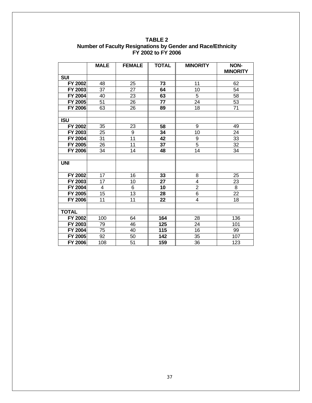|                | <b>MALE</b>     | <b>FEMALE</b>   | <b>TOTAL</b> | <b>MINORITY</b> | <b>NON-</b>     |
|----------------|-----------------|-----------------|--------------|-----------------|-----------------|
|                |                 |                 |              |                 | <b>MINORITY</b> |
| <b>SUI</b>     |                 |                 |              |                 |                 |
| FY 2002        | 48              | 25              | 73           | 11              | 62              |
| FY 2003        | 37              | 27              | 64           | 10              | 54              |
| FY 2004        | 40              | 23              | 63           | $\overline{5}$  | 58              |
| FY 2005        | 51              | 26              | 77           | $\overline{24}$ | 53              |
| <b>FY 2006</b> | 63              | 26              | 89           | 18              | 71              |
|                |                 |                 |              |                 |                 |
| <b>ISU</b>     |                 |                 |              |                 |                 |
| FY 2002        | 35              | 23              | 58           | 9               | 49              |
| FY 2003        | 25              | 9               | 34           | 10              | 24              |
| FY 2004        | 31              | $\overline{11}$ | 42           | 9               | 33              |
| FY 2005        | 26              | 11              | 37           | $\overline{5}$  | 32              |
| FY 2006        | 34              | 14              | 48           | 14              | 34              |
|                |                 |                 |              |                 |                 |
| <b>UNI</b>     |                 |                 |              |                 |                 |
| FY 2002        | 17              | 16              | 33           | 8               | 25              |
| FY 2003        | 17              | 10              | 27           | 4               | 23              |
| FY 2004        | 4               | 6               | 10           | $\overline{2}$  | 8               |
| FY 2005        | $\overline{15}$ | 13              | 28           | $\overline{6}$  | $\overline{22}$ |
| FY 2006        | 11              | $\overline{11}$ | 22           | $\overline{4}$  | 18              |
|                |                 |                 |              |                 |                 |
| <b>TOTAL</b>   |                 |                 |              |                 |                 |
| FY 2002        | 100             | 64              | 164          | 28              | 136             |
| FY 2003        | 79              | 46              | 125          | 24              | 101             |
| <b>FY 2004</b> | 75              | 40              | 115          | 16              | 99              |
| FY 2005        | 92              | 50              | 142          | 35              | 107             |
| <b>FY 2006</b> | 108             | $\overline{51}$ | 159          | 36              | 123             |

**TABLE 2 Number of Faculty Resignations by Gender and Race/Ethnicity FY 2002 to FY 2006**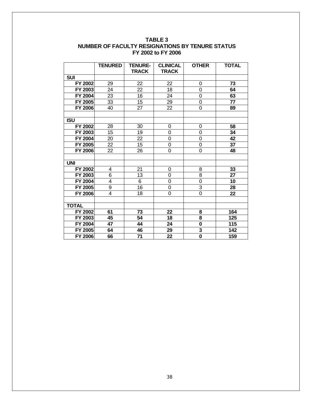|                | <b>TENURED</b> | <b>TENURE-</b> | <b>CLINICAL</b>  | <b>OTHER</b> | <b>TOTAL</b> |
|----------------|----------------|----------------|------------------|--------------|--------------|
|                |                | <b>TRACK</b>   | <b>TRACK</b>     |              |              |
| <b>SUI</b>     |                |                |                  |              |              |
| FY 2002        | 29             | 22             | 22               | 0            | 73           |
| FY 2003        | 24             | 22             | 18               | 0            | 64           |
| FY 2004        | 23             | 16             | 24               | 0            | 63           |
| FY 2005        | 33             | 15             | 29               | 0            | 77           |
| <b>FY 2006</b> | 40             | 27             | 22               | 0            | 89           |
|                |                |                |                  |              |              |
| <b>ISU</b>     |                |                |                  |              |              |
| FY 2002        | 28             | 30             | $\overline{0}$   | 0            | 58           |
| FY 2003        | 15             | 19             | 0                | 0            | 34           |
| FY 2004        | 20             | 22             | 0                | 0            | 42           |
| FY 2005        | 22             | 15             | $\mathbf 0$      | 0            | 37           |
| <b>FY 2006</b> | 22             | 26             | $\mathbf 0$      | 0            | 48           |
|                |                |                |                  |              |              |
| <b>UNI</b>     |                |                |                  |              |              |
| FY 2002        | 4              | 21             | $\overline{0}$   | 8            | 33           |
| FY 2003        | 6              | 13             | 0                | 8            | 27           |
| FY 2004        | 4              | 6              | 0                | 0            | 10           |
| FY 2005        | 9              | 16             | $\boldsymbol{0}$ | 3            | 28           |
| <b>FY 2006</b> | 4              | 18             | 0                | 0            | 22           |
|                |                |                |                  |              |              |
| <b>TOTAL</b>   |                |                |                  |              |              |
| FY 2002        | 61             | 73             | 22               | 8            | 164          |
| FY 2003        | 45             | 54             | 18               | 8            | 125          |
| FY 2004        | 47             | 44             | 24               | 0            | 115          |
| FY 2005        | 64             | 46             | 29               | 3            | 142          |
| FY 2006        | 66             | 71             | 22               | $\mathbf 0$  | 159          |

#### **TABLE 3 NUMBER OF FACULTY RESIGNATIONS BY TENURE STATUS FY 2002 to FY 2006**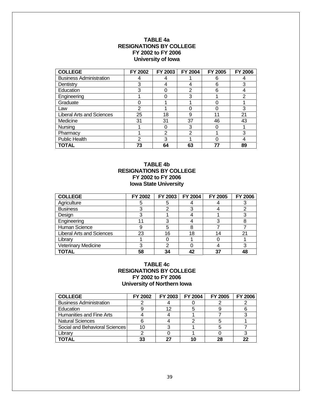#### **TABLE 4a RESIGNATIONS BY COLLEGE FY 2002 to FY 2006 University of Iowa**

| <b>COLLEGE</b>                   | FY 2002 | FY 2003 | FY 2004        | FY 2005 | <b>FY 2006</b> |
|----------------------------------|---------|---------|----------------|---------|----------------|
| <b>Business Administration</b>   |         |         |                | 6       |                |
| Dentistry                        | 3       |         |                | 6       | 3              |
| Education                        |         |         | $\overline{2}$ | 6       |                |
| Engineering                      |         |         | 3              |         | $\overline{2}$ |
| Graduate                         |         |         |                |         |                |
| Law                              | 2       |         |                |         | 3              |
| <b>Liberal Arts and Sciences</b> | 25      | 18      | 9              | 11      | 21             |
| Medicine                         | 31      | 31      | 37             | 46      | 43             |
| Nursing                          |         |         | 3              |         |                |
| Pharmacy                         |         | ⌒       | $\overline{2}$ |         | 3              |
| Public Health                    | າ       | 3       |                |         |                |
| TOTAL                            | 73      | 64      | 63             |         | 89             |

#### **TABLE 4b RESIGNATIONS BY COLLEGE FY 2002 to FY 2006 Iowa State University**

| <b>COLLEGE</b>                   | FY 2002 | FY 2003 | FY 2004 | FY 2005 | <b>FY 2006</b> |
|----------------------------------|---------|---------|---------|---------|----------------|
| Agriculture                      |         |         |         |         |                |
| <b>Business</b>                  |         |         |         |         |                |
| Design                           |         |         |         |         |                |
| Engineering                      |         |         |         | 3       |                |
| Human Science                    |         | 5       | 8       |         |                |
| <b>Liberal Arts and Sciences</b> | 23      | 16      | 18      | 14      | 21             |
| Librarv                          |         |         |         |         |                |
| <b>Veterinary Medicine</b>       |         |         |         |         |                |
| <b>TOTAL</b>                     | 58      | 34      | 42      | 37      | 48             |

#### **TABLE 4c RESIGNATIONS BY COLLEGE FY 2002 to FY 2006 University of Northern Iowa**

| <b>COLLEGE</b>                 | FY 2002 | FY 2003 | FY 2004 | FY 2005 | <b>FY 2006</b> |
|--------------------------------|---------|---------|---------|---------|----------------|
| <b>Business Administration</b> |         |         |         |         |                |
| Education                      |         | 12      |         |         |                |
| Humanities and Fine Arts       |         |         |         |         |                |
| <b>Natural Sciences</b>        |         |         |         |         |                |
| Social and Behavioral Sciences | 10      |         |         |         |                |
| Librarv                        |         |         |         |         |                |
| ΓΟΤΑΙ                          | 33      |         |         |         | 22             |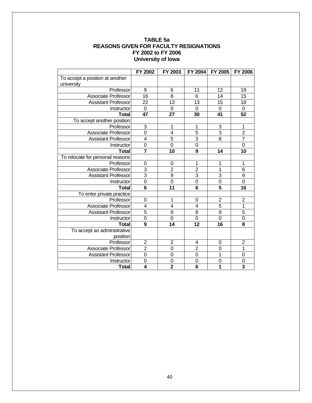#### **TABLE 5a REASONS GIVEN FOR FACULTY RESIGNATIONS FY 2002 to FY 2006 University of Iowa**

|                                  | FY 2002                 | FY 2003         | FY 2004         | FY 2005                 | <b>FY 2006</b>          |
|----------------------------------|-------------------------|-----------------|-----------------|-------------------------|-------------------------|
| To accept a position at another  |                         |                 |                 |                         |                         |
| university<br>Professor          | 9                       | 6               | 11              | 12                      | 19                      |
| Associate Professor              | $\overline{16}$         | 8               | $6\phantom{1}6$ | 14                      | 15                      |
| <b>Assistant Professor</b>       | $\overline{22}$         | $\overline{13}$ | $\overline{13}$ | $\overline{15}$         | 18                      |
|                                  | $\overline{0}$          | $\mathbf 0$     | $\Omega$        | $\mathsf 0$             | $\pmb{0}$               |
| Instructor                       | 47                      | 27              | 30              | 41                      | 52                      |
| <b>Total</b>                     |                         |                 |                 |                         |                         |
| To accept another position       |                         |                 |                 |                         |                         |
| Professor                        | 3                       | 1               | 1               | 3<br>$\overline{3}$     | 1                       |
| Associate Professor              | $\overline{0}$          | $\overline{4}$  | $\overline{5}$  |                         | $\overline{c}$          |
| <b>Assistant Professor</b>       | $\overline{\mathbf{4}}$ | $\overline{5}$  | $\overline{3}$  | $\overline{8}$          | $\overline{7}$          |
| Instructor                       | $\overline{0}$          | $\overline{0}$  | $\mathbf 0$     |                         | $\overline{0}$          |
| <b>Total</b>                     | $\overline{\mathbf{7}}$ | 10              | 9               | 14                      | 10                      |
| To relocate for personal reasons |                         |                 |                 |                         |                         |
| Professor                        | 0                       | 0               | 1               | 1                       | 1                       |
| <b>Associate Professor</b>       | $\overline{3}$          | $\overline{2}$  | $\overline{2}$  | 1                       | 6                       |
| <b>Assistant Professor</b>       | $\overline{3}$          | 9               | $\overline{3}$  | 3                       | 9                       |
| Instructor                       | $\overline{0}$          | $\overline{0}$  | $\overline{0}$  | $\overline{0}$          | $\overline{0}$          |
| <b>Total</b>                     | $\overline{6}$          | $\overline{11}$ | $\overline{6}$  | $\overline{5}$          | 16                      |
| To enter private practice        |                         |                 |                 |                         |                         |
| Professor                        | $\mathbf 0$             | 1               | $\mathbf 0$     | $\overline{\mathbf{c}}$ | $\overline{c}$          |
| <b>Associate Professor</b>       | 4                       | 4               | $\overline{4}$  | 5                       | $\overline{1}$          |
| <b>Assistant Professor</b>       | $\overline{5}$          | 9               | 8               | $\overline{9}$          | $\overline{5}$          |
| Instructor                       | $\overline{0}$          | $\overline{0}$  | $\overline{0}$  | $\overline{0}$          | $\overline{0}$          |
| <b>Total</b>                     | $\overline{9}$          | $\overline{14}$ | 12              | $\overline{16}$         | 8                       |
| To accept an administrative      |                         |                 |                 |                         |                         |
| position                         |                         |                 |                 |                         |                         |
| Professor                        | $\overline{2}$          | $\overline{2}$  | 4               | 0                       | $\overline{2}$          |
| Associate Professor              | $\overline{2}$          | $\overline{0}$  | $\overline{2}$  | 0                       | $\overline{1}$          |
| <b>Assistant Professor</b>       | $\overline{0}$          | $\mathbf 0$     | $\mathbf 0$     | 1                       | $\mathbf 0$             |
| Instructor                       | $\mathbf 0$             | $\mathbf 0$     | 0               | 0                       | $\mathbf 0$             |
| <b>Total</b>                     | $\overline{\bf{4}}$     | $\overline{2}$  | $\overline{6}$  | 1                       | $\overline{\mathbf{3}}$ |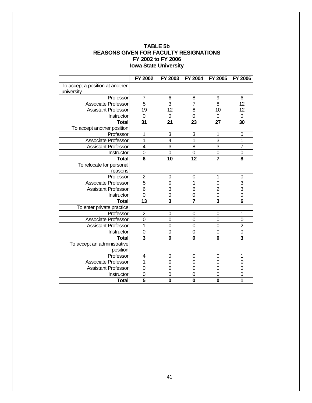#### **TABLE 5b REASONS GIVEN FOR FACULTY RESIGNATIONS FY 2002 to FY 2006 Iowa State University**

|                                               | FY 2002                 | FY 2003                 | <b>FY 2004</b> | FY 2005                 | FY 2006                 |
|-----------------------------------------------|-------------------------|-------------------------|----------------|-------------------------|-------------------------|
| To accept a position at another<br>university |                         |                         |                |                         |                         |
| Professor                                     | $\overline{7}$          | 6                       | 8              | 9                       | $6\phantom{1}6$         |
| <b>Associate Professor</b>                    | $\overline{5}$          | 3                       | $\overline{7}$ | $\overline{8}$          | 12                      |
| <b>Assistant Professor</b>                    | $\overline{19}$         | $\overline{12}$         | 8              | 10                      | $\overline{12}$         |
| Instructor                                    | $\overline{0}$          | 0                       | $\mathbf 0$    | $\overline{0}$          | 0                       |
| <b>Total</b>                                  | 31                      | 21                      | 23             | 27                      | 30                      |
| To accept another position                    |                         |                         |                |                         |                         |
| Professor                                     | 1                       | 3                       | 3              | 1                       | $\mathbf 0$             |
| Associate Professor                           | 1                       | $\overline{4}$          | 1              | $\overline{3}$          | 1                       |
| <b>Assistant Professor</b>                    | $\overline{4}$          | 3                       | $\overline{8}$ | $\overline{3}$          | $\overline{7}$          |
| Instructor                                    | $\overline{0}$          | $\overline{0}$          | $\overline{0}$ | $\overline{0}$          | $\mathbf 0$             |
| <b>Total</b>                                  | $\overline{6}$          | 10                      | 12             | $\overline{\mathbf{7}}$ | 8                       |
| To relocate for personal                      |                         |                         |                |                         |                         |
| reasons                                       |                         |                         |                |                         |                         |
| Professor                                     | $\overline{2}$          | $\mathbf 0$             | 0              | 1                       | 0                       |
| Associate Professor                           | $\overline{5}$          | $\overline{0}$          | 1              | $\overline{0}$          | $\overline{3}$          |
| <b>Assistant Professor</b>                    | $\overline{6}$          | 3                       | 6              | $\overline{2}$          | $\overline{3}$          |
| Instructor                                    | $\mathbf 0$             | $\overline{0}$          | $\mathbf 0$    | $\overline{0}$          | $\overline{0}$          |
| <b>Total</b>                                  | 13                      | $\overline{\mathbf{3}}$ | $\overline{7}$ | $\overline{\mathbf{3}}$ | 6                       |
| To enter private practice                     |                         |                         |                |                         |                         |
| Professor                                     | $\overline{2}$          | $\mathbf 0$             | $\mathbf 0$    | $\overline{0}$          | 1                       |
| Associate Professor                           | $\overline{0}$          | $\Omega$                | $\mathbf 0$    | $\mathbf 0$             | $\mathbf 0$             |
| <b>Assistant Professor</b>                    | 1                       | $\overline{0}$          | $\mathbf 0$    | $\overline{0}$          | $\overline{2}$          |
| Instructor                                    | $\mathbf 0$             | $\mathbf 0$             | $\pmb{0}$      | $\mathbf 0$             | $\overline{0}$          |
| <b>Total</b>                                  | $\overline{\mathbf{3}}$ | $\mathbf 0$             | $\bf{0}$       | $\overline{\mathbf{0}}$ | $\overline{\mathbf{3}}$ |
| To accept an administrative                   |                         |                         |                |                         |                         |
| position                                      |                         |                         |                |                         |                         |
| Professor                                     | 4                       | $\mathbf 0$             | $\mathbf 0$    | 0                       | 1                       |
| <b>Associate Professor</b>                    | 1                       | $\overline{0}$          | $\overline{0}$ | $\overline{0}$          | $\mathbf 0$             |
| <b>Assistant Professor</b>                    | $\mathbf 0$             | $\mathbf 0$             | $\mathbf 0$    | $\overline{0}$          | $\mathbf 0$             |
| Instructor                                    | $\mathbf 0$             | 0                       | $\mathbf 0$    | 0                       | $\mathbf 0$             |
| <b>Total</b>                                  | $\overline{\mathbf{5}}$ | $\bf{0}$                | $\mathbf 0$    | $\mathbf 0$             | 1                       |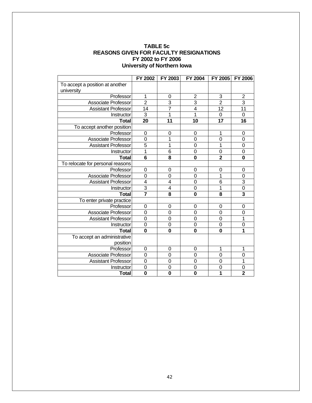| <b>TABLE 5c</b>                               |
|-----------------------------------------------|
| <b>REASONS GIVEN FOR FACULTY RESIGNATIONS</b> |
| FY 2002 to FY 2006                            |
| University of Northern Iowa                   |

|                                  | FY 2002         | FY 2003                 | <b>FY 2004</b> | FY 2005        | <b>FY 2006</b> |
|----------------------------------|-----------------|-------------------------|----------------|----------------|----------------|
| To accept a position at another  |                 |                         |                |                |                |
| university                       |                 |                         |                |                |                |
| Professor                        | 1               | 0                       | $\overline{2}$ | 3              | $\overline{2}$ |
| <b>Associate Professor</b>       | $\overline{2}$  | 3                       | 3              | $\overline{2}$ | $\overline{3}$ |
| <b>Assistant Professor</b>       | 14              | $\overline{7}$          | $\overline{4}$ | 12             | 11             |
| Instructor                       | $\overline{3}$  | $\mathbf{1}$            | $\overline{1}$ | $\overline{0}$ | $\mathbf 0$    |
| <b>Total</b>                     | 20              | 11                      | 10             | 17             | 16             |
| To accept another position       |                 |                         |                |                |                |
| Professor                        | 0               | 0                       | 0              | 1              | $\mathbf 0$    |
| Associate Professor              | $\mathbf 0$     | 1                       | 0              | $\mathbf 0$    | $\mathbf 0$    |
| <b>Assistant Professor</b>       | $\overline{5}$  | 1                       | $\overline{0}$ | 1              | $\mathbf 0$    |
| Instructor                       | 1               | 6                       | 0              | $\mathbf 0$    | $\mathbf 0$    |
| <b>Total</b>                     | $6\phantom{1}6$ | 8                       | $\mathbf 0$    | $\overline{2}$ | $\bf{0}$       |
| To relocate for personal reasons |                 |                         |                |                |                |
| Professor                        | $\mathbf 0$     | $\mathbf 0$             | $\mathbf 0$    | $\mathbf 0$    | $\mathbf 0$    |
| <b>Associate Professor</b>       | $\mathbf 0$     | $\Omega$                | $\mathbf 0$    | 1              | $\mathbf 0$    |
| <b>Assistant Professor</b>       | 4               | 4                       | 0              | 6              | $\overline{3}$ |
| Instructor                       | $\overline{3}$  | $\overline{\mathbf{4}}$ | $\mathbf 0$    | 1              | $\overline{0}$ |
| <b>Total</b>                     |                 | 8                       | $\bf{0}$       | 8              | $\overline{3}$ |
| To enter private practice        |                 |                         |                |                |                |
| Professor                        | $\overline{0}$  | $\mathbf 0$             | 0              | $\mathbf 0$    | 0              |
| Associate Professor              | $\mathbf 0$     | $\mathbf 0$             | 0              | $\mathbf 0$    | $\mathbf 0$    |
| <b>Assistant Professor</b>       | $\overline{0}$  | $\mathbf 0$             | $\overline{0}$ | $\overline{0}$ | 1              |
| Instructor                       | $\overline{0}$  | $\mathbf 0$             | 0              | $\mathbf 0$    | $\mathbf 0$    |
| <b>Total</b>                     | $\mathbf 0$     | $\mathbf 0$             | $\mathbf 0$    | $\bf{0}$       | 1              |
| To accept an administrative      |                 |                         |                |                |                |
| position                         |                 |                         |                |                |                |
| Professor                        | 0               | $\mathbf 0$             | 0              | 1              | 1              |
| <b>Associate Professor</b>       | $\mathbf 0$     | $\mathbf 0$             | 0              | $\mathbf 0$    | $\mathbf 0$    |
| <b>Assistant Professor</b>       | $\overline{0}$  | $\mathbf 0$             | $\overline{0}$ | $\mathbf 0$    | 1              |
| Instructor                       | 0               | 0                       | $\mathbf 0$    | 0              | 0              |
| <b>Total</b>                     | $\mathbf 0$     | $\mathbf 0$             | $\mathbf 0$    | 1              | $\overline{2}$ |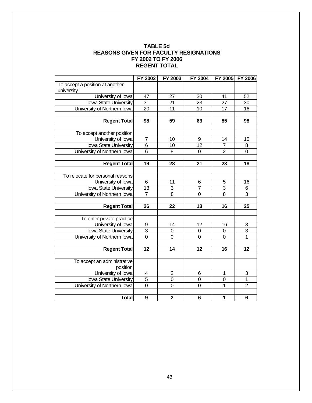| <b>TABLE 5d</b>                               |  |  |  |  |  |  |
|-----------------------------------------------|--|--|--|--|--|--|
| <b>REASONS GIVEN FOR FACULTY RESIGNATIONS</b> |  |  |  |  |  |  |
| FY 2002 TO FY 2006                            |  |  |  |  |  |  |
| <b>REGENT TOTAL</b>                           |  |  |  |  |  |  |

|                                  | FY 2002         | FY 2003                 | FY 2004          | FY 2005         | <b>FY 2006</b>  |
|----------------------------------|-----------------|-------------------------|------------------|-----------------|-----------------|
| To accept a position at another  |                 |                         |                  |                 |                 |
| university                       |                 |                         |                  |                 |                 |
| University of Iowa               | 47              | 27                      | 30               | 41              | 52              |
| <b>Iowa State University</b>     | 31              | $\overline{21}$         | $\overline{23}$  | $\overline{27}$ | $\overline{30}$ |
| University of Northern Iowa      | $\overline{20}$ | 11                      | 10               | 17              | 16              |
|                                  |                 |                         |                  |                 |                 |
| <b>Regent Total</b>              | 98              | 59                      | 63               | 85              | 98              |
|                                  |                 |                         |                  |                 |                 |
| To accept another position       |                 |                         |                  |                 |                 |
| University of Iowa               | $\overline{7}$  | 10                      | $\boldsymbol{9}$ | 14              | 10              |
| <b>Iowa State University</b>     | $\overline{6}$  | 10                      | $\overline{12}$  | $\overline{7}$  | 8               |
| University of Northern Iowa      | $\overline{6}$  | 8                       | $\mathbf 0$      | $\sqrt{2}$      | $\mathbf 0$     |
|                                  |                 |                         |                  |                 |                 |
| <b>Regent Total</b>              | 19              | 28                      | 21               | 23              | 18              |
|                                  |                 |                         |                  |                 |                 |
| To relocate for personal reasons |                 |                         |                  |                 |                 |
| University of Iowa               | $\,6$           | 11                      | 6                | 5               | 16              |
| <b>Iowa State University</b>     | 13              | $\frac{3}{8}$           | $\overline{7}$   | $\overline{3}$  | $\,6$           |
| University of Northern Iowa      | $\overline{7}$  |                         | $\overline{0}$   | $\overline{8}$  | $\overline{3}$  |
|                                  |                 |                         |                  |                 |                 |
| <b>Regent Total</b>              | 26              | 22                      | 13               | 16              | 25              |
|                                  |                 |                         |                  |                 |                 |
| To enter private practice        |                 |                         |                  |                 |                 |
| University of Iowa               |                 | 14                      | 12               | 16              | 8               |
| <b>Iowa State University</b>     | $\frac{9}{3}$   | $\pmb{0}$               | $\pmb{0}$        | $\pmb{0}$       | $\overline{3}$  |
| University of Northern Iowa      |                 | $\overline{0}$          | $\overline{0}$   | $\overline{0}$  | $\overline{1}$  |
|                                  |                 |                         |                  |                 |                 |
| <b>Regent Total</b>              | $\overline{12}$ | 14                      | 12               | 16              | $\overline{12}$ |
|                                  |                 |                         |                  |                 |                 |
| To accept an administrative      |                 |                         |                  |                 |                 |
| position                         |                 |                         |                  |                 |                 |
| University of Iowa               | 4               | $\overline{2}$          | 6                | 1               | 3               |
| Iowa State University            | $\overline{5}$  | $\mathbf 0$             | $\mathbf 0$      | $\mathbf 0$     | $\mathbf{1}$    |
| University of Northern Iowa      | $\overline{0}$  | $\mathbf 0$             | $\overline{0}$   | $\mathbf{1}$    | $\overline{2}$  |
|                                  |                 |                         |                  |                 |                 |
| <b>Total</b>                     | $\mathbf{9}$    | $\overline{\mathbf{2}}$ | $6\phantom{1}6$  | 1               | 6               |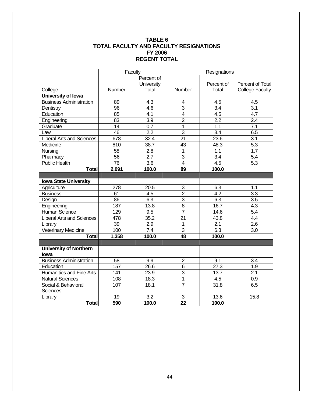#### **TABLE 6 TOTAL FACULTY AND FACULTY RESIGNATIONS FY 2006 REGENT TOTAL**

|                                  | Faculty          |                  | Resignations    |                  |                        |
|----------------------------------|------------------|------------------|-----------------|------------------|------------------------|
|                                  |                  | Percent of       |                 |                  |                        |
|                                  |                  | University       |                 | Percent of       | Percent of Total       |
| College                          | Number           | Total            | Number          | Total            | <b>College Faculty</b> |
| <b>University of Iowa</b>        |                  |                  |                 |                  |                        |
| <b>Business Administration</b>   | 89               | 4.3              | 4               | 4.5              | 4.5                    |
| Dentistry                        | 96               | 4.6              | $\overline{3}$  | $\overline{3.4}$ | $\overline{3.1}$       |
| Education                        | 85               | 4.1              | $\overline{4}$  | 4.5              | 4.7                    |
| Engineering                      | 83               | $\overline{3.9}$ | $\overline{2}$  | $\overline{2.2}$ | 2.4                    |
| Graduate                         | 14               | $\overline{0.7}$ | $\mathbf 1$     | 1.1              | $\overline{7.1}$       |
| Law                              | 46               | 2.2              | $\overline{3}$  | $\overline{3.4}$ | 6.5                    |
| <b>Liberal Arts and Sciences</b> | $\overline{678}$ | 32.4             | $\overline{21}$ | 23.6             | $\overline{3.1}$       |
| Medicine                         | 810              | 38.7             | 43              | 48.3             | 5.3                    |
| Nursing                          | 58               | $\overline{2.8}$ | $\overline{1}$  | $\overline{1.1}$ | 1.7                    |
| Pharmacy                         | 56               | $\overline{2.7}$ | $\overline{3}$  | 3.4              | 5.4                    |
| <b>Public Health</b>             | 76               | $\overline{3.6}$ | $\overline{4}$  | 4.5              | 5.3                    |
| <b>Total</b>                     | 2,091            | 100.0            | 89              | 100.0            |                        |
|                                  |                  |                  |                 |                  |                        |
| <b>Iowa State University</b>     |                  |                  |                 |                  |                        |
| Agriculture                      | 278              | 20.5             | 3               | 6.3              | 1.1                    |
| <b>Business</b>                  | 61               | 4.5              | $\overline{2}$  | $\overline{4.2}$ | $\overline{3.3}$       |
| Design                           | 86               | 6.3              | $\overline{3}$  | 6.3              | $\overline{3.5}$       |
| Engineering                      | 187              | 13.8             | $\overline{8}$  | 16.7             | 4.3                    |
| <b>Human Science</b>             | 129              | 9.5              | $\overline{7}$  | 14.6             | $\overline{5.4}$       |
| <b>Liberal Arts and Sciences</b> | 478              | 35.2             | $\overline{21}$ | 43.8             | 4.4                    |
| Library                          | 39               | 2.9              | 1               | 2.1              | 2.6                    |
| Veterinary Medicine              | 100              | 7.4              | $\overline{3}$  | 6.3              | 3.0                    |
| <b>Total</b>                     | 1,358            | 100.0            | 48              | 100.0            |                        |
|                                  |                  |                  |                 |                  |                        |
| <b>University of Northern</b>    |                  |                  |                 |                  |                        |
| lowa                             |                  |                  |                 |                  |                        |
| <b>Business Administration</b>   | 58               | 9.9              | $\overline{2}$  | 9.1              | 3.4                    |
| Education                        | 157              | 26.6             | $6\phantom{1}$  | 27.3             | 1.9                    |
| Humanities and Fine Arts         | 141              | 23.9             | 3               | 13.7             | 2.1                    |
| <b>Natural Sciences</b>          | 108              | 18.3             | $\mathbf 1$     | 4.5              | 0.9                    |
| Social & Behavioral              | 107              | 18.1             | $\overline{7}$  | 31.8             | $6.\overline{5}$       |
| <b>Sciences</b>                  |                  |                  |                 |                  |                        |
| Library                          | 19               | $\overline{3.2}$ | 3               | 13.6             | 15.8                   |
| <b>Total</b>                     | 590              | 100.0            | $\overline{22}$ | 100.0            |                        |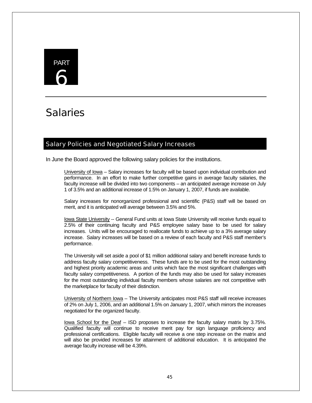# PART 6

# **Salaries**

# Salary Policies and Negotiated Salary Increases

In June the Board approved the following salary policies for the institutions.

University of Iowa – Salary increases for faculty will be based upon individual contribution and performance. In an effort to make further competitive gains in average faculty salaries, the faculty increase will be divided into two components – an anticipated average increase on July 1 of 3.5% and an additional increase of 1.5% on January 1, 2007, if funds are available.

Salary increases for nonorganized professional and scientific (P&S) staff will be based on merit, and it is anticipated will average between 3.5% and 5%.

Iowa State University -- General Fund units at Iowa State University will receive funds equal to 2.5% of their continuing faculty and P&S employee salary base to be used for salary increases. Units will be encouraged to reallocate funds to achieve up to a 3% average salary increase. Salary increases will be based on a review of each faculty and P&S staff member's performance.

The University will set aside a pool of \$1 million additional salary and benefit increase funds to address faculty salary competitiveness. These funds are to be used for the most outstanding and highest priority academic areas and units which face the most significant challenges with faculty salary competitiveness. A portion of the funds may also be used for salary increases for the most outstanding individual faculty members whose salaries are not competitive with the marketplace for faculty of their distinction.

University of Northern Iowa – The University anticipates most P&S staff will receive increases of 2% on July 1, 2006, and an additional 1.5% on January 1, 2007, which mirrors the increases negotiated for the organized faculty.

Iowa School for the Deaf – ISD proposes to increase the faculty salary matrix by 3.75%. Qualified faculty will continue to receive merit pay for sign language proficiency and professional certifications. Eligible faculty will receive a one step increase on the matrix and will also be provided increases for attainment of additional education. It is anticipated the average faculty increase will be 4.39%.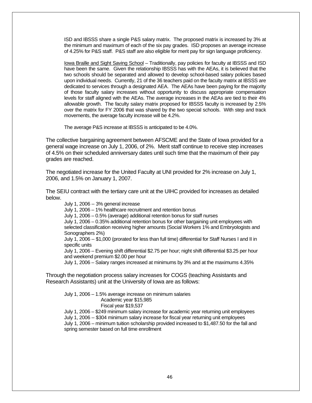ISD and IBSSS share a single P&S salary matrix. The proposed matrix is increased by 3% at the minimum and maximum of each of the six pay grades. ISD proposes an average increase of 4.25% for P&S staff. P&S staff are also eligible for merit pay for sign language proficiency.

Iowa Braille and Sight Saving School – Traditionally, pay policies for faculty at IBSSS and ISD have been the same. Given the relationship IBSSS has with the AEAs, it is believed that the two schools should be separated and allowed to develop school-based salary policies based upon individual needs. Currently, 21 of the 36 teachers paid on the faculty matrix at IBSSS are dedicated to services through a designated AEA. The AEAs have been paying for the majority of those faculty salary increases without opportunity to discuss appropriate compensation levels for staff aligned with the AEAs. The average increases in the AEAs are tied to their 4% allowable growth. The faculty salary matrix proposed for IBSSS faculty is increased by 2.5% over the matrix for FY 2006 that was shared by the two special schools. With step and track movements, the average faculty increase will be 4.2%.

The average P&S increase at IBSSS is anticipated to be 4.0%.

The collective bargaining agreement between AFSCME and the State of Iowa provided for a general wage increase on July 1, 2006, of 2%. Merit staff continue to receive step increases of 4.5% on their scheduled anniversary dates until such time that the maximum of their pay grades are reached.

The negotiated increase for the United Faculty at UNI provided for 2% increase on July 1, 2006, and 1.5% on January 1, 2007.

The SEIU contract with the tertiary care unit at the UIHC provided for increases as detailed below.

July 1, 2006 -- 3% general increase

July 1, 2006 – 1% healthcare recruitment and retention bonus

July 1, 2006 – 0.5% (average) additional retention bonus for staff nurses

July 1, 2006 – 0.35% additional retention bonus for other bargaining unit employees with selected classification receiving higher amounts (Social Workers 1% and Embryologists and Sonographers 2%)

July 1, 2006 -- \$1,000 (prorated for less than full time) differential for Staff Nurses I and II in specific units

July 1, 2006 – Evening shift differential \$2.75 per hour; night shift differential \$3.25 per hour and weekend premium \$2.00 per hour

July 1, 2006 – Salary ranges increased at minimums by 3% and at the maximums 4.35%

Through the negotiation process salary increases for COGS (teaching Assistants and Research Assistants) unit at the University of Iowa are as follows:

July 1, 2006 – 1.5% average increase on minimum salaries Academic year \$15,985 Fiscal year \$19,537 July 1, 2006 – \$249 minimum salary increase for academic year returning unit employees July 1, 2006 -- \$304 minimum salary increase for fiscal year returning unit employees

July 1, 2006 – minimum tuition scholarship provided increased to \$1,487.50 for the fall and spring semester based on full time enrollment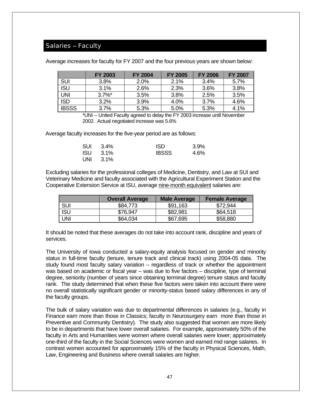### Salaries -- Faculty

|  |  | Average increases for faculty for FY 2007 and the four previous years are shown below: |  |
|--|--|----------------------------------------------------------------------------------------|--|
|--|--|----------------------------------------------------------------------------------------|--|

|         | <b>FY 2003</b> | <b>FY 2004</b> | <b>FY 2005</b> | <b>FY 2006</b> | <b>FY 2007</b> |
|---------|----------------|----------------|----------------|----------------|----------------|
| ∥ SUI   | 3.8%           | 2.0%           | 2.1%           | 3.4%           | 5.7%           |
| ∥ ISU   | 3.1%           | 2.6%           | 2.3%           | 3.6%           | 3.8%           |
| I UNI   | $3.7\%$ *      | 3.5%           | 3.8%           | 2.5%           | 3.5%           |
| I ISD   | 3.2%           | 3.9%           | 4.0%           | 3.7%           | 4.6%           |
| ∥ IBSSS | 3.7%           | 5.3%           | 5.0%           | 5.3%           | 4.1%           |

\*UNI -- United Faculty agreed to delay the FY 2003 increase until November 2002. Actual negotiated increase was 5.6%

Average faculty increases for the five-year period are as follows:

| SUI 3.4%        | <b>ISD</b>   | 3.9% |
|-----------------|--------------|------|
| <b>ISU</b> 3.1% | <b>IBSSS</b> | 4.6% |
| UNI $3.1\%$     |              |      |

Excluding salaries for the professional colleges of Medicine, Dentistry, and Law at SUI and Veterinary Medicine and faculty associated with the Agricultural Experiment Station and the Cooperative Extension Service at ISU, average nine-month equivalent salaries are:

|       | <b>Overall Average</b> | <b>Male Average</b> | <b>Female Average</b> |
|-------|------------------------|---------------------|-----------------------|
| l sui | \$84,773               | \$91,163            | \$72,944              |
| ∥ ISU | \$76,947               | \$82,981            | \$64,518              |
| l uni | \$64,034               | \$67,695            | \$58,880              |

It should be noted that these averages do not take into account rank, discipline and years of services.

The University of Iowa conducted a salary-equity analysis focused on gender and minority status in full-time faculty (tenure, tenure track and clinical track) using 2004-05 data. The study found most faculty salary variation – regardless of track or whether the appointment was based on academic or fiscal year – was due to five factors – discipline, type of terminal degree, seniority (number of years since obtaining terminal degree) tenure status and faculty rank. The study determined that when these five factors were taken into account there were no overall statistically significant gender or minority-status based salary differences in any of the faculty groups.

The bulk of salary variation was due to departmental differences in salaries (e.g., faculty in Finance earn more than those in Classics; faculty in Neurosurgery earn more than those in Preventive and Community Dentistry). The study also suggested that women are more likely to be in departments that have lower overall salaries. For example, approximately 50% of the faculty in Arts and Humanities were women where overall salaries were lower; approximately one-third of the faculty in the Social Sciences were women and earned mid range salaries. In contrast women accounted for approximately 15% of the faculty in Physical Sciences, Math, Law, Engineering and Business where overall salaries are higher.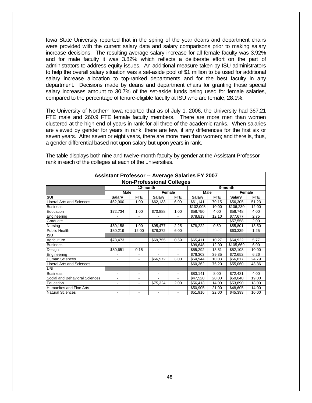Iowa State University reported that in the spring of the year deans and department chairs were provided with the current salary data and salary comparisons prior to making salary increase decisions. The resulting average salary increase for all female faculty was 3.92% and for male faculty it was 3.82% which reflects a deliberate effort on the part of administrators to address equity issues. An additional measure taken by ISU administrators to help the overall salary situation was a set-aside pool of \$1 million to be used for additional salary increase allocation to top-ranked departments and for the best faculty in any department. Decisions made by deans and department chairs for granting those special salary increases amount to 30.7% of the set-aside funds being used for female salaries, compared to the percentage of tenure-eligible faculty at ISU who are female, 28.1%.

The University of Northern Iowa reported that as of July 1, 2006, the University had 367.21 FTE male and 260.9 FTE female faculty members. There are more men than women clustered at the high end of years in rank for all three of the academic ranks. When salaries are viewed by gender for years in rank, there are few, if any differences for the first six or seven years. After seven or eight years, there are more men than women; and there is, thus, a gender differential based not upon salary but upon years in rank.

| <b>Assistant Professor -- Average Salaries FY 2007</b><br><b>Non-Professional Colleges</b> |                          |                          |                          |                          |               |            |               |            |  |
|--------------------------------------------------------------------------------------------|--------------------------|--------------------------|--------------------------|--------------------------|---------------|------------|---------------|------------|--|
| 12-month<br>9-month                                                                        |                          |                          |                          |                          |               |            |               |            |  |
|                                                                                            | <b>Male</b>              |                          |                          | Female                   | Male          |            |               | Female     |  |
| SUI                                                                                        | <b>Salary</b>            | <b>FTE</b>               | <b>Salary</b>            | <b>FTE</b>               | <b>Salary</b> | <b>FTE</b> | <b>Salary</b> | <b>FTE</b> |  |
| <b>Liberal Arts and Sciences</b>                                                           | \$62,900                 | 1.00                     | \$62,133                 | 6.00                     | \$61,141      | 70.15      | \$56,305      | 51.23      |  |
| <b>Business</b>                                                                            |                          |                          |                          |                          | \$102,005     | 10.00      | \$106,230     | 12.00      |  |
| Education                                                                                  | \$72,734                 | 1.00                     | \$70,888                 | 1.00                     | \$58,750      | 4.00       | \$56,748      | 4.00       |  |
| Engineering                                                                                |                          |                          |                          |                          | \$78,813      | 12.10      | \$77,677      | 2.75       |  |
| Graduate                                                                                   |                          | $\overline{a}$           | ٠                        |                          |               |            | \$57,558      | 2.00       |  |
| Nursing                                                                                    | \$60,158                 | 1.00                     | \$95,477                 | 2.25                     | \$78,222      | 0.50       | \$55,801      | 18.50      |  |
| <b>Public Health</b>                                                                       | \$80,219                 | 12.00                    | \$78,372                 | 6.00                     |               |            | \$63,339      | 1.25       |  |
| ISU                                                                                        |                          |                          |                          |                          |               |            |               |            |  |
| Agriculture                                                                                | \$78,473                 |                          | \$69,755                 | 0.59                     | \$65,411      | 10.27      | \$64,922      | 5.77       |  |
| <b>Business</b>                                                                            |                          | $\blacksquare$           |                          |                          | \$99,648      | 12.00      | \$105,669     | 6.00       |  |
| Design                                                                                     | \$80,651                 | 0.15                     | $\blacksquare$           | $\overline{\phantom{a}}$ | \$55,292      | 13.81      | \$52,108      | 10.00      |  |
| Engineering                                                                                |                          | -                        | ٠                        | $\blacksquare$           | \$76,303      | 39.35      | \$72,652      | 6.26       |  |
| <b>Human Sciences</b>                                                                      | $\overline{\phantom{a}}$ |                          | \$66,572                 | 3.00                     | \$54,944      | 10.03      | \$56,817      | 24.79      |  |
| <b>Liberal Arts and Sciences</b>                                                           |                          | $\overline{\phantom{a}}$ |                          |                          | \$60,362      | 76.20      | \$55,060      | 43.36      |  |
| <b>UNI</b>                                                                                 |                          |                          |                          |                          |               |            |               |            |  |
| <b>Business</b>                                                                            | $\overline{\phantom{a}}$ | $\blacksquare$           | $\blacksquare$           | $\overline{\phantom{a}}$ | \$83,141      | 8.00       | \$72,431      | 4.00       |  |
| Social and Behavioral Sciences                                                             | ۰                        | $\blacksquare$           | $\overline{\phantom{a}}$ | $\blacksquare$           | \$47,520      | 20.00      | \$50,040      | 19.00      |  |
| Education                                                                                  | $\overline{\phantom{a}}$ | $\overline{\phantom{a}}$ | \$75,324                 | 2.00                     | \$56,413      | 14.00      | \$53,890      | 18.00      |  |
| Humanites and Fine Arts                                                                    | $\overline{\phantom{a}}$ | $\overline{\phantom{a}}$ |                          |                          | \$50,905      | 21.00      | \$48,605      | 14.00      |  |
| <b>Natural Sciences</b>                                                                    | $\overline{\phantom{a}}$ | $\overline{\phantom{a}}$ | $\overline{\phantom{a}}$ | $\overline{\phantom{a}}$ | \$51,916      | 22.00      | \$45,393      | 10.00      |  |

The table displays both nine and twelve-month faculty by gender at the Assistant Professor rank in each of the colleges at each of the universities.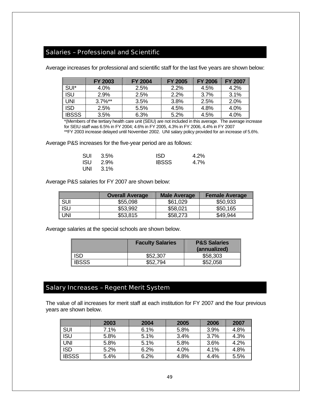# Salaries – Professional and Scientific

Average increases for professional and scientific staff for the last five years are shown below:

|              | <b>FY 2003</b>        | <b>FY 2004</b> | <b>FY 2005</b> | <b>FY 2006</b> | <b>FY 2007</b> |
|--------------|-----------------------|----------------|----------------|----------------|----------------|
| SUI*         | 4.0%                  | 2.5%           | 2.2%           | 4.5%           | 4.2%           |
| <b>ISU</b>   | 2.9%                  | 2.5%           | 2.2%           | 3.7%           | 3.1%           |
| <b>UNI</b>   | $3.7\%$ <sup>**</sup> | 3.5%           | 3.8%           | 2.5%           | 2.0%           |
| <b>ISD</b>   | 2.5%                  | 5.5%           | 4.5%           | 4.8%           | 4.0%           |
| <b>IBSSS</b> | 3.5%                  | 6.3%           | 5.2%           | 4.5%           | 4.0%           |

\*(Members of the tertiary health care unit (SEIU) are not included in this average. The average increase for SEIU staff was 6.5% in FY 2004; 4.6% in FY 2005, 4.3% in FY 2006, 4.4% in FY 2007 \*\*FY 2003 increase delayed until November 2002. UNI salary policy provided for an increase of 5.6%.

Average P&S increases for the five-year period are as follows:

|     | SUI 3.5%   | <b>ISD</b>   | 4.2% |
|-----|------------|--------------|------|
|     | $ISU$ 2.9% | <b>IBSSS</b> | 4.7% |
| UNI | $3.1\%$    |              |      |

Average P&S salaries for FY 2007 are shown below:

|            | <b>Overall Average</b> | <b>Male Average</b> | <b>Female Average</b> |
|------------|------------------------|---------------------|-----------------------|
| <b>SUI</b> | \$55,098               | \$61,029            | \$50,933              |
| <b>ISU</b> | \$53,992               | \$58,021            | \$50,165              |
| UNI        | \$53,815               | \$58,273            | \$49,944              |

Average salaries at the special schools are shown below.

|              | <b>Faculty Salaries</b> | <b>P&amp;S Salaries</b><br>(annualized) |
|--------------|-------------------------|-----------------------------------------|
| <b>ISD</b>   | \$52,307                | \$58,303                                |
| <b>IBSSS</b> | \$52,794                | \$52,058                                |

# Salary Increases – Regent Merit System

The value of all increases for merit staff at each institution for FY 2007 and the four previous years are shown below.

|             | 2003 | 2004 | 2005 | 2006 | 2007 |
|-------------|------|------|------|------|------|
| ∥ S∪ı       | 7.1% | 6.1% | 5.8% | 3.9% | 4.8% |
| ∥ is∪       | 5.8% | 5.1% | 3.4% | 3.7% | 4.3% |
| ∥ UNI       | 5.8% | 5.1% | 5.8% | 3.6% | 4.2% |
| <b>ISD</b>  | 5.2% | 6.2% | 4.0% | 4.1% | 4.8% |
| <b>BSSS</b> | 5.4% | 6.2% | 4.8% | 4.4% | 5.5% |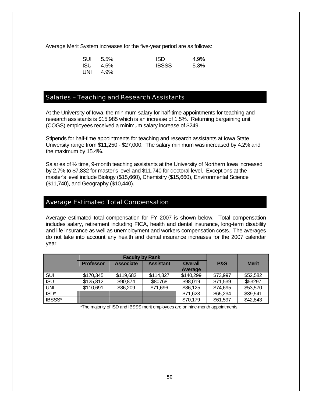Average Merit System increases for the five-year period are as follows:

|            | SUI 5.5% | <b>ISD</b>   | 4.9%    |
|------------|----------|--------------|---------|
| <b>ISU</b> | 4.5%     | <b>IBSSS</b> | $5.3\%$ |
| UNI        | 4.9%     |              |         |

### Salaries – Teaching and Research Assistants

At the University of Iowa, the minimum salary for half-time appointments for teaching and research assistants is \$15,985 which is an increase of 1.5%. Returning bargaining unit (COGS) employees received a minimum salary increase of \$249.

Stipends for half-time appointments for teaching and research assistants at Iowa State University range from \$11,250 - \$27,000. The salary minimum was increased by 4.2% and the maximum by 15.4%.

Salaries of ½ time, 9-month teaching assistants at the University of Northern Iowa increased by 2.7% to \$7,832 for master's level and \$11,740 for doctoral level. Exceptions at the master's level include Biology (\$15,660), Chemistry (\$15,660), Environmental Science (\$11,740), and Geography (\$10,440).

#### Average Estimated Total Compensation

Average estimated total compensation for FY 2007 is shown below. Total compensation includes salary, retirement including FICA, health and dental insurance, long-term disability and life insurance as well as unemployment and workers compensation costs. The averages do not take into account any health and dental insurance increases for the 2007 calendar year.

|            |                  | <b>Faculty by Rank</b> |                  |                |                |              |
|------------|------------------|------------------------|------------------|----------------|----------------|--------------|
|            | <b>Professor</b> | <b>Associate</b>       | <b>Assistant</b> | <b>Overall</b> | <b>P&amp;S</b> | <b>Merit</b> |
|            |                  |                        |                  | Average        |                |              |
| <b>SUI</b> | \$170,345        | \$119,682              | \$114,827        | \$140,299      | \$73,997       | \$52,582     |
| <b>ISU</b> | \$125,812        | \$90,874               | \$80768          | \$98,019       | \$71,539       | \$53297      |
| UNI        | \$110,691        | \$86,209               | \$71,696         | \$86,125       | \$74,695       | \$53,570     |
| ISD*       |                  |                        |                  | \$71,623       | \$65,234       | \$39,541     |
| IBSSS*     |                  |                        |                  | \$70,179       | \$61,597       | \$42,843     |

\*The majority of ISD and IBSSS merit employees are on nine-month appointments.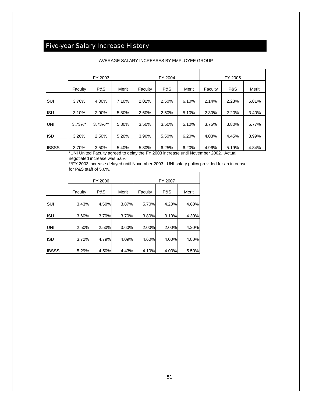# Five-year Salary Increase History

|              |            | FY 2003    |       |         | FY 2004 |       | FY 2005 |                |       |  |
|--------------|------------|------------|-------|---------|---------|-------|---------|----------------|-------|--|
|              | Faculty    | P&S        | Merit | Faculty | P&S     | Merit | Faculty | <b>P&amp;S</b> | Merit |  |
| <b>SUI</b>   | 3.76%      | 4.00%      | 7.10% | 2.02%   | 2.50%   | 6.10% | 2.14%   | 2.23%          | 5.81% |  |
| <b>ISU</b>   | 3.10%      | 2.90%      | 5.80% | 2.60%   | 2.50%   | 5.10% | 2.30%   | 2.20%          | 3.40% |  |
| IUNI         | $3.73\%$ * | $3.73\%**$ | 5.80% | 3.50%   | 3.50%   | 5.10% | 3.75%   | 3.80%          | 5.77% |  |
| <b>I</b> ISD | 3.20%      | 2.50%      | 5.20% | 3.90%   | 5.50%   | 6.20% | 4.03%   | 4.45%          | 3.99% |  |
| <b>IBSSS</b> | 3.70%      | 3.50%      | 5.40% | 5.30%   | 6.25%   | 6.20% | 4.96%   | 5.19%          | 4.84% |  |

#### AVERAGE SALARY INCREASES BY EMPLOYEE GROUP

\*UNI United Faculty agreed to delay the FY 2003 increase until November 2002. Actual negotiated increase was 5.6%.

\*\*FY 2003 increase delayed until November 2003. UNI salary policy provided for an increase for P&S staff of 5.6%.

|              |         | FY 2006 |       | FY 2007 |                |       |  |  |
|--------------|---------|---------|-------|---------|----------------|-------|--|--|
|              | Faculty | P&S     | Merit | Faculty | <b>P&amp;S</b> | Merit |  |  |
| <b>SUI</b>   | 3.43%   | 4.50%   | 3.87% | 5.70%   | 4.20%          | 4.80% |  |  |
| <b>ISU</b>   | 3.60%   | 3.70%   | 3.70% | 3.80%   | 3.10%          | 4.30% |  |  |
| <b>UNI</b>   | 2.50%   | 2.50%   | 3.60% | 2.00%   | 2.00%          | 4.20% |  |  |
| <b>ISD</b>   | 3.72%   | 4.79%   | 4.09% | 4.60%   | 4.00%          | 4.80% |  |  |
| <b>IBSSS</b> | 5.29%   | 4.50%   | 4.43% | 4.10%   | 4.00%          | 5.50% |  |  |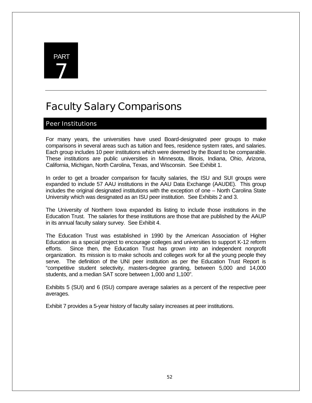

# Faculty Salary Comparisons

# Peer Institutions

For many years, the universities have used Board-designated peer groups to make comparisons in several areas such as tuition and fees, residence system rates, and salaries. Each group includes 10 peer institutions which were deemed by the Board to be comparable. These institutions are public universities in Minnesota, Illinois, Indiana, Ohio, Arizona, California, Michigan, North Carolina, Texas, and Wisconsin. See Exhibit 1.

In order to get a broader comparison for faculty salaries, the ISU and SUI groups were expanded to include 57 AAU institutions in the AAU Data Exchange (AAUDE). This group includes the original designated institutions with the exception of one – North Carolina State University which was designated as an ISU peer institution. See Exhibits 2 and 3.

The University of Northern Iowa expanded its listing to include those institutions in the Education Trust. The salaries for these institutions are those that are published by the AAUP in its annual faculty salary survey. See Exhibit 4.

The Education Trust was established in 1990 by the American Association of Higher Education as a special project to encourage colleges and universities to support K-12 reform efforts. Since then, the Education Trust has grown into an independent nonprofit organization. Its mission is to make schools and colleges work for all the young people they serve. The definition of the UNI peer institution as per the Education Trust Report is "competitive student selectivity, masters-degree granting, between 5,000 and 14,000 students, and a median SAT score between 1,000 and 1,100".

Exhibits 5 (SUI) and 6 (ISU) compare average salaries as a percent of the respective peer averages.

Exhibit 7 provides a 5-year history of faculty salary increases at peer institutions.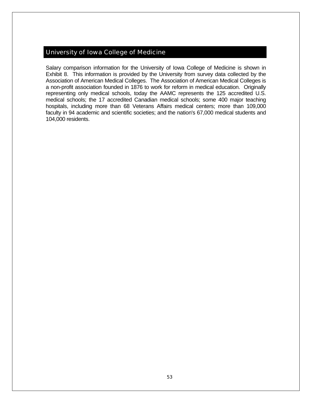# University of Iowa College of Medicine

Salary comparison information for the University of Iowa College of Medicine is shown in Exhibit 8. This information is provided by the University from survey data collected by the Association of American Medical Colleges. The Association of American Medical Colleges is a non-profit association founded in 1876 to work for reform in medical education. Originally representing only medical schools, today the AAMC represents the 125 accredited U.S. medical schools; the 17 accredited Canadian medical schools; some 400 major teaching hospitals, including more than 68 Veterans Affairs medical centers; more than 109,000 faculty in 94 academic and scientific societies; and the nation's 67,000 medical students and 104,000 residents.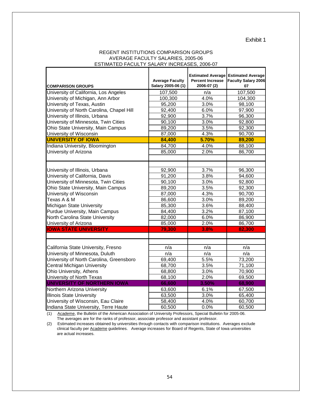Exhibit 1

#### REGENT INSTITUTIONS COMPARISON GROUPS AVERAGE FACULTY SALARIES, 2005-06 ESTIMATED FACULTY SALARY INCREASES, 2006-07

| <b>COMPARISON GROUPS</b>                  | <b>Average Faculty</b><br>Salary 2005-06 (1) | <b>Percent Increase</b><br>2006-07 (2) | <b>Estimated Average Estimated Average</b><br><b>Faculty Salary 2006</b><br>07 |
|-------------------------------------------|----------------------------------------------|----------------------------------------|--------------------------------------------------------------------------------|
| University of California, Los Angeles     | 107,500                                      | n/a                                    | 107,500                                                                        |
| University of Michigan, Ann Arbor         | 100,300                                      | 4.0%                                   | 104,300                                                                        |
| University of Texas, Austin               | 95,200                                       | 3.0%                                   | 98,100                                                                         |
| University of North Carolina, Chapel Hill | 92,400                                       | 6.0%                                   | 97,900                                                                         |
| University of Illinois, Urbana            | 92,900                                       | 3.7%                                   | 96,300                                                                         |
| University of Minnesota, Twin Cities      | 90,100                                       | 3.0%                                   | 92,800                                                                         |
| Ohio State University, Main Campus        | 89,200                                       | 3.5%                                   | 92,300                                                                         |
| University of Wisconsin                   | 87,000                                       | 4.3%                                   | 90,700                                                                         |
| <b>UNIVERSITY OF IOWA</b>                 | 84,400                                       | 5.70%                                  | 89,200                                                                         |
| Indiana University, Bloomington           | 84,700                                       | 4.0%                                   | 88,100                                                                         |
| University of Arizona                     | 85,000                                       | 2.0%                                   | 86,700                                                                         |
|                                           |                                              |                                        |                                                                                |
|                                           |                                              |                                        |                                                                                |
| University of Illinois, Urbana            | 92,900                                       | 3.7%                                   | 96,300                                                                         |
| University of California, Davis           | 91,200                                       | 3.8%                                   | 94,600                                                                         |
| University of Minnesota, Twin Cities      | 90,100                                       | 3.0%                                   | 92,800                                                                         |
| Ohio State University, Main Campus        | 89,200                                       | 3.5%                                   | 92,300                                                                         |
| University of Wisconsin                   | 87,000                                       | 4.3%                                   | 90,700                                                                         |
| Texas A & M                               | 86,600                                       | 3.0%                                   | 89,200                                                                         |
| Michigan State University                 | 85,300                                       | 3.6%                                   | 88,400                                                                         |
| Purdue University, Main Campus            | 84,400                                       | 3.2%                                   | 87,100                                                                         |
| North Carolina State University           | 82,000                                       | 6.0%                                   | 86,900                                                                         |
| University of Arizona                     | 85,000                                       | 2.0%                                   | 86,700                                                                         |
| <b>IOWA STATE UNIVERSITY</b>              | 79,300                                       | 3.8%                                   | 82,300                                                                         |
|                                           |                                              |                                        |                                                                                |
|                                           |                                              |                                        |                                                                                |
| California State University, Fresno       | n/a                                          | n/a                                    | n/a                                                                            |
| University of Minnesota, Duluth           | n/a                                          | n/a                                    | n/a                                                                            |
| University of North Carolina, Greensboro  | 69,400                                       | 5.5%                                   | 73,200                                                                         |
| <b>Central Michigan University</b>        | 68,700                                       | 3.5%                                   | 71,100                                                                         |
| Ohio University, Athens                   | 68,800                                       | 3.0%                                   | 70,900                                                                         |
| University of North Texas                 | 68,100                                       | 2.0%                                   | 69,500                                                                         |
| UNIVERSITY OF NORTHERN IOWA               | 66,600                                       | 3.50%                                  | 68,900                                                                         |
| Northern Arizona University               | 63,600                                       | 6.1%                                   | 67,500                                                                         |
| <b>Illinois State University</b>          | 63,500                                       | 3.0%                                   | 65,400                                                                         |
| University of Wisconsin, Eau Claire       | 58,400                                       | 4.0%                                   | 60,700                                                                         |
| Indiana State University, Terre Haute     | 60,500                                       | 0.0%                                   | 60,500                                                                         |

(1) Academe, the Bulletin of the American Association of University Professors, Special Bulletin for 2005-06. The averages are for the ranks of professor, associate professor and assistant professor.

(2) Estimated increases obtained by universities through contacts with comparison institutions. Averages exclude clinical faculty per Academe guidelines. Average increases for Board of Regents, State of Iowa universities are actual increases.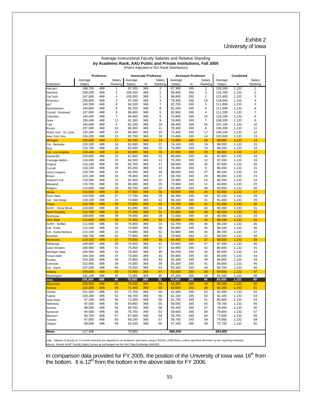#### Exhibit 2 University of Iowa

| by Academic Rank, AAU Public and Private Institutions, Fall 2005<br>(Peers Adjusted to SUI Rank Distribution)<br>Professor<br><b>Associate Professor</b><br><b>Assistant Professor</b><br>Combined<br>Salary<br>Average<br>Average<br>Salary<br>Average<br>Salary<br>Average<br>Salary<br>Ranking<br>Salary<br>Salary<br>N<br>Ranking<br>Salary<br>N<br>N<br>N<br>Ranking<br>3<br>2<br>Harvard<br>168,700<br>498<br>1<br>97,100<br>369<br>87,300<br>265<br>126,300<br>1,132<br>1<br>156,200<br>498<br>3<br>106,100<br>2<br>86,900<br>265<br>3<br>123,700<br>1,132<br>2<br>Stanford<br>369<br>147,800<br>498<br>4<br>106,500<br>1<br>96,800<br>265<br>1<br>122,400<br>3<br>369<br>1,132<br>Cal Tech<br>498<br>2<br>4<br>76,300<br>10<br>4<br>156,800<br>97,100<br>369<br>265<br>118,500<br>1,132<br>Princeton<br>$\overline{7}$<br>8<br>265<br>5<br>5<br>140,300<br>498<br>94,100<br>369<br>82,700<br>111,800<br>1,132<br>МIТ<br>6<br>8<br>6<br>6<br>140,800<br>498<br>93,700<br>369<br>81,200<br>265<br>111,500<br>1,132<br>Northwestern<br>137,000<br>498<br>9<br>5<br>82,900<br>265<br>4<br>111,200<br>7<br>Cornell - Endowed<br>96,600<br>369<br>1,132<br>$\overline{7}$<br>140,400<br>498<br>94,500<br>6<br>74,800<br>265<br>15<br>110,100<br>1,132<br>8<br>Columbia<br>369<br>9<br>9<br>136,400<br>498<br>11<br>91,300<br>369<br>78,800<br>265<br>7<br>108,200<br>1,132<br>Duke<br>145,600<br>19<br>69,400<br>25<br>107,100<br>Yale<br>498<br>5<br>82,100<br>369<br>265<br>1,132<br>10<br>137,000<br>498<br>10<br>86,200<br>369<br>11<br>76,300<br>265<br>9<br>106,200<br>1,132<br>11<br>Emory<br>90,500<br>10<br>73,400<br>265<br>1,132<br>12<br>135,200<br>498<br>12<br>369<br>17<br>106,100<br>Wash Univ - St. Louis<br>134,200<br>498<br>13<br>18<br>74,800<br>265<br>14<br>13<br>82,700<br>369<br>103,500<br>1,132<br>14<br>72,800<br>265<br>14<br>125,600<br>498<br>17<br>83,700<br>369<br>18<br>99,600<br>1,132<br><b>Michigan</b><br>21<br>126,200<br>74,100<br>265<br>99,500<br>1,132<br>15<br>Cal - Berkeley<br>498<br>16<br>81,900<br>369<br>16<br>498<br>18<br>75,000<br>265<br>1,132<br>16<br>Rice<br>123,700<br>83,400<br>369<br>15<br>13<br>99,200<br>14<br>82,000<br>369<br>20<br>67,000<br>265<br>29<br>98,900<br>1,132<br>17<br>Cal - Los Angeles<br>128,400<br>498<br>22<br>265<br>32<br>126,600<br>498<br>15<br>81,900<br>369<br>66,000<br>97,800<br>1,132<br>18<br>Vanderiblt<br>23<br>118,400<br>498<br>84,500<br>369<br>12<br>75,200<br>265<br>12<br>97,200<br>1,132<br>19<br>Carnegie Mellon<br>17<br>68,000<br>Virginia<br>123,100<br>498<br>20<br>82,700<br>369<br>265<br>26<br>97,000<br>1,132<br>20<br>498<br>84,200<br>13<br>76,400<br>265<br>21<br>116,100<br>28<br>369<br>8<br>96,400<br>1,132<br>Cornell<br>498<br>21<br>16<br>68,000<br>265<br>27<br>22<br>120,700<br>83,200<br>369<br>96,100<br>1,132<br>Johns Hopkins<br>498<br>27<br>69,700<br>265<br>23<br>123,100<br>19<br>78,400<br>369<br>23<br>96,000<br>1,132<br>Brown<br>23<br>Southern Cal<br>118,500<br>498<br>22<br>81,500<br>369<br>70,900<br>265<br>20<br>95,300<br>1,132<br>24<br>115,700<br>498<br>30<br>80,300<br>26<br>75,900<br>265<br>94,800<br>1,132<br>25<br>369<br>11<br>Maryland<br>498<br>25<br>25<br>65,300<br>265<br>38<br>93,000<br>1,132<br>26<br>116,800<br>80,700<br>369<br>498<br>30<br>69,600<br>24<br>27<br>116,600<br>26<br>77,600<br>369<br>265<br>92,900<br>1,132<br><b>Illinois</b><br>29<br>28<br>116,500<br>498<br>27<br>77,700<br>369<br>66,300<br>265<br>30<br>92,100<br>1,132<br>Penn State<br>29<br>Cal - San Diego<br>118,100<br>498<br>24<br>73,600<br>369<br>42<br>66,100<br>265<br>31<br>91,400<br>1,132<br>498<br>29<br>72,900<br>369<br>46<br>265<br>21<br>91,200<br>1,132<br>30<br><b>Texas</b><br>115,700<br>70,700<br>110,600<br>498<br>81,000<br>369<br>24<br>65,200<br>265<br>40<br>90,300<br>1,132<br>31<br>SUNY - Stony Brook<br>36<br>498<br>32<br>31<br>65,800<br>265<br>36<br>90,200<br>1,132<br>32<br>112,700<br>77,200<br>369<br><b>North Carolina</b><br>108,800<br>498<br>39<br>78,400<br>369<br>28<br>71,000<br>265<br>19<br>90,000<br>1,132<br>33<br>Rochester<br>112,600<br>498<br>33<br>74,200<br>369<br>40<br>65,800<br>265<br>34<br>89,100<br>1,132<br>34<br><b>Ohio State</b><br>33<br>265<br>89,100<br>35<br>111,600<br>498<br>35<br>76,900<br>369<br>63,700<br>46<br>1,132<br>SUNY - Buffalo<br>112,200<br>498<br>38<br>65,800<br>265<br>35<br>34<br>74,600<br>369<br>89,100<br>1,132<br>36<br>Cal - Irvine<br>498<br>52<br>63,900<br>37<br>115,100<br>31<br>70,900<br>369<br>265<br>45<br>88,700<br>1,132<br>Cal - Santa Barbara<br>77,000<br>32<br>70,500<br>265<br>22<br>88,500<br>38<br>106,700<br>498<br>42<br>369<br>1,132<br><b>Brandeis</b><br>498<br>75,600<br>65,400<br>265<br>37<br>39<br>110,300<br>37<br>369<br>36<br>88,500<br>1,132<br>Minnesota<br>40<br>109,800<br>498<br>38<br>74,000<br>369<br>41<br>63,600<br>265<br>47<br>87,300<br>1,132<br>Pittsburgh<br>106,900<br>498<br>75,400<br>37<br>64,900<br>265<br>42<br>86,800<br>41<br>41<br>369<br>1,132<br>Case Western<br>35<br>54<br>42<br>105,900<br>498<br>43<br>76,400<br>369<br>60,200<br>265<br>85,600<br>1,132<br>Michigan State<br>43<br>104,100<br>498<br>47<br>73,000<br>369<br>43<br>65,800<br>265<br>33<br>85,000<br>1,132<br>Texas A&M<br>498<br>72,900<br>44<br>65,300<br>265<br>84,900<br>44<br>Purdue<br>104,300<br>46<br>369<br>39<br>1,132<br>498<br>74,500<br>39<br>265<br>41<br>1,132<br>45<br>102,800<br>48<br>369<br>65,200<br>84,800<br>Colorado<br>498<br>54<br>265<br>49<br>107,000<br>40<br>70,200<br>369<br>63,100<br>84,700<br>1,132<br>46<br>Cal - Davis<br>47<br>47<br>104,900<br>498<br>45<br>72,800<br>369<br>62,600<br>265<br>50<br>84,600<br>1,132<br>Indiana<br>102,100<br>498<br>50<br>72,900<br>369<br>45<br>67,200<br>265<br>28<br>84,400<br>1,132<br>48<br>Washington<br>498<br>44<br>70,900<br>369<br>51<br>265<br>44<br>84,400<br>1,132<br>49<br>105,300<br>63,900<br>lowa<br>498<br>100,500<br>52<br>76,500<br>369<br>34<br>265<br>43<br>84,200<br>1,132<br>50<br>64,300<br>visconsin<br>102,300<br>50<br>63,500<br>83,200<br>498<br>49<br>71,400<br>369<br>265<br>48<br>1,132<br>51<br>Arizona<br>101,400<br>71,700<br>49<br>61,600<br>52<br>498<br>51<br>369<br>265<br>52<br>82,400<br>1,132<br>100,200<br>498<br>53<br>69,700<br>61,100<br>265<br>81,100<br>1,132<br>53<br>Tulane<br>369<br>56<br>53<br>97,200<br>72,300<br>61,700<br>265<br>80,800<br>1,132<br>Iowa State<br>498<br>56<br>369<br>48<br>51<br>54<br>97,500<br>55<br>60,000<br>79,700<br>55<br>498<br>55<br>69,800<br>369<br>265<br>55<br>1,132<br>98,000<br>498<br>54<br>68,700<br>58<br>59,400<br>265<br>57<br>79,400<br>1,132<br>56<br>Kansas<br>369<br>94,500<br>498<br>70,700<br>53<br>59,600<br>265<br>78,600<br>1,132<br>57<br>Syracuse<br>58<br>369<br>56<br>96,700<br>498<br>67,300<br>59<br>55,700<br>265<br>77,500<br>1,132<br>58<br>Missouri<br>57<br>369<br>60 | Average Instructional Faculty Salaries and Relative Standing |        |     |    |        |     |    |        |     |    |        |       |         |
|------------------------------------------------------------------------------------------------------------------------------------------------------------------------------------------------------------------------------------------------------------------------------------------------------------------------------------------------------------------------------------------------------------------------------------------------------------------------------------------------------------------------------------------------------------------------------------------------------------------------------------------------------------------------------------------------------------------------------------------------------------------------------------------------------------------------------------------------------------------------------------------------------------------------------------------------------------------------------------------------------------------------------------------------------------------------------------------------------------------------------------------------------------------------------------------------------------------------------------------------------------------------------------------------------------------------------------------------------------------------------------------------------------------------------------------------------------------------------------------------------------------------------------------------------------------------------------------------------------------------------------------------------------------------------------------------------------------------------------------------------------------------------------------------------------------------------------------------------------------------------------------------------------------------------------------------------------------------------------------------------------------------------------------------------------------------------------------------------------------------------------------------------------------------------------------------------------------------------------------------------------------------------------------------------------------------------------------------------------------------------------------------------------------------------------------------------------------------------------------------------------------------------------------------------------------------------------------------------------------------------------------------------------------------------------------------------------------------------------------------------------------------------------------------------------------------------------------------------------------------------------------------------------------------------------------------------------------------------------------------------------------------------------------------------------------------------------------------------------------------------------------------------------------------------------------------------------------------------------------------------------------------------------------------------------------------------------------------------------------------------------------------------------------------------------------------------------------------------------------------------------------------------------------------------------------------------------------------------------------------------------------------------------------------------------------------------------------------------------------------------------------------------------------------------------------------------------------------------------------------------------------------------------------------------------------------------------------------------------------------------------------------------------------------------------------------------------------------------------------------------------------------------------------------------------------------------------------------------------------------------------------------------------------------------------------------------------------------------------------------------------------------------------------------------------------------------------------------------------------------------------------------------------------------------------------------------------------------------------------------------------------------------------------------------------------------------------------------------------------------------------------------------------------------------------------------------------------------------------------------------------------------------------------------------------------------------------------------------------------------------------------------------------------------------------------------------------------------------------------------------------------------------------------------------------------------------------------------------------------------------------------------------------------------------------------------------------------------------------------------------------------------------------------------------------------------------------------------------------------------------------------------------------------------------------------------------------------------------------------------------------------------------------------------------------------------------------------------------------------------------------------------------------------------------------------------------------------------------------------------------------------------------------------------------------------------------------------------------------------------------------------------------------------------------------------------------------------------------------------------------------------------------------------------------------------------------------------------------------------------------------------------------------------------------------------------------------------------------------------------------------------------------------------------------------------------------------------------------------------------------------------------------------------------------------------------------------------------------------------------------------------------------------------------------------------------------------------------------------------------------------------------------------------------------------------------------------------------------------------------------------------------------------------------------|--------------------------------------------------------------|--------|-----|----|--------|-----|----|--------|-----|----|--------|-------|---------|
|                                                                                                                                                                                                                                                                                                                                                                                                                                                                                                                                                                                                                                                                                                                                                                                                                                                                                                                                                                                                                                                                                                                                                                                                                                                                                                                                                                                                                                                                                                                                                                                                                                                                                                                                                                                                                                                                                                                                                                                                                                                                                                                                                                                                                                                                                                                                                                                                                                                                                                                                                                                                                                                                                                                                                                                                                                                                                                                                                                                                                                                                                                                                                                                                                                                                                                                                                                                                                                                                                                                                                                                                                                                                                                                                                                                                                                                                                                                                                                                                                                                                                                                                                                                                                                                                                                                                                                                                                                                                                                                                                                                                                                                                                                                                                                                                                                                                                                                                                                                                                                                                                                                                                                                                                                                                                                                                                                                                                                                                                                                                                                                                                                                                                                                                                                                                                                                                                                                                                                                                                                                                                                                                                                                                                                                                                                                                                                                                                                                                                                                                                                                                                                                                                                                                                                                                                                                                                                                              |                                                              |        |     |    |        |     |    |        |     |    |        |       |         |
| Institution<br>New York Univ.<br>Rutgers<br>Florida<br>Nebraska                                                                                                                                                                                                                                                                                                                                                                                                                                                                                                                                                                                                                                                                                                                                                                                                                                                                                                                                                                                                                                                                                                                                                                                                                                                                                                                                                                                                                                                                                                                                                                                                                                                                                                                                                                                                                                                                                                                                                                                                                                                                                                                                                                                                                                                                                                                                                                                                                                                                                                                                                                                                                                                                                                                                                                                                                                                                                                                                                                                                                                                                                                                                                                                                                                                                                                                                                                                                                                                                                                                                                                                                                                                                                                                                                                                                                                                                                                                                                                                                                                                                                                                                                                                                                                                                                                                                                                                                                                                                                                                                                                                                                                                                                                                                                                                                                                                                                                                                                                                                                                                                                                                                                                                                                                                                                                                                                                                                                                                                                                                                                                                                                                                                                                                                                                                                                                                                                                                                                                                                                                                                                                                                                                                                                                                                                                                                                                                                                                                                                                                                                                                                                                                                                                                                                                                                                                                              |                                                              |        |     |    |        |     |    |        |     |    |        |       |         |
|                                                                                                                                                                                                                                                                                                                                                                                                                                                                                                                                                                                                                                                                                                                                                                                                                                                                                                                                                                                                                                                                                                                                                                                                                                                                                                                                                                                                                                                                                                                                                                                                                                                                                                                                                                                                                                                                                                                                                                                                                                                                                                                                                                                                                                                                                                                                                                                                                                                                                                                                                                                                                                                                                                                                                                                                                                                                                                                                                                                                                                                                                                                                                                                                                                                                                                                                                                                                                                                                                                                                                                                                                                                                                                                                                                                                                                                                                                                                                                                                                                                                                                                                                                                                                                                                                                                                                                                                                                                                                                                                                                                                                                                                                                                                                                                                                                                                                                                                                                                                                                                                                                                                                                                                                                                                                                                                                                                                                                                                                                                                                                                                                                                                                                                                                                                                                                                                                                                                                                                                                                                                                                                                                                                                                                                                                                                                                                                                                                                                                                                                                                                                                                                                                                                                                                                                                                                                                                                              |                                                              |        |     |    |        |     |    |        |     |    |        |       |         |
|                                                                                                                                                                                                                                                                                                                                                                                                                                                                                                                                                                                                                                                                                                                                                                                                                                                                                                                                                                                                                                                                                                                                                                                                                                                                                                                                                                                                                                                                                                                                                                                                                                                                                                                                                                                                                                                                                                                                                                                                                                                                                                                                                                                                                                                                                                                                                                                                                                                                                                                                                                                                                                                                                                                                                                                                                                                                                                                                                                                                                                                                                                                                                                                                                                                                                                                                                                                                                                                                                                                                                                                                                                                                                                                                                                                                                                                                                                                                                                                                                                                                                                                                                                                                                                                                                                                                                                                                                                                                                                                                                                                                                                                                                                                                                                                                                                                                                                                                                                                                                                                                                                                                                                                                                                                                                                                                                                                                                                                                                                                                                                                                                                                                                                                                                                                                                                                                                                                                                                                                                                                                                                                                                                                                                                                                                                                                                                                                                                                                                                                                                                                                                                                                                                                                                                                                                                                                                                                              |                                                              |        |     |    |        |     |    |        |     |    |        |       | Salary  |
|                                                                                                                                                                                                                                                                                                                                                                                                                                                                                                                                                                                                                                                                                                                                                                                                                                                                                                                                                                                                                                                                                                                                                                                                                                                                                                                                                                                                                                                                                                                                                                                                                                                                                                                                                                                                                                                                                                                                                                                                                                                                                                                                                                                                                                                                                                                                                                                                                                                                                                                                                                                                                                                                                                                                                                                                                                                                                                                                                                                                                                                                                                                                                                                                                                                                                                                                                                                                                                                                                                                                                                                                                                                                                                                                                                                                                                                                                                                                                                                                                                                                                                                                                                                                                                                                                                                                                                                                                                                                                                                                                                                                                                                                                                                                                                                                                                                                                                                                                                                                                                                                                                                                                                                                                                                                                                                                                                                                                                                                                                                                                                                                                                                                                                                                                                                                                                                                                                                                                                                                                                                                                                                                                                                                                                                                                                                                                                                                                                                                                                                                                                                                                                                                                                                                                                                                                                                                                                                              |                                                              |        |     |    |        |     |    |        |     |    |        |       | Ranking |
|                                                                                                                                                                                                                                                                                                                                                                                                                                                                                                                                                                                                                                                                                                                                                                                                                                                                                                                                                                                                                                                                                                                                                                                                                                                                                                                                                                                                                                                                                                                                                                                                                                                                                                                                                                                                                                                                                                                                                                                                                                                                                                                                                                                                                                                                                                                                                                                                                                                                                                                                                                                                                                                                                                                                                                                                                                                                                                                                                                                                                                                                                                                                                                                                                                                                                                                                                                                                                                                                                                                                                                                                                                                                                                                                                                                                                                                                                                                                                                                                                                                                                                                                                                                                                                                                                                                                                                                                                                                                                                                                                                                                                                                                                                                                                                                                                                                                                                                                                                                                                                                                                                                                                                                                                                                                                                                                                                                                                                                                                                                                                                                                                                                                                                                                                                                                                                                                                                                                                                                                                                                                                                                                                                                                                                                                                                                                                                                                                                                                                                                                                                                                                                                                                                                                                                                                                                                                                                                              |                                                              |        |     |    |        |     |    |        |     |    |        |       |         |
|                                                                                                                                                                                                                                                                                                                                                                                                                                                                                                                                                                                                                                                                                                                                                                                                                                                                                                                                                                                                                                                                                                                                                                                                                                                                                                                                                                                                                                                                                                                                                                                                                                                                                                                                                                                                                                                                                                                                                                                                                                                                                                                                                                                                                                                                                                                                                                                                                                                                                                                                                                                                                                                                                                                                                                                                                                                                                                                                                                                                                                                                                                                                                                                                                                                                                                                                                                                                                                                                                                                                                                                                                                                                                                                                                                                                                                                                                                                                                                                                                                                                                                                                                                                                                                                                                                                                                                                                                                                                                                                                                                                                                                                                                                                                                                                                                                                                                                                                                                                                                                                                                                                                                                                                                                                                                                                                                                                                                                                                                                                                                                                                                                                                                                                                                                                                                                                                                                                                                                                                                                                                                                                                                                                                                                                                                                                                                                                                                                                                                                                                                                                                                                                                                                                                                                                                                                                                                                                              |                                                              |        |     |    |        |     |    |        |     |    |        |       |         |
|                                                                                                                                                                                                                                                                                                                                                                                                                                                                                                                                                                                                                                                                                                                                                                                                                                                                                                                                                                                                                                                                                                                                                                                                                                                                                                                                                                                                                                                                                                                                                                                                                                                                                                                                                                                                                                                                                                                                                                                                                                                                                                                                                                                                                                                                                                                                                                                                                                                                                                                                                                                                                                                                                                                                                                                                                                                                                                                                                                                                                                                                                                                                                                                                                                                                                                                                                                                                                                                                                                                                                                                                                                                                                                                                                                                                                                                                                                                                                                                                                                                                                                                                                                                                                                                                                                                                                                                                                                                                                                                                                                                                                                                                                                                                                                                                                                                                                                                                                                                                                                                                                                                                                                                                                                                                                                                                                                                                                                                                                                                                                                                                                                                                                                                                                                                                                                                                                                                                                                                                                                                                                                                                                                                                                                                                                                                                                                                                                                                                                                                                                                                                                                                                                                                                                                                                                                                                                                                              |                                                              |        |     |    |        |     |    |        |     |    |        |       |         |
|                                                                                                                                                                                                                                                                                                                                                                                                                                                                                                                                                                                                                                                                                                                                                                                                                                                                                                                                                                                                                                                                                                                                                                                                                                                                                                                                                                                                                                                                                                                                                                                                                                                                                                                                                                                                                                                                                                                                                                                                                                                                                                                                                                                                                                                                                                                                                                                                                                                                                                                                                                                                                                                                                                                                                                                                                                                                                                                                                                                                                                                                                                                                                                                                                                                                                                                                                                                                                                                                                                                                                                                                                                                                                                                                                                                                                                                                                                                                                                                                                                                                                                                                                                                                                                                                                                                                                                                                                                                                                                                                                                                                                                                                                                                                                                                                                                                                                                                                                                                                                                                                                                                                                                                                                                                                                                                                                                                                                                                                                                                                                                                                                                                                                                                                                                                                                                                                                                                                                                                                                                                                                                                                                                                                                                                                                                                                                                                                                                                                                                                                                                                                                                                                                                                                                                                                                                                                                                                              |                                                              |        |     |    |        |     |    |        |     |    |        |       |         |
|                                                                                                                                                                                                                                                                                                                                                                                                                                                                                                                                                                                                                                                                                                                                                                                                                                                                                                                                                                                                                                                                                                                                                                                                                                                                                                                                                                                                                                                                                                                                                                                                                                                                                                                                                                                                                                                                                                                                                                                                                                                                                                                                                                                                                                                                                                                                                                                                                                                                                                                                                                                                                                                                                                                                                                                                                                                                                                                                                                                                                                                                                                                                                                                                                                                                                                                                                                                                                                                                                                                                                                                                                                                                                                                                                                                                                                                                                                                                                                                                                                                                                                                                                                                                                                                                                                                                                                                                                                                                                                                                                                                                                                                                                                                                                                                                                                                                                                                                                                                                                                                                                                                                                                                                                                                                                                                                                                                                                                                                                                                                                                                                                                                                                                                                                                                                                                                                                                                                                                                                                                                                                                                                                                                                                                                                                                                                                                                                                                                                                                                                                                                                                                                                                                                                                                                                                                                                                                                              |                                                              |        |     |    |        |     |    |        |     |    |        |       |         |
|                                                                                                                                                                                                                                                                                                                                                                                                                                                                                                                                                                                                                                                                                                                                                                                                                                                                                                                                                                                                                                                                                                                                                                                                                                                                                                                                                                                                                                                                                                                                                                                                                                                                                                                                                                                                                                                                                                                                                                                                                                                                                                                                                                                                                                                                                                                                                                                                                                                                                                                                                                                                                                                                                                                                                                                                                                                                                                                                                                                                                                                                                                                                                                                                                                                                                                                                                                                                                                                                                                                                                                                                                                                                                                                                                                                                                                                                                                                                                                                                                                                                                                                                                                                                                                                                                                                                                                                                                                                                                                                                                                                                                                                                                                                                                                                                                                                                                                                                                                                                                                                                                                                                                                                                                                                                                                                                                                                                                                                                                                                                                                                                                                                                                                                                                                                                                                                                                                                                                                                                                                                                                                                                                                                                                                                                                                                                                                                                                                                                                                                                                                                                                                                                                                                                                                                                                                                                                                                              |                                                              |        |     |    |        |     |    |        |     |    |        |       |         |
|                                                                                                                                                                                                                                                                                                                                                                                                                                                                                                                                                                                                                                                                                                                                                                                                                                                                                                                                                                                                                                                                                                                                                                                                                                                                                                                                                                                                                                                                                                                                                                                                                                                                                                                                                                                                                                                                                                                                                                                                                                                                                                                                                                                                                                                                                                                                                                                                                                                                                                                                                                                                                                                                                                                                                                                                                                                                                                                                                                                                                                                                                                                                                                                                                                                                                                                                                                                                                                                                                                                                                                                                                                                                                                                                                                                                                                                                                                                                                                                                                                                                                                                                                                                                                                                                                                                                                                                                                                                                                                                                                                                                                                                                                                                                                                                                                                                                                                                                                                                                                                                                                                                                                                                                                                                                                                                                                                                                                                                                                                                                                                                                                                                                                                                                                                                                                                                                                                                                                                                                                                                                                                                                                                                                                                                                                                                                                                                                                                                                                                                                                                                                                                                                                                                                                                                                                                                                                                                              |                                                              |        |     |    |        |     |    |        |     |    |        |       |         |
|                                                                                                                                                                                                                                                                                                                                                                                                                                                                                                                                                                                                                                                                                                                                                                                                                                                                                                                                                                                                                                                                                                                                                                                                                                                                                                                                                                                                                                                                                                                                                                                                                                                                                                                                                                                                                                                                                                                                                                                                                                                                                                                                                                                                                                                                                                                                                                                                                                                                                                                                                                                                                                                                                                                                                                                                                                                                                                                                                                                                                                                                                                                                                                                                                                                                                                                                                                                                                                                                                                                                                                                                                                                                                                                                                                                                                                                                                                                                                                                                                                                                                                                                                                                                                                                                                                                                                                                                                                                                                                                                                                                                                                                                                                                                                                                                                                                                                                                                                                                                                                                                                                                                                                                                                                                                                                                                                                                                                                                                                                                                                                                                                                                                                                                                                                                                                                                                                                                                                                                                                                                                                                                                                                                                                                                                                                                                                                                                                                                                                                                                                                                                                                                                                                                                                                                                                                                                                                                              |                                                              |        |     |    |        |     |    |        |     |    |        |       |         |
|                                                                                                                                                                                                                                                                                                                                                                                                                                                                                                                                                                                                                                                                                                                                                                                                                                                                                                                                                                                                                                                                                                                                                                                                                                                                                                                                                                                                                                                                                                                                                                                                                                                                                                                                                                                                                                                                                                                                                                                                                                                                                                                                                                                                                                                                                                                                                                                                                                                                                                                                                                                                                                                                                                                                                                                                                                                                                                                                                                                                                                                                                                                                                                                                                                                                                                                                                                                                                                                                                                                                                                                                                                                                                                                                                                                                                                                                                                                                                                                                                                                                                                                                                                                                                                                                                                                                                                                                                                                                                                                                                                                                                                                                                                                                                                                                                                                                                                                                                                                                                                                                                                                                                                                                                                                                                                                                                                                                                                                                                                                                                                                                                                                                                                                                                                                                                                                                                                                                                                                                                                                                                                                                                                                                                                                                                                                                                                                                                                                                                                                                                                                                                                                                                                                                                                                                                                                                                                                              |                                                              |        |     |    |        |     |    |        |     |    |        |       |         |
|                                                                                                                                                                                                                                                                                                                                                                                                                                                                                                                                                                                                                                                                                                                                                                                                                                                                                                                                                                                                                                                                                                                                                                                                                                                                                                                                                                                                                                                                                                                                                                                                                                                                                                                                                                                                                                                                                                                                                                                                                                                                                                                                                                                                                                                                                                                                                                                                                                                                                                                                                                                                                                                                                                                                                                                                                                                                                                                                                                                                                                                                                                                                                                                                                                                                                                                                                                                                                                                                                                                                                                                                                                                                                                                                                                                                                                                                                                                                                                                                                                                                                                                                                                                                                                                                                                                                                                                                                                                                                                                                                                                                                                                                                                                                                                                                                                                                                                                                                                                                                                                                                                                                                                                                                                                                                                                                                                                                                                                                                                                                                                                                                                                                                                                                                                                                                                                                                                                                                                                                                                                                                                                                                                                                                                                                                                                                                                                                                                                                                                                                                                                                                                                                                                                                                                                                                                                                                                                              |                                                              |        |     |    |        |     |    |        |     |    |        |       |         |
|                                                                                                                                                                                                                                                                                                                                                                                                                                                                                                                                                                                                                                                                                                                                                                                                                                                                                                                                                                                                                                                                                                                                                                                                                                                                                                                                                                                                                                                                                                                                                                                                                                                                                                                                                                                                                                                                                                                                                                                                                                                                                                                                                                                                                                                                                                                                                                                                                                                                                                                                                                                                                                                                                                                                                                                                                                                                                                                                                                                                                                                                                                                                                                                                                                                                                                                                                                                                                                                                                                                                                                                                                                                                                                                                                                                                                                                                                                                                                                                                                                                                                                                                                                                                                                                                                                                                                                                                                                                                                                                                                                                                                                                                                                                                                                                                                                                                                                                                                                                                                                                                                                                                                                                                                                                                                                                                                                                                                                                                                                                                                                                                                                                                                                                                                                                                                                                                                                                                                                                                                                                                                                                                                                                                                                                                                                                                                                                                                                                                                                                                                                                                                                                                                                                                                                                                                                                                                                                              |                                                              |        |     |    |        |     |    |        |     |    |        |       |         |
|                                                                                                                                                                                                                                                                                                                                                                                                                                                                                                                                                                                                                                                                                                                                                                                                                                                                                                                                                                                                                                                                                                                                                                                                                                                                                                                                                                                                                                                                                                                                                                                                                                                                                                                                                                                                                                                                                                                                                                                                                                                                                                                                                                                                                                                                                                                                                                                                                                                                                                                                                                                                                                                                                                                                                                                                                                                                                                                                                                                                                                                                                                                                                                                                                                                                                                                                                                                                                                                                                                                                                                                                                                                                                                                                                                                                                                                                                                                                                                                                                                                                                                                                                                                                                                                                                                                                                                                                                                                                                                                                                                                                                                                                                                                                                                                                                                                                                                                                                                                                                                                                                                                                                                                                                                                                                                                                                                                                                                                                                                                                                                                                                                                                                                                                                                                                                                                                                                                                                                                                                                                                                                                                                                                                                                                                                                                                                                                                                                                                                                                                                                                                                                                                                                                                                                                                                                                                                                                              |                                                              |        |     |    |        |     |    |        |     |    |        |       |         |
|                                                                                                                                                                                                                                                                                                                                                                                                                                                                                                                                                                                                                                                                                                                                                                                                                                                                                                                                                                                                                                                                                                                                                                                                                                                                                                                                                                                                                                                                                                                                                                                                                                                                                                                                                                                                                                                                                                                                                                                                                                                                                                                                                                                                                                                                                                                                                                                                                                                                                                                                                                                                                                                                                                                                                                                                                                                                                                                                                                                                                                                                                                                                                                                                                                                                                                                                                                                                                                                                                                                                                                                                                                                                                                                                                                                                                                                                                                                                                                                                                                                                                                                                                                                                                                                                                                                                                                                                                                                                                                                                                                                                                                                                                                                                                                                                                                                                                                                                                                                                                                                                                                                                                                                                                                                                                                                                                                                                                                                                                                                                                                                                                                                                                                                                                                                                                                                                                                                                                                                                                                                                                                                                                                                                                                                                                                                                                                                                                                                                                                                                                                                                                                                                                                                                                                                                                                                                                                                              |                                                              |        |     |    |        |     |    |        |     |    |        |       |         |
|                                                                                                                                                                                                                                                                                                                                                                                                                                                                                                                                                                                                                                                                                                                                                                                                                                                                                                                                                                                                                                                                                                                                                                                                                                                                                                                                                                                                                                                                                                                                                                                                                                                                                                                                                                                                                                                                                                                                                                                                                                                                                                                                                                                                                                                                                                                                                                                                                                                                                                                                                                                                                                                                                                                                                                                                                                                                                                                                                                                                                                                                                                                                                                                                                                                                                                                                                                                                                                                                                                                                                                                                                                                                                                                                                                                                                                                                                                                                                                                                                                                                                                                                                                                                                                                                                                                                                                                                                                                                                                                                                                                                                                                                                                                                                                                                                                                                                                                                                                                                                                                                                                                                                                                                                                                                                                                                                                                                                                                                                                                                                                                                                                                                                                                                                                                                                                                                                                                                                                                                                                                                                                                                                                                                                                                                                                                                                                                                                                                                                                                                                                                                                                                                                                                                                                                                                                                                                                                              |                                                              |        |     |    |        |     |    |        |     |    |        |       |         |
|                                                                                                                                                                                                                                                                                                                                                                                                                                                                                                                                                                                                                                                                                                                                                                                                                                                                                                                                                                                                                                                                                                                                                                                                                                                                                                                                                                                                                                                                                                                                                                                                                                                                                                                                                                                                                                                                                                                                                                                                                                                                                                                                                                                                                                                                                                                                                                                                                                                                                                                                                                                                                                                                                                                                                                                                                                                                                                                                                                                                                                                                                                                                                                                                                                                                                                                                                                                                                                                                                                                                                                                                                                                                                                                                                                                                                                                                                                                                                                                                                                                                                                                                                                                                                                                                                                                                                                                                                                                                                                                                                                                                                                                                                                                                                                                                                                                                                                                                                                                                                                                                                                                                                                                                                                                                                                                                                                                                                                                                                                                                                                                                                                                                                                                                                                                                                                                                                                                                                                                                                                                                                                                                                                                                                                                                                                                                                                                                                                                                                                                                                                                                                                                                                                                                                                                                                                                                                                                              |                                                              |        |     |    |        |     |    |        |     |    |        |       |         |
|                                                                                                                                                                                                                                                                                                                                                                                                                                                                                                                                                                                                                                                                                                                                                                                                                                                                                                                                                                                                                                                                                                                                                                                                                                                                                                                                                                                                                                                                                                                                                                                                                                                                                                                                                                                                                                                                                                                                                                                                                                                                                                                                                                                                                                                                                                                                                                                                                                                                                                                                                                                                                                                                                                                                                                                                                                                                                                                                                                                                                                                                                                                                                                                                                                                                                                                                                                                                                                                                                                                                                                                                                                                                                                                                                                                                                                                                                                                                                                                                                                                                                                                                                                                                                                                                                                                                                                                                                                                                                                                                                                                                                                                                                                                                                                                                                                                                                                                                                                                                                                                                                                                                                                                                                                                                                                                                                                                                                                                                                                                                                                                                                                                                                                                                                                                                                                                                                                                                                                                                                                                                                                                                                                                                                                                                                                                                                                                                                                                                                                                                                                                                                                                                                                                                                                                                                                                                                                                              |                                                              |        |     |    |        |     |    |        |     |    |        |       |         |
|                                                                                                                                                                                                                                                                                                                                                                                                                                                                                                                                                                                                                                                                                                                                                                                                                                                                                                                                                                                                                                                                                                                                                                                                                                                                                                                                                                                                                                                                                                                                                                                                                                                                                                                                                                                                                                                                                                                                                                                                                                                                                                                                                                                                                                                                                                                                                                                                                                                                                                                                                                                                                                                                                                                                                                                                                                                                                                                                                                                                                                                                                                                                                                                                                                                                                                                                                                                                                                                                                                                                                                                                                                                                                                                                                                                                                                                                                                                                                                                                                                                                                                                                                                                                                                                                                                                                                                                                                                                                                                                                                                                                                                                                                                                                                                                                                                                                                                                                                                                                                                                                                                                                                                                                                                                                                                                                                                                                                                                                                                                                                                                                                                                                                                                                                                                                                                                                                                                                                                                                                                                                                                                                                                                                                                                                                                                                                                                                                                                                                                                                                                                                                                                                                                                                                                                                                                                                                                                              |                                                              |        |     |    |        |     |    |        |     |    |        |       |         |
|                                                                                                                                                                                                                                                                                                                                                                                                                                                                                                                                                                                                                                                                                                                                                                                                                                                                                                                                                                                                                                                                                                                                                                                                                                                                                                                                                                                                                                                                                                                                                                                                                                                                                                                                                                                                                                                                                                                                                                                                                                                                                                                                                                                                                                                                                                                                                                                                                                                                                                                                                                                                                                                                                                                                                                                                                                                                                                                                                                                                                                                                                                                                                                                                                                                                                                                                                                                                                                                                                                                                                                                                                                                                                                                                                                                                                                                                                                                                                                                                                                                                                                                                                                                                                                                                                                                                                                                                                                                                                                                                                                                                                                                                                                                                                                                                                                                                                                                                                                                                                                                                                                                                                                                                                                                                                                                                                                                                                                                                                                                                                                                                                                                                                                                                                                                                                                                                                                                                                                                                                                                                                                                                                                                                                                                                                                                                                                                                                                                                                                                                                                                                                                                                                                                                                                                                                                                                                                                              |                                                              |        |     |    |        |     |    |        |     |    |        |       |         |
|                                                                                                                                                                                                                                                                                                                                                                                                                                                                                                                                                                                                                                                                                                                                                                                                                                                                                                                                                                                                                                                                                                                                                                                                                                                                                                                                                                                                                                                                                                                                                                                                                                                                                                                                                                                                                                                                                                                                                                                                                                                                                                                                                                                                                                                                                                                                                                                                                                                                                                                                                                                                                                                                                                                                                                                                                                                                                                                                                                                                                                                                                                                                                                                                                                                                                                                                                                                                                                                                                                                                                                                                                                                                                                                                                                                                                                                                                                                                                                                                                                                                                                                                                                                                                                                                                                                                                                                                                                                                                                                                                                                                                                                                                                                                                                                                                                                                                                                                                                                                                                                                                                                                                                                                                                                                                                                                                                                                                                                                                                                                                                                                                                                                                                                                                                                                                                                                                                                                                                                                                                                                                                                                                                                                                                                                                                                                                                                                                                                                                                                                                                                                                                                                                                                                                                                                                                                                                                                              |                                                              |        |     |    |        |     |    |        |     |    |        |       |         |
|                                                                                                                                                                                                                                                                                                                                                                                                                                                                                                                                                                                                                                                                                                                                                                                                                                                                                                                                                                                                                                                                                                                                                                                                                                                                                                                                                                                                                                                                                                                                                                                                                                                                                                                                                                                                                                                                                                                                                                                                                                                                                                                                                                                                                                                                                                                                                                                                                                                                                                                                                                                                                                                                                                                                                                                                                                                                                                                                                                                                                                                                                                                                                                                                                                                                                                                                                                                                                                                                                                                                                                                                                                                                                                                                                                                                                                                                                                                                                                                                                                                                                                                                                                                                                                                                                                                                                                                                                                                                                                                                                                                                                                                                                                                                                                                                                                                                                                                                                                                                                                                                                                                                                                                                                                                                                                                                                                                                                                                                                                                                                                                                                                                                                                                                                                                                                                                                                                                                                                                                                                                                                                                                                                                                                                                                                                                                                                                                                                                                                                                                                                                                                                                                                                                                                                                                                                                                                                                              |                                                              |        |     |    |        |     |    |        |     |    |        |       |         |
|                                                                                                                                                                                                                                                                                                                                                                                                                                                                                                                                                                                                                                                                                                                                                                                                                                                                                                                                                                                                                                                                                                                                                                                                                                                                                                                                                                                                                                                                                                                                                                                                                                                                                                                                                                                                                                                                                                                                                                                                                                                                                                                                                                                                                                                                                                                                                                                                                                                                                                                                                                                                                                                                                                                                                                                                                                                                                                                                                                                                                                                                                                                                                                                                                                                                                                                                                                                                                                                                                                                                                                                                                                                                                                                                                                                                                                                                                                                                                                                                                                                                                                                                                                                                                                                                                                                                                                                                                                                                                                                                                                                                                                                                                                                                                                                                                                                                                                                                                                                                                                                                                                                                                                                                                                                                                                                                                                                                                                                                                                                                                                                                                                                                                                                                                                                                                                                                                                                                                                                                                                                                                                                                                                                                                                                                                                                                                                                                                                                                                                                                                                                                                                                                                                                                                                                                                                                                                                                              |                                                              |        |     |    |        |     |    |        |     |    |        |       |         |
|                                                                                                                                                                                                                                                                                                                                                                                                                                                                                                                                                                                                                                                                                                                                                                                                                                                                                                                                                                                                                                                                                                                                                                                                                                                                                                                                                                                                                                                                                                                                                                                                                                                                                                                                                                                                                                                                                                                                                                                                                                                                                                                                                                                                                                                                                                                                                                                                                                                                                                                                                                                                                                                                                                                                                                                                                                                                                                                                                                                                                                                                                                                                                                                                                                                                                                                                                                                                                                                                                                                                                                                                                                                                                                                                                                                                                                                                                                                                                                                                                                                                                                                                                                                                                                                                                                                                                                                                                                                                                                                                                                                                                                                                                                                                                                                                                                                                                                                                                                                                                                                                                                                                                                                                                                                                                                                                                                                                                                                                                                                                                                                                                                                                                                                                                                                                                                                                                                                                                                                                                                                                                                                                                                                                                                                                                                                                                                                                                                                                                                                                                                                                                                                                                                                                                                                                                                                                                                                              |                                                              |        |     |    |        |     |    |        |     |    |        |       |         |
|                                                                                                                                                                                                                                                                                                                                                                                                                                                                                                                                                                                                                                                                                                                                                                                                                                                                                                                                                                                                                                                                                                                                                                                                                                                                                                                                                                                                                                                                                                                                                                                                                                                                                                                                                                                                                                                                                                                                                                                                                                                                                                                                                                                                                                                                                                                                                                                                                                                                                                                                                                                                                                                                                                                                                                                                                                                                                                                                                                                                                                                                                                                                                                                                                                                                                                                                                                                                                                                                                                                                                                                                                                                                                                                                                                                                                                                                                                                                                                                                                                                                                                                                                                                                                                                                                                                                                                                                                                                                                                                                                                                                                                                                                                                                                                                                                                                                                                                                                                                                                                                                                                                                                                                                                                                                                                                                                                                                                                                                                                                                                                                                                                                                                                                                                                                                                                                                                                                                                                                                                                                                                                                                                                                                                                                                                                                                                                                                                                                                                                                                                                                                                                                                                                                                                                                                                                                                                                                              |                                                              |        |     |    |        |     |    |        |     |    |        |       |         |
|                                                                                                                                                                                                                                                                                                                                                                                                                                                                                                                                                                                                                                                                                                                                                                                                                                                                                                                                                                                                                                                                                                                                                                                                                                                                                                                                                                                                                                                                                                                                                                                                                                                                                                                                                                                                                                                                                                                                                                                                                                                                                                                                                                                                                                                                                                                                                                                                                                                                                                                                                                                                                                                                                                                                                                                                                                                                                                                                                                                                                                                                                                                                                                                                                                                                                                                                                                                                                                                                                                                                                                                                                                                                                                                                                                                                                                                                                                                                                                                                                                                                                                                                                                                                                                                                                                                                                                                                                                                                                                                                                                                                                                                                                                                                                                                                                                                                                                                                                                                                                                                                                                                                                                                                                                                                                                                                                                                                                                                                                                                                                                                                                                                                                                                                                                                                                                                                                                                                                                                                                                                                                                                                                                                                                                                                                                                                                                                                                                                                                                                                                                                                                                                                                                                                                                                                                                                                                                                              |                                                              |        |     |    |        |     |    |        |     |    |        |       |         |
|                                                                                                                                                                                                                                                                                                                                                                                                                                                                                                                                                                                                                                                                                                                                                                                                                                                                                                                                                                                                                                                                                                                                                                                                                                                                                                                                                                                                                                                                                                                                                                                                                                                                                                                                                                                                                                                                                                                                                                                                                                                                                                                                                                                                                                                                                                                                                                                                                                                                                                                                                                                                                                                                                                                                                                                                                                                                                                                                                                                                                                                                                                                                                                                                                                                                                                                                                                                                                                                                                                                                                                                                                                                                                                                                                                                                                                                                                                                                                                                                                                                                                                                                                                                                                                                                                                                                                                                                                                                                                                                                                                                                                                                                                                                                                                                                                                                                                                                                                                                                                                                                                                                                                                                                                                                                                                                                                                                                                                                                                                                                                                                                                                                                                                                                                                                                                                                                                                                                                                                                                                                                                                                                                                                                                                                                                                                                                                                                                                                                                                                                                                                                                                                                                                                                                                                                                                                                                                                              |                                                              |        |     |    |        |     |    |        |     |    |        |       |         |
|                                                                                                                                                                                                                                                                                                                                                                                                                                                                                                                                                                                                                                                                                                                                                                                                                                                                                                                                                                                                                                                                                                                                                                                                                                                                                                                                                                                                                                                                                                                                                                                                                                                                                                                                                                                                                                                                                                                                                                                                                                                                                                                                                                                                                                                                                                                                                                                                                                                                                                                                                                                                                                                                                                                                                                                                                                                                                                                                                                                                                                                                                                                                                                                                                                                                                                                                                                                                                                                                                                                                                                                                                                                                                                                                                                                                                                                                                                                                                                                                                                                                                                                                                                                                                                                                                                                                                                                                                                                                                                                                                                                                                                                                                                                                                                                                                                                                                                                                                                                                                                                                                                                                                                                                                                                                                                                                                                                                                                                                                                                                                                                                                                                                                                                                                                                                                                                                                                                                                                                                                                                                                                                                                                                                                                                                                                                                                                                                                                                                                                                                                                                                                                                                                                                                                                                                                                                                                                                              |                                                              |        |     |    |        |     |    |        |     |    |        |       |         |
|                                                                                                                                                                                                                                                                                                                                                                                                                                                                                                                                                                                                                                                                                                                                                                                                                                                                                                                                                                                                                                                                                                                                                                                                                                                                                                                                                                                                                                                                                                                                                                                                                                                                                                                                                                                                                                                                                                                                                                                                                                                                                                                                                                                                                                                                                                                                                                                                                                                                                                                                                                                                                                                                                                                                                                                                                                                                                                                                                                                                                                                                                                                                                                                                                                                                                                                                                                                                                                                                                                                                                                                                                                                                                                                                                                                                                                                                                                                                                                                                                                                                                                                                                                                                                                                                                                                                                                                                                                                                                                                                                                                                                                                                                                                                                                                                                                                                                                                                                                                                                                                                                                                                                                                                                                                                                                                                                                                                                                                                                                                                                                                                                                                                                                                                                                                                                                                                                                                                                                                                                                                                                                                                                                                                                                                                                                                                                                                                                                                                                                                                                                                                                                                                                                                                                                                                                                                                                                                              |                                                              |        |     |    |        |     |    |        |     |    |        |       |         |
|                                                                                                                                                                                                                                                                                                                                                                                                                                                                                                                                                                                                                                                                                                                                                                                                                                                                                                                                                                                                                                                                                                                                                                                                                                                                                                                                                                                                                                                                                                                                                                                                                                                                                                                                                                                                                                                                                                                                                                                                                                                                                                                                                                                                                                                                                                                                                                                                                                                                                                                                                                                                                                                                                                                                                                                                                                                                                                                                                                                                                                                                                                                                                                                                                                                                                                                                                                                                                                                                                                                                                                                                                                                                                                                                                                                                                                                                                                                                                                                                                                                                                                                                                                                                                                                                                                                                                                                                                                                                                                                                                                                                                                                                                                                                                                                                                                                                                                                                                                                                                                                                                                                                                                                                                                                                                                                                                                                                                                                                                                                                                                                                                                                                                                                                                                                                                                                                                                                                                                                                                                                                                                                                                                                                                                                                                                                                                                                                                                                                                                                                                                                                                                                                                                                                                                                                                                                                                                                              |                                                              |        |     |    |        |     |    |        |     |    |        |       |         |
|                                                                                                                                                                                                                                                                                                                                                                                                                                                                                                                                                                                                                                                                                                                                                                                                                                                                                                                                                                                                                                                                                                                                                                                                                                                                                                                                                                                                                                                                                                                                                                                                                                                                                                                                                                                                                                                                                                                                                                                                                                                                                                                                                                                                                                                                                                                                                                                                                                                                                                                                                                                                                                                                                                                                                                                                                                                                                                                                                                                                                                                                                                                                                                                                                                                                                                                                                                                                                                                                                                                                                                                                                                                                                                                                                                                                                                                                                                                                                                                                                                                                                                                                                                                                                                                                                                                                                                                                                                                                                                                                                                                                                                                                                                                                                                                                                                                                                                                                                                                                                                                                                                                                                                                                                                                                                                                                                                                                                                                                                                                                                                                                                                                                                                                                                                                                                                                                                                                                                                                                                                                                                                                                                                                                                                                                                                                                                                                                                                                                                                                                                                                                                                                                                                                                                                                                                                                                                                                              |                                                              |        |     |    |        |     |    |        |     |    |        |       |         |
|                                                                                                                                                                                                                                                                                                                                                                                                                                                                                                                                                                                                                                                                                                                                                                                                                                                                                                                                                                                                                                                                                                                                                                                                                                                                                                                                                                                                                                                                                                                                                                                                                                                                                                                                                                                                                                                                                                                                                                                                                                                                                                                                                                                                                                                                                                                                                                                                                                                                                                                                                                                                                                                                                                                                                                                                                                                                                                                                                                                                                                                                                                                                                                                                                                                                                                                                                                                                                                                                                                                                                                                                                                                                                                                                                                                                                                                                                                                                                                                                                                                                                                                                                                                                                                                                                                                                                                                                                                                                                                                                                                                                                                                                                                                                                                                                                                                                                                                                                                                                                                                                                                                                                                                                                                                                                                                                                                                                                                                                                                                                                                                                                                                                                                                                                                                                                                                                                                                                                                                                                                                                                                                                                                                                                                                                                                                                                                                                                                                                                                                                                                                                                                                                                                                                                                                                                                                                                                                              |                                                              |        |     |    |        |     |    |        |     |    |        |       |         |
|                                                                                                                                                                                                                                                                                                                                                                                                                                                                                                                                                                                                                                                                                                                                                                                                                                                                                                                                                                                                                                                                                                                                                                                                                                                                                                                                                                                                                                                                                                                                                                                                                                                                                                                                                                                                                                                                                                                                                                                                                                                                                                                                                                                                                                                                                                                                                                                                                                                                                                                                                                                                                                                                                                                                                                                                                                                                                                                                                                                                                                                                                                                                                                                                                                                                                                                                                                                                                                                                                                                                                                                                                                                                                                                                                                                                                                                                                                                                                                                                                                                                                                                                                                                                                                                                                                                                                                                                                                                                                                                                                                                                                                                                                                                                                                                                                                                                                                                                                                                                                                                                                                                                                                                                                                                                                                                                                                                                                                                                                                                                                                                                                                                                                                                                                                                                                                                                                                                                                                                                                                                                                                                                                                                                                                                                                                                                                                                                                                                                                                                                                                                                                                                                                                                                                                                                                                                                                                                              |                                                              |        |     |    |        |     |    |        |     |    |        |       |         |
|                                                                                                                                                                                                                                                                                                                                                                                                                                                                                                                                                                                                                                                                                                                                                                                                                                                                                                                                                                                                                                                                                                                                                                                                                                                                                                                                                                                                                                                                                                                                                                                                                                                                                                                                                                                                                                                                                                                                                                                                                                                                                                                                                                                                                                                                                                                                                                                                                                                                                                                                                                                                                                                                                                                                                                                                                                                                                                                                                                                                                                                                                                                                                                                                                                                                                                                                                                                                                                                                                                                                                                                                                                                                                                                                                                                                                                                                                                                                                                                                                                                                                                                                                                                                                                                                                                                                                                                                                                                                                                                                                                                                                                                                                                                                                                                                                                                                                                                                                                                                                                                                                                                                                                                                                                                                                                                                                                                                                                                                                                                                                                                                                                                                                                                                                                                                                                                                                                                                                                                                                                                                                                                                                                                                                                                                                                                                                                                                                                                                                                                                                                                                                                                                                                                                                                                                                                                                                                                              |                                                              |        |     |    |        |     |    |        |     |    |        |       |         |
|                                                                                                                                                                                                                                                                                                                                                                                                                                                                                                                                                                                                                                                                                                                                                                                                                                                                                                                                                                                                                                                                                                                                                                                                                                                                                                                                                                                                                                                                                                                                                                                                                                                                                                                                                                                                                                                                                                                                                                                                                                                                                                                                                                                                                                                                                                                                                                                                                                                                                                                                                                                                                                                                                                                                                                                                                                                                                                                                                                                                                                                                                                                                                                                                                                                                                                                                                                                                                                                                                                                                                                                                                                                                                                                                                                                                                                                                                                                                                                                                                                                                                                                                                                                                                                                                                                                                                                                                                                                                                                                                                                                                                                                                                                                                                                                                                                                                                                                                                                                                                                                                                                                                                                                                                                                                                                                                                                                                                                                                                                                                                                                                                                                                                                                                                                                                                                                                                                                                                                                                                                                                                                                                                                                                                                                                                                                                                                                                                                                                                                                                                                                                                                                                                                                                                                                                                                                                                                                              |                                                              |        |     |    |        |     |    |        |     |    |        |       |         |
|                                                                                                                                                                                                                                                                                                                                                                                                                                                                                                                                                                                                                                                                                                                                                                                                                                                                                                                                                                                                                                                                                                                                                                                                                                                                                                                                                                                                                                                                                                                                                                                                                                                                                                                                                                                                                                                                                                                                                                                                                                                                                                                                                                                                                                                                                                                                                                                                                                                                                                                                                                                                                                                                                                                                                                                                                                                                                                                                                                                                                                                                                                                                                                                                                                                                                                                                                                                                                                                                                                                                                                                                                                                                                                                                                                                                                                                                                                                                                                                                                                                                                                                                                                                                                                                                                                                                                                                                                                                                                                                                                                                                                                                                                                                                                                                                                                                                                                                                                                                                                                                                                                                                                                                                                                                                                                                                                                                                                                                                                                                                                                                                                                                                                                                                                                                                                                                                                                                                                                                                                                                                                                                                                                                                                                                                                                                                                                                                                                                                                                                                                                                                                                                                                                                                                                                                                                                                                                                              |                                                              |        |     |    |        |     |    |        |     |    |        |       |         |
|                                                                                                                                                                                                                                                                                                                                                                                                                                                                                                                                                                                                                                                                                                                                                                                                                                                                                                                                                                                                                                                                                                                                                                                                                                                                                                                                                                                                                                                                                                                                                                                                                                                                                                                                                                                                                                                                                                                                                                                                                                                                                                                                                                                                                                                                                                                                                                                                                                                                                                                                                                                                                                                                                                                                                                                                                                                                                                                                                                                                                                                                                                                                                                                                                                                                                                                                                                                                                                                                                                                                                                                                                                                                                                                                                                                                                                                                                                                                                                                                                                                                                                                                                                                                                                                                                                                                                                                                                                                                                                                                                                                                                                                                                                                                                                                                                                                                                                                                                                                                                                                                                                                                                                                                                                                                                                                                                                                                                                                                                                                                                                                                                                                                                                                                                                                                                                                                                                                                                                                                                                                                                                                                                                                                                                                                                                                                                                                                                                                                                                                                                                                                                                                                                                                                                                                                                                                                                                                              |                                                              |        |     |    |        |     |    |        |     |    |        |       |         |
|                                                                                                                                                                                                                                                                                                                                                                                                                                                                                                                                                                                                                                                                                                                                                                                                                                                                                                                                                                                                                                                                                                                                                                                                                                                                                                                                                                                                                                                                                                                                                                                                                                                                                                                                                                                                                                                                                                                                                                                                                                                                                                                                                                                                                                                                                                                                                                                                                                                                                                                                                                                                                                                                                                                                                                                                                                                                                                                                                                                                                                                                                                                                                                                                                                                                                                                                                                                                                                                                                                                                                                                                                                                                                                                                                                                                                                                                                                                                                                                                                                                                                                                                                                                                                                                                                                                                                                                                                                                                                                                                                                                                                                                                                                                                                                                                                                                                                                                                                                                                                                                                                                                                                                                                                                                                                                                                                                                                                                                                                                                                                                                                                                                                                                                                                                                                                                                                                                                                                                                                                                                                                                                                                                                                                                                                                                                                                                                                                                                                                                                                                                                                                                                                                                                                                                                                                                                                                                                              |                                                              |        |     |    |        |     |    |        |     |    |        |       |         |
|                                                                                                                                                                                                                                                                                                                                                                                                                                                                                                                                                                                                                                                                                                                                                                                                                                                                                                                                                                                                                                                                                                                                                                                                                                                                                                                                                                                                                                                                                                                                                                                                                                                                                                                                                                                                                                                                                                                                                                                                                                                                                                                                                                                                                                                                                                                                                                                                                                                                                                                                                                                                                                                                                                                                                                                                                                                                                                                                                                                                                                                                                                                                                                                                                                                                                                                                                                                                                                                                                                                                                                                                                                                                                                                                                                                                                                                                                                                                                                                                                                                                                                                                                                                                                                                                                                                                                                                                                                                                                                                                                                                                                                                                                                                                                                                                                                                                                                                                                                                                                                                                                                                                                                                                                                                                                                                                                                                                                                                                                                                                                                                                                                                                                                                                                                                                                                                                                                                                                                                                                                                                                                                                                                                                                                                                                                                                                                                                                                                                                                                                                                                                                                                                                                                                                                                                                                                                                                                              |                                                              |        |     |    |        |     |    |        |     |    |        |       |         |
|                                                                                                                                                                                                                                                                                                                                                                                                                                                                                                                                                                                                                                                                                                                                                                                                                                                                                                                                                                                                                                                                                                                                                                                                                                                                                                                                                                                                                                                                                                                                                                                                                                                                                                                                                                                                                                                                                                                                                                                                                                                                                                                                                                                                                                                                                                                                                                                                                                                                                                                                                                                                                                                                                                                                                                                                                                                                                                                                                                                                                                                                                                                                                                                                                                                                                                                                                                                                                                                                                                                                                                                                                                                                                                                                                                                                                                                                                                                                                                                                                                                                                                                                                                                                                                                                                                                                                                                                                                                                                                                                                                                                                                                                                                                                                                                                                                                                                                                                                                                                                                                                                                                                                                                                                                                                                                                                                                                                                                                                                                                                                                                                                                                                                                                                                                                                                                                                                                                                                                                                                                                                                                                                                                                                                                                                                                                                                                                                                                                                                                                                                                                                                                                                                                                                                                                                                                                                                                                              |                                                              |        |     |    |        |     |    |        |     |    |        |       |         |
|                                                                                                                                                                                                                                                                                                                                                                                                                                                                                                                                                                                                                                                                                                                                                                                                                                                                                                                                                                                                                                                                                                                                                                                                                                                                                                                                                                                                                                                                                                                                                                                                                                                                                                                                                                                                                                                                                                                                                                                                                                                                                                                                                                                                                                                                                                                                                                                                                                                                                                                                                                                                                                                                                                                                                                                                                                                                                                                                                                                                                                                                                                                                                                                                                                                                                                                                                                                                                                                                                                                                                                                                                                                                                                                                                                                                                                                                                                                                                                                                                                                                                                                                                                                                                                                                                                                                                                                                                                                                                                                                                                                                                                                                                                                                                                                                                                                                                                                                                                                                                                                                                                                                                                                                                                                                                                                                                                                                                                                                                                                                                                                                                                                                                                                                                                                                                                                                                                                                                                                                                                                                                                                                                                                                                                                                                                                                                                                                                                                                                                                                                                                                                                                                                                                                                                                                                                                                                                                              |                                                              |        |     |    |        |     |    |        |     |    |        |       |         |
|                                                                                                                                                                                                                                                                                                                                                                                                                                                                                                                                                                                                                                                                                                                                                                                                                                                                                                                                                                                                                                                                                                                                                                                                                                                                                                                                                                                                                                                                                                                                                                                                                                                                                                                                                                                                                                                                                                                                                                                                                                                                                                                                                                                                                                                                                                                                                                                                                                                                                                                                                                                                                                                                                                                                                                                                                                                                                                                                                                                                                                                                                                                                                                                                                                                                                                                                                                                                                                                                                                                                                                                                                                                                                                                                                                                                                                                                                                                                                                                                                                                                                                                                                                                                                                                                                                                                                                                                                                                                                                                                                                                                                                                                                                                                                                                                                                                                                                                                                                                                                                                                                                                                                                                                                                                                                                                                                                                                                                                                                                                                                                                                                                                                                                                                                                                                                                                                                                                                                                                                                                                                                                                                                                                                                                                                                                                                                                                                                                                                                                                                                                                                                                                                                                                                                                                                                                                                                                                              |                                                              |        |     |    |        |     |    |        |     |    |        |       |         |
|                                                                                                                                                                                                                                                                                                                                                                                                                                                                                                                                                                                                                                                                                                                                                                                                                                                                                                                                                                                                                                                                                                                                                                                                                                                                                                                                                                                                                                                                                                                                                                                                                                                                                                                                                                                                                                                                                                                                                                                                                                                                                                                                                                                                                                                                                                                                                                                                                                                                                                                                                                                                                                                                                                                                                                                                                                                                                                                                                                                                                                                                                                                                                                                                                                                                                                                                                                                                                                                                                                                                                                                                                                                                                                                                                                                                                                                                                                                                                                                                                                                                                                                                                                                                                                                                                                                                                                                                                                                                                                                                                                                                                                                                                                                                                                                                                                                                                                                                                                                                                                                                                                                                                                                                                                                                                                                                                                                                                                                                                                                                                                                                                                                                                                                                                                                                                                                                                                                                                                                                                                                                                                                                                                                                                                                                                                                                                                                                                                                                                                                                                                                                                                                                                                                                                                                                                                                                                                                              |                                                              |        |     |    |        |     |    |        |     |    |        |       |         |
|                                                                                                                                                                                                                                                                                                                                                                                                                                                                                                                                                                                                                                                                                                                                                                                                                                                                                                                                                                                                                                                                                                                                                                                                                                                                                                                                                                                                                                                                                                                                                                                                                                                                                                                                                                                                                                                                                                                                                                                                                                                                                                                                                                                                                                                                                                                                                                                                                                                                                                                                                                                                                                                                                                                                                                                                                                                                                                                                                                                                                                                                                                                                                                                                                                                                                                                                                                                                                                                                                                                                                                                                                                                                                                                                                                                                                                                                                                                                                                                                                                                                                                                                                                                                                                                                                                                                                                                                                                                                                                                                                                                                                                                                                                                                                                                                                                                                                                                                                                                                                                                                                                                                                                                                                                                                                                                                                                                                                                                                                                                                                                                                                                                                                                                                                                                                                                                                                                                                                                                                                                                                                                                                                                                                                                                                                                                                                                                                                                                                                                                                                                                                                                                                                                                                                                                                                                                                                                                              |                                                              |        |     |    |        |     |    |        |     |    |        |       |         |
|                                                                                                                                                                                                                                                                                                                                                                                                                                                                                                                                                                                                                                                                                                                                                                                                                                                                                                                                                                                                                                                                                                                                                                                                                                                                                                                                                                                                                                                                                                                                                                                                                                                                                                                                                                                                                                                                                                                                                                                                                                                                                                                                                                                                                                                                                                                                                                                                                                                                                                                                                                                                                                                                                                                                                                                                                                                                                                                                                                                                                                                                                                                                                                                                                                                                                                                                                                                                                                                                                                                                                                                                                                                                                                                                                                                                                                                                                                                                                                                                                                                                                                                                                                                                                                                                                                                                                                                                                                                                                                                                                                                                                                                                                                                                                                                                                                                                                                                                                                                                                                                                                                                                                                                                                                                                                                                                                                                                                                                                                                                                                                                                                                                                                                                                                                                                                                                                                                                                                                                                                                                                                                                                                                                                                                                                                                                                                                                                                                                                                                                                                                                                                                                                                                                                                                                                                                                                                                                              |                                                              |        |     |    |        |     |    |        |     |    |        |       |         |
|                                                                                                                                                                                                                                                                                                                                                                                                                                                                                                                                                                                                                                                                                                                                                                                                                                                                                                                                                                                                                                                                                                                                                                                                                                                                                                                                                                                                                                                                                                                                                                                                                                                                                                                                                                                                                                                                                                                                                                                                                                                                                                                                                                                                                                                                                                                                                                                                                                                                                                                                                                                                                                                                                                                                                                                                                                                                                                                                                                                                                                                                                                                                                                                                                                                                                                                                                                                                                                                                                                                                                                                                                                                                                                                                                                                                                                                                                                                                                                                                                                                                                                                                                                                                                                                                                                                                                                                                                                                                                                                                                                                                                                                                                                                                                                                                                                                                                                                                                                                                                                                                                                                                                                                                                                                                                                                                                                                                                                                                                                                                                                                                                                                                                                                                                                                                                                                                                                                                                                                                                                                                                                                                                                                                                                                                                                                                                                                                                                                                                                                                                                                                                                                                                                                                                                                                                                                                                                                              |                                                              |        |     |    |        |     |    |        |     |    |        |       |         |
|                                                                                                                                                                                                                                                                                                                                                                                                                                                                                                                                                                                                                                                                                                                                                                                                                                                                                                                                                                                                                                                                                                                                                                                                                                                                                                                                                                                                                                                                                                                                                                                                                                                                                                                                                                                                                                                                                                                                                                                                                                                                                                                                                                                                                                                                                                                                                                                                                                                                                                                                                                                                                                                                                                                                                                                                                                                                                                                                                                                                                                                                                                                                                                                                                                                                                                                                                                                                                                                                                                                                                                                                                                                                                                                                                                                                                                                                                                                                                                                                                                                                                                                                                                                                                                                                                                                                                                                                                                                                                                                                                                                                                                                                                                                                                                                                                                                                                                                                                                                                                                                                                                                                                                                                                                                                                                                                                                                                                                                                                                                                                                                                                                                                                                                                                                                                                                                                                                                                                                                                                                                                                                                                                                                                                                                                                                                                                                                                                                                                                                                                                                                                                                                                                                                                                                                                                                                                                                                              |                                                              |        |     |    |        |     |    |        |     |    |        |       |         |
|                                                                                                                                                                                                                                                                                                                                                                                                                                                                                                                                                                                                                                                                                                                                                                                                                                                                                                                                                                                                                                                                                                                                                                                                                                                                                                                                                                                                                                                                                                                                                                                                                                                                                                                                                                                                                                                                                                                                                                                                                                                                                                                                                                                                                                                                                                                                                                                                                                                                                                                                                                                                                                                                                                                                                                                                                                                                                                                                                                                                                                                                                                                                                                                                                                                                                                                                                                                                                                                                                                                                                                                                                                                                                                                                                                                                                                                                                                                                                                                                                                                                                                                                                                                                                                                                                                                                                                                                                                                                                                                                                                                                                                                                                                                                                                                                                                                                                                                                                                                                                                                                                                                                                                                                                                                                                                                                                                                                                                                                                                                                                                                                                                                                                                                                                                                                                                                                                                                                                                                                                                                                                                                                                                                                                                                                                                                                                                                                                                                                                                                                                                                                                                                                                                                                                                                                                                                                                                                              |                                                              |        |     |    |        |     |    |        |     |    |        |       |         |
|                                                                                                                                                                                                                                                                                                                                                                                                                                                                                                                                                                                                                                                                                                                                                                                                                                                                                                                                                                                                                                                                                                                                                                                                                                                                                                                                                                                                                                                                                                                                                                                                                                                                                                                                                                                                                                                                                                                                                                                                                                                                                                                                                                                                                                                                                                                                                                                                                                                                                                                                                                                                                                                                                                                                                                                                                                                                                                                                                                                                                                                                                                                                                                                                                                                                                                                                                                                                                                                                                                                                                                                                                                                                                                                                                                                                                                                                                                                                                                                                                                                                                                                                                                                                                                                                                                                                                                                                                                                                                                                                                                                                                                                                                                                                                                                                                                                                                                                                                                                                                                                                                                                                                                                                                                                                                                                                                                                                                                                                                                                                                                                                                                                                                                                                                                                                                                                                                                                                                                                                                                                                                                                                                                                                                                                                                                                                                                                                                                                                                                                                                                                                                                                                                                                                                                                                                                                                                                                              |                                                              |        |     |    |        |     |    |        |     |    |        |       |         |
|                                                                                                                                                                                                                                                                                                                                                                                                                                                                                                                                                                                                                                                                                                                                                                                                                                                                                                                                                                                                                                                                                                                                                                                                                                                                                                                                                                                                                                                                                                                                                                                                                                                                                                                                                                                                                                                                                                                                                                                                                                                                                                                                                                                                                                                                                                                                                                                                                                                                                                                                                                                                                                                                                                                                                                                                                                                                                                                                                                                                                                                                                                                                                                                                                                                                                                                                                                                                                                                                                                                                                                                                                                                                                                                                                                                                                                                                                                                                                                                                                                                                                                                                                                                                                                                                                                                                                                                                                                                                                                                                                                                                                                                                                                                                                                                                                                                                                                                                                                                                                                                                                                                                                                                                                                                                                                                                                                                                                                                                                                                                                                                                                                                                                                                                                                                                                                                                                                                                                                                                                                                                                                                                                                                                                                                                                                                                                                                                                                                                                                                                                                                                                                                                                                                                                                                                                                                                                                                              |                                                              |        |     |    |        |     |    |        |     |    |        |       |         |
|                                                                                                                                                                                                                                                                                                                                                                                                                                                                                                                                                                                                                                                                                                                                                                                                                                                                                                                                                                                                                                                                                                                                                                                                                                                                                                                                                                                                                                                                                                                                                                                                                                                                                                                                                                                                                                                                                                                                                                                                                                                                                                                                                                                                                                                                                                                                                                                                                                                                                                                                                                                                                                                                                                                                                                                                                                                                                                                                                                                                                                                                                                                                                                                                                                                                                                                                                                                                                                                                                                                                                                                                                                                                                                                                                                                                                                                                                                                                                                                                                                                                                                                                                                                                                                                                                                                                                                                                                                                                                                                                                                                                                                                                                                                                                                                                                                                                                                                                                                                                                                                                                                                                                                                                                                                                                                                                                                                                                                                                                                                                                                                                                                                                                                                                                                                                                                                                                                                                                                                                                                                                                                                                                                                                                                                                                                                                                                                                                                                                                                                                                                                                                                                                                                                                                                                                                                                                                                                              |                                                              |        |     |    |        |     |    |        |     |    |        |       |         |
|                                                                                                                                                                                                                                                                                                                                                                                                                                                                                                                                                                                                                                                                                                                                                                                                                                                                                                                                                                                                                                                                                                                                                                                                                                                                                                                                                                                                                                                                                                                                                                                                                                                                                                                                                                                                                                                                                                                                                                                                                                                                                                                                                                                                                                                                                                                                                                                                                                                                                                                                                                                                                                                                                                                                                                                                                                                                                                                                                                                                                                                                                                                                                                                                                                                                                                                                                                                                                                                                                                                                                                                                                                                                                                                                                                                                                                                                                                                                                                                                                                                                                                                                                                                                                                                                                                                                                                                                                                                                                                                                                                                                                                                                                                                                                                                                                                                                                                                                                                                                                                                                                                                                                                                                                                                                                                                                                                                                                                                                                                                                                                                                                                                                                                                                                                                                                                                                                                                                                                                                                                                                                                                                                                                                                                                                                                                                                                                                                                                                                                                                                                                                                                                                                                                                                                                                                                                                                                                              | Toronto                                                      | 87,900 | 498 | 60 | 69,100 | 369 | 57 | 58,700 | 265 | 58 | 74,900 | 1,132 | 59      |
| 88,000<br>63,100<br>57,100<br>72,700<br>Oregon<br>498<br>59<br>369<br>60<br>265<br>59<br>1,132<br>60                                                                                                                                                                                                                                                                                                                                                                                                                                                                                                                                                                                                                                                                                                                                                                                                                                                                                                                                                                                                                                                                                                                                                                                                                                                                                                                                                                                                                                                                                                                                                                                                                                                                                                                                                                                                                                                                                                                                                                                                                                                                                                                                                                                                                                                                                                                                                                                                                                                                                                                                                                                                                                                                                                                                                                                                                                                                                                                                                                                                                                                                                                                                                                                                                                                                                                                                                                                                                                                                                                                                                                                                                                                                                                                                                                                                                                                                                                                                                                                                                                                                                                                                                                                                                                                                                                                                                                                                                                                                                                                                                                                                                                                                                                                                                                                                                                                                                                                                                                                                                                                                                                                                                                                                                                                                                                                                                                                                                                                                                                                                                                                                                                                                                                                                                                                                                                                                                                                                                                                                                                                                                                                                                                                                                                                                                                                                                                                                                                                                                                                                                                                                                                                                                                                                                                                                                         |                                                              |        |     |    |        |     |    |        |     |    |        |       |         |
| Mean<br>117,400<br>79,600<br>\$69,000<br>\$93,800                                                                                                                                                                                                                                                                                                                                                                                                                                                                                                                                                                                                                                                                                                                                                                                                                                                                                                                                                                                                                                                                                                                                                                                                                                                                                                                                                                                                                                                                                                                                                                                                                                                                                                                                                                                                                                                                                                                                                                                                                                                                                                                                                                                                                                                                                                                                                                                                                                                                                                                                                                                                                                                                                                                                                                                                                                                                                                                                                                                                                                                                                                                                                                                                                                                                                                                                                                                                                                                                                                                                                                                                                                                                                                                                                                                                                                                                                                                                                                                                                                                                                                                                                                                                                                                                                                                                                                                                                                                                                                                                                                                                                                                                                                                                                                                                                                                                                                                                                                                                                                                                                                                                                                                                                                                                                                                                                                                                                                                                                                                                                                                                                                                                                                                                                                                                                                                                                                                                                                                                                                                                                                                                                                                                                                                                                                                                                                                                                                                                                                                                                                                                                                                                                                                                                                                                                                                                            |                                                              |        |     |    |        |     |    |        |     |    |        |       |         |

note: Salaries of faculty on 12-month contracts are adjusted to an academic year basis using a 9/11ths (.818) factor, unless specified otherwise by the reporting institution.<br>source: Annual AAUP Faculty Salary Survey as ex

In comparison data provided for FY 2005, the position of the University of Iowa was  $16<sup>th</sup>$  from the bottom. It is 12<sup>th</sup> from the bottom in the above table for FY 2006.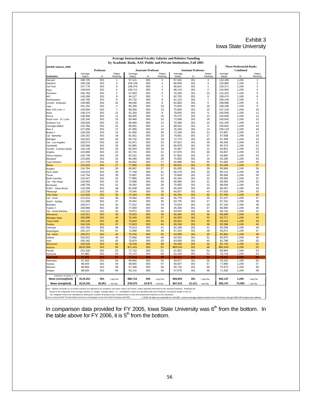#### Exhibit 3 Iowa State University

| <b>Average Instructional Faculty Salaries and Relative Standing</b> |                                                                                                                                                                                                                                                                                                                                                               |            |                       |                                                                  |                            |                     |                   |                            |                         |                    |                                             |                   |
|---------------------------------------------------------------------|---------------------------------------------------------------------------------------------------------------------------------------------------------------------------------------------------------------------------------------------------------------------------------------------------------------------------------------------------------------|------------|-----------------------|------------------------------------------------------------------|----------------------------|---------------------|-------------------|----------------------------|-------------------------|--------------------|---------------------------------------------|-------------------|
|                                                                     |                                                                                                                                                                                                                                                                                                                                                               |            |                       | by Academic Rank, AAU Public and Private Institutions, Fall 2005 |                            |                     |                   |                            |                         |                    |                                             |                   |
| AAUDE salaries, 2005                                                |                                                                                                                                                                                                                                                                                                                                                               | Professor  |                       |                                                                  | <b>Associate Professor</b> |                     |                   | <b>Assistant Professor</b> |                         |                    | <b>Three-Professorial-Ranks</b><br>Combined |                   |
| Institution                                                         | Average<br>Salary                                                                                                                                                                                                                                                                                                                                             | N          | Salary<br>Ranking     | Average<br>Salary                                                | N                          | Salary<br>Ranking   | Average<br>Salary | N                          | Salarv<br>Ranking       | Average<br>Salary  | N                                           | Salary<br>Ranking |
| Harvard                                                             | 168,745                                                                                                                                                                                                                                                                                                                                                       | 501        |                       | 97,121                                                           | 393                        | $\overline{4}$      | 87,342            | 351                        | 3                       | 123,186            | 1,245                                       | 1                 |
| Stanford                                                            | 156,236                                                                                                                                                                                                                                                                                                                                                       | 501        | 3                     | 106,128                                                          | 393                        | $\overline{2}$      | 86,949            | 351                        | $\overline{4}$          | 120,885            | 1,245                                       | $\overline{2}$    |
| Cal Tech                                                            | 147,779                                                                                                                                                                                                                                                                                                                                                       | 501        | 6                     | 106,470                                                          | 393                        | 1                   | 96,814            | 351                        | $\mathbf{1}$            | 120,371            | 1,245                                       | 3                 |
| lPenn                                                               | 149,919                                                                                                                                                                                                                                                                                                                                                       | 501        | 5                     | 100,711                                                          | 393                        | 3                   | 88,119            | 351                        | $\overline{\mathbf{c}}$ | 116,963            | 1,245                                       | 4                 |
| Princeton<br>MIT                                                    | 156,784<br>140,269                                                                                                                                                                                                                                                                                                                                            | 501<br>501 | $\boldsymbol{2}$<br>9 | 97,063<br>94,127                                                 | 393<br>393                 | 5<br>$\overline{7}$ | 76,266<br>82,702  | 351<br>351                 | 13<br>6                 | 115,232<br>109,474 | 1,245<br>1,245                              | 5<br>6            |
| Northwestern                                                        | 140,795                                                                                                                                                                                                                                                                                                                                                       | 501        | 8                     | 93,732                                                           | 393                        | 8                   | 81,210            | 351                        | $\overline{7}$          | 109,140            | 1,245                                       | $\overline{7}$    |
| Cornell - Endowed                                                   | 136,980                                                                                                                                                                                                                                                                                                                                                       | 501        | 10                    | 96,636                                                           | 393                        | 6                   | 82,893            | 351                        | 5                       | 108,996            | 1,245                                       | 8                 |
| Yale                                                                | 151,152                                                                                                                                                                                                                                                                                                                                                       | 501        | 4                     | 85,339                                                           | 393                        | 16                  | 72,835            | 351                        | 19                      | 108,298            | 1,245                                       | 9                 |
| New York Univ. #                                                    | 144,000                                                                                                                                                                                                                                                                                                                                                       | 501        | $\overline{7}$        | 88,300                                                           | 393                        | 13                  | 75,900            | 351                        | 15                      | 107,218            | 1,245                                       | 10                |
| Duke                                                                | 136,374                                                                                                                                                                                                                                                                                                                                                       | 501        | 12                    | 91,320                                                           | 393                        | 9                   | 78,835            | 351                        | 9                       | 105,930            | 1,245                                       | 11                |
| Emory                                                               | 136,956                                                                                                                                                                                                                                                                                                                                                       | 501        | 11                    | 86,205                                                           | 393                        | 15                  | 76,275            | 351                        | 12                      | 103,828            | 1,245                                       | 12                |
| Wash Univ - St. Louis                                               | 135,195                                                                                                                                                                                                                                                                                                                                                       | 501        | 13                    | 90,460                                                           | 393                        | 10                  | 73,366            | 351                        | 18                      | 103,642            | 1,245                                       | 13                |
| Southern Cal                                                        | 128,926                                                                                                                                                                                                                                                                                                                                                       | 501        | 15                    | 88,468                                                           | 393                        | 12                  | 76,396            | 351                        | 10                      | 101,345            | 1,245                                       | 14                |
| Carnegie Mellon                                                     | 123.784                                                                                                                                                                                                                                                                                                                                                       | 501        | 21                    | 89.091                                                           | 393                        | 11                  | 80.542            | 351                        | 8                       | 100.642            | 1.245                                       | 15                |
| Rice #                                                              | 127,000                                                                                                                                                                                                                                                                                                                                                       | 501        | 17                    | 87,300                                                           | 393                        | 14                  | 76,100            | 351                        | 14                      | 100.118            | 1.245                                       | 16                |
| Brown #                                                             | 129,200                                                                                                                                                                                                                                                                                                                                                       | 501        | 14                    | 81,000                                                           | 393                        | 26<br>23            | 72,100            | 351                        | 21<br>17                | 97,887             | 1,245                                       | 17                |
| Cal - Berkeley                                                      | 126,162                                                                                                                                                                                                                                                                                                                                                       | 501        | 19                    | 81,921                                                           | 393                        |                     | 74,061            | 351                        |                         | 97,508             | 1,245                                       | 18                |
| Michigan                                                            | 125,621<br>128,373                                                                                                                                                                                                                                                                                                                                            | 501<br>501 | 20<br>16              | 83,732<br>81,971                                                 | 393<br>393                 | 19<br>22            | 72,775<br>67,021  | 351<br>351                 | 20<br>29                | 97,499<br>96,428   | 1,245<br>1,245                              | 19<br>20          |
| Cal - Los Angeles<br>Vanderibit                                     | 126,566                                                                                                                                                                                                                                                                                                                                                       | 501        | 18                    | 81,865                                                           | 393                        | 24                  | 65,978            | 351                        | 32                      | 95,374             | 1,245                                       | 21                |
| Cornell - Contract (publ)                                           | 116,138                                                                                                                                                                                                                                                                                                                                                       | 501        | 29                    | 84,204                                                           | 393                        | 18                  | 76,387            | 351                        | 11                      | 94,851             | 1,245                                       | 22                |
| Virginia                                                            | 123,069                                                                                                                                                                                                                                                                                                                                                       | 501        | 22                    | 82,741                                                           | 393                        | 21                  | 67,976            | 351                        | 26                      | 94,807             | 1,245                                       | 23                |
| Johns Hopkins                                                       | 120,740                                                                                                                                                                                                                                                                                                                                                       | 501        | 23                    | 83,151                                                           | 393                        | 20                  | 67,952            | 351                        | 27                      | 93,992             | 1,245                                       | 24                |
| Maryland                                                            | 115,694                                                                                                                                                                                                                                                                                                                                                       | 501        | 31                    | 80,285                                                           | 393                        | 28                  | 75,855            | 351                        | 16                      | 93,285             | 1,245                                       | 25                |
| Case Western                                                        | 117,379                                                                                                                                                                                                                                                                                                                                                       | 501        | 25                    | 84,502                                                           | 393                        | 17                  | 62,688            | 351                        | 50                      | 91,582             | 1,245                                       | 26                |
| <b>Illinois</b>                                                     | 116,623                                                                                                                                                                                                                                                                                                                                                       | 501        | 27                    | 77,565                                                           | 393                        | 32                  | 69,631            | 351                        | 25                      | 91,046             | 1,245                                       | 27                |
| Rutgers                                                             | 116,764                                                                                                                                                                                                                                                                                                                                                       | 501        | 26                    | 80,697                                                           | 393                        | 27                  | 65,285            | 351                        | 38                      | 90,866             | 1,245                                       | 28                |
| Penn State                                                          | 116,514                                                                                                                                                                                                                                                                                                                                                       | 501        | 28                    | 77,748                                                           | 393                        | 31                  | 66,279            | 351                        | 30                      | 90,114             | 1,245                                       | 29                |
| Texas                                                               | 115,704                                                                                                                                                                                                                                                                                                                                                       | 501        | 30                    | 72,897                                                           | 393                        | 47                  | 70,669            | 351                        | 23                      | 89,495             | 1,245                                       | 30                |
| North Carolina                                                      | 115.347                                                                                                                                                                                                                                                                                                                                                       | 501        | 32                    | 77.885                                                           | 393                        | 30                  | 65.194            | 351                        | 42                      | 89.382             | 1.245                                       | 31                |
| Cal - San Diego                                                     | 118,093                                                                                                                                                                                                                                                                                                                                                       | 501<br>501 | 24<br>41              | 73,588                                                           | 393<br>393                 | 43<br>29            | 66,085            | 351<br>351                 | 31<br>22                | 89,382             | 1,245<br>1,245                              | 32<br>33          |
| Rochester                                                           | 108,759                                                                                                                                                                                                                                                                                                                                                       |            | 38                    | 78,362                                                           |                            | 25                  | 70,955            |                            | 40                      | 88,506             |                                             |                   |
| <b>SUNY - Stony Brook</b><br>Pittsburgh                             | 110,558<br>113,239                                                                                                                                                                                                                                                                                                                                            | 501<br>501 | 34                    | 81,048<br>75,545                                                 | 393<br>393                 | 39                  | 65,205<br>64,557  | 351<br>351                 | 43                      | 88,457<br>87,616   | 1,245<br>1,245                              | 34<br>35          |
| <b>Ohio State</b>                                                   | 112,645                                                                                                                                                                                                                                                                                                                                                       | 501        | 35                    | 74,194                                                           | 393                        | 42                  | 65,781            | 351                        | 34                      | 87,295             | 1,245                                       | 36                |
| Cal - Irvine                                                        | 112,213                                                                                                                                                                                                                                                                                                                                                       | 501        | 36                    | 74,594                                                           | 393                        | 40                  | 65,778            | 351                        | 35                      | 87,247             | 1,245                                       | 37                |
| SUNY - Buffalo                                                      | 111,568                                                                                                                                                                                                                                                                                                                                                       | 501        | 37                    | 76,942                                                           | 393                        | 35                  | 63,735            | 351                        | 47                      | 87,152             | 1,245                                       | 38                |
| Brandeis                                                            | 106,677                                                                                                                                                                                                                                                                                                                                                       | 501        | 43                    | 77,012                                                           | 393                        | 33                  | 70,524            | 351                        | 24                      | 87,120             | 1,245                                       | 39                |
| Tulane #                                                            | 109,800                                                                                                                                                                                                                                                                                                                                                       | 501        | 40                    | 77,000                                                           | 393                        | 34                  | 65,300            | 351                        | 37                      | 86,900             | 1,245                                       | 40                |
| Cal - Santa Barbara                                                 | 115,131                                                                                                                                                                                                                                                                                                                                                       | 501        | 33                    | 70,871                                                           | 393                        | 54                  | 63,876            | 351                        | 46                      | 86,710             | 1,245                                       | 41                |
| Minnesota                                                           | 110,311                                                                                                                                                                                                                                                                                                                                                       | 501        | 39                    | 75,633                                                           | 393                        | 38                  | 65,385            | 351                        | 36                      | 86,699             | 1,245                                       | 42                |
| <b>Michigan State</b>                                               | 105,890                                                                                                                                                                                                                                                                                                                                                       | 501        | 44                    | 76,449                                                           | 393                        | 37                  | 60,205            | 351                        | 55                      | 83,717             | 1,245                                       | 43                |
| <b>Texas A&amp;M</b>                                                | 104,146                                                                                                                                                                                                                                                                                                                                                       | 501        | 48                    | 73,034                                                           | 393                        | 44                  | 65,815            | 351                        | 33                      | 83,519             | 1,245                                       | 44                |
| Purdue                                                              | 104,319                                                                                                                                                                                                                                                                                                                                                       | 501        | 47                    | 72,923                                                           | 393                        | 45                  | 65,259            | 351                        | 39                      | 83,396             | 1,245                                       | 45                |
| Colorado                                                            | 102,764<br>102.147                                                                                                                                                                                                                                                                                                                                            | 501<br>501 | 49<br>51              | 74,513<br>72.908                                                 | 393<br>393                 | 41<br>46            | 65,199            | 351<br>351                 | 41<br>28                | 83,256<br>83.071   | 1,245<br>1.245                              | 46<br>47          |
| Washington<br>Cal - Davis                                           | 106,971                                                                                                                                                                                                                                                                                                                                                       | 501        | 42                    | 70,156                                                           | 393                        | 55                  | 67,223<br>63,099  | 351                        | 49                      | 82,981             | 1,245                                       | 48                |
| Indiana                                                             | 104,922                                                                                                                                                                                                                                                                                                                                                       | 501        | 46                    | 72,848                                                           | 393                        | 48                  | 62,632            | 351                        | 51                      | 82,875             | 1,245                                       | 49                |
| lowa                                                                | 105,342                                                                                                                                                                                                                                                                                                                                                       | 501        | 45                    | 70,879                                                           | 393                        | 53                  | 63,930            | 351                        | 45                      | 82,788             | 1.245                                       | 50                |
| Wisconsin                                                           | 100,529                                                                                                                                                                                                                                                                                                                                                       | 501        | 53                    | 76,518                                                           | 393                        | 36                  | 64,296            | 351                        | 44                      | 82,735             | 1,245                                       | 51                |
| Arizona                                                             | \$102,268                                                                                                                                                                                                                                                                                                                                                     | 501        | 50                    | \$71,441                                                         | 393                        | 52                  | \$63,543          | 351                        | 48                      | \$81,619           | 1,245                                       | 52                |
| Florida                                                             | 101,418                                                                                                                                                                                                                                                                                                                                                       | 501        | 52                    | 71,710                                                           | 393                        | 51                  | 61,562            | 351                        | 54                      | 80,804             | 1,245                                       | 53                |
| Svracuse                                                            | 97,880                                                                                                                                                                                                                                                                                                                                                        | 501        | 55                    | 72,172                                                           | 393                        | 50                  | 62,246            | 351                        | 52                      | 79,718             | 1,245                                       | 54                |
| lowa State                                                          | 97.202                                                                                                                                                                                                                                                                                                                                                        | 501        | 57                    | 72,314                                                           | 393                        | 49                  | 61,717            | 351                        | 53                      | 79,341             | 1.245                                       | 55                |
| Nebraska                                                            | 97,502                                                                                                                                                                                                                                                                                                                                                        | 501        | 56                    | 69,845                                                           | 393                        | 56                  | 59,977            | 351                        | 56                      | 78,192             | 1,245                                       | 56                |
| Kansas                                                              | 98,044                                                                                                                                                                                                                                                                                                                                                        | 501        | 54                    | 68,655                                                           | 393                        | 57                  | 59,357            | 351                        | 57                      | 77,860             | 1,245                                       | 57                |
| Missouri                                                            | 96,683                                                                                                                                                                                                                                                                                                                                                        | 501        | 58                    | 67,348                                                           | 393                        | 58                  | 55,716            | 351                        | 59                      | 75,873             | 1,245                                       | 58                |
| Oregon                                                              | 88,020                                                                                                                                                                                                                                                                                                                                                        | 501        | 59                    | 63,115                                                           | 393                        | 59                  | 57,078            | 351                        | 58                      | 71,435             | 1,245                                       | 59                |
| institutions included, $n = 59$<br>Mean (unweighted)                | \$119,251                                                                                                                                                                                                                                                                                                                                                     | 501        | $=$ avg # fac         | \$80,716                                                         | 393                        | $=$ avg # fac       | \$69,804          | 351                        | $=$ avg # fac           | \$93,147           | 1,245                                       | $=$ avg # fac     |
| Mean (weighted)                                                     | \$115,341                                                                                                                                                                                                                                                                                                                                                     | 30,561     | $=$ tot $\#$ fac      | \$78,070                                                         | 23,973                     | $=$ tot $\#$ fac    | \$67,515          | 21,411                     | $=$ tot $\#$ fac        | \$93,147           | 73,455                                      | $=$ tot $\#$ fac  |
|                                                                     |                                                                                                                                                                                                                                                                                                                                                               |            |                       |                                                                  |                            |                     |                   |                            |                         |                    |                                             |                   |
|                                                                     | ote: Salaries of faculty on 12-month contracts are adjusted to an academic year basis using a 9/11 factor, unless specified otherwise by the reporting institution. Rankings are<br>based on the magnitude of the average salaries (i.e. largest average salary = 1). 'Unweighted' means are calculated with each institution carrying the weight of one (1). |            |                       |                                                                  |                            |                     |                   |                            |                         |                    |                                             |                   |

The 'weighted means are calculated ty allowing the rumber of faculty at each institutionfrank to have that proportional influence on the calculation.<br>Source: Annual AAUP Faculty Salary Surveys as exchanged via the AAU Data

In comparison data provided for FY 2005, Iowa State University was  $6<sup>th</sup>$  from the bottom. In the table above for FY 2006, it is  $5<sup>th</sup>$  from the bottom.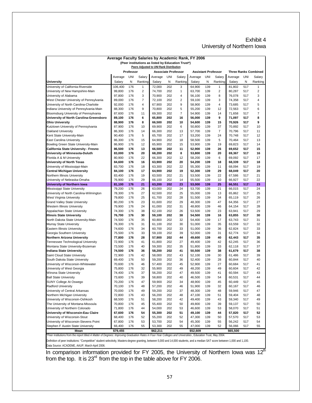#### Exhibit 4 University of Northern Iowa

| (Peer institutions as listed by Education Trust*)<br>Peers Adjusted to UNI Rank Distribution<br>Professor<br><b>Assistant Professor</b><br><b>Three Ranks Combined</b><br><b>Associate Professor</b><br>UNI<br>Average<br>Salary<br>Average<br>UNI<br>Salary<br>Average<br>UNI<br>Salary<br>Average<br>UNI<br>Salary<br>N<br>Ranking<br>N<br>Ranking<br>Ranking<br>N<br>Ranking<br><b>University</b><br>Salary<br>Salary<br>Salary<br>N<br>Salary<br>176<br>University of California-Riverside<br>106,400<br>1<br>72.000<br>202<br>64,900<br>139<br>1<br>81,802<br>517<br>3<br>1<br>$\overline{2}$<br>99,800<br>176<br>74.700<br>202<br>1<br>63,700<br>2<br>80,287<br>$\overline{2}$<br>University of New Hampshire-Main<br>139<br>517<br>97,800<br>176<br>3<br>70,900<br>202<br>4<br>139<br>8<br>3<br>University of Alabama<br>56,100<br>76,078<br>517<br>$\overline{7}$<br>$\overline{2}$<br>West Chester University of Pennsylvania<br>89,000<br>176<br>72,100<br>202<br>59,100<br>139<br>3<br>74,358<br>4<br>517<br>University of North Carolina-Charlotte<br>92,000<br>176<br>4<br>67,900<br>9<br>139<br>4<br>5<br>202<br>58,900<br>73,685<br>517<br>9<br>70,800<br>5<br>6<br>Indiana University of Pennsylvania-Main<br>88,300<br>176<br>202<br>55,200<br>139<br>12<br>72,563<br>517<br>$\overline{7}$<br>69,300<br>7<br>Bloomsburg University of Pennsylvania<br>87,600<br>176<br>11<br>202<br>54,900<br>139<br>14<br>71,658<br>517<br>University of North Carolina-Greensboro<br>176<br>65.800<br>9<br>71,097<br>8<br>89,100<br>6<br>202<br>16<br>56,000<br>139<br>517<br><b>Ohio University</b><br>176<br>8<br>66,500<br>202<br>10<br>54,600<br>139<br>15<br>70,926<br>517<br>9<br>88,900<br>Kutztown University of Pennsylvania<br>87,900<br>69,900<br>202<br>70,892<br>176<br>10<br>6<br>50,800<br>139<br>37<br>517<br>10<br>$\overline{7}$<br>66,300<br>Oakland University<br>86,300<br>176<br>14<br>202<br>13<br>57,700<br>139<br>70,796<br>517<br>11<br>176<br>5<br>65,700<br>Kent State University-Main<br>90,400<br>202<br>17<br>53,200<br>139<br>24<br>70,748<br>517<br>12<br>5<br>East Carolina University<br>64,900<br>70,464<br>86,300<br>176<br>15<br>202<br>18<br>58,500<br>139<br>517<br>13<br>Bowling Green State University-Main<br>86,900<br>176<br>12<br>65,900<br>202<br>139<br>19<br>69,823<br>15<br>53,900<br>517<br>14<br>86,500<br>176<br>66,500<br>11<br>139<br>26<br>69,652<br>California State University - Fresno<br>13<br>202<br>52,900<br>517<br>15<br>176<br>8<br>University of Minnesota-Duluth<br>83,000<br>20<br>68,200<br>202<br>53,800<br>139<br>20<br>69,367<br>517<br>16<br>66,300<br>12<br>6<br>69,092<br>Florida A & M University<br>80,900<br>176<br>22<br>202<br>58,200<br>139<br>517<br>17<br>176<br>63,900<br>202<br>20<br>84,600<br>16<br>54,200<br>139<br>18<br>68,339<br>517<br>18<br>83,700<br>176<br>63,300<br>202<br>22<br>139<br>11<br>68,094<br>19<br>18<br>55,300<br>517<br>84,100<br>176<br>64,900<br>202<br>19<br>52,300<br>139<br>29<br>68,049<br>20<br>17<br>517<br>63,500<br>67,586<br>83,400<br>176<br>19<br>202<br>21<br>53,500<br>139<br>22<br>517<br>21<br>76,900<br>66,100<br>14<br>10<br>66.927<br>22<br>176<br>29<br>202<br>55,500<br>139<br>517<br>63,200<br>202<br>139<br>66.551<br>81,100<br>176<br>21<br>23<br>53,000<br>25<br>517<br>23<br>79,200<br>176<br>63,000<br>202<br>53,700<br>139<br>21<br>517<br>26<br>24<br>66,015<br>24<br>78,300<br>176<br>62,500<br>25<br>65,862<br>27<br>202<br>55,000<br>139<br>13<br>517<br>25<br>61,700<br>79,800<br>176<br>25<br>202<br>28<br>51,500<br>139<br>34<br>65,119<br>517<br>26<br>176<br>61,600<br>64,356<br>80,200<br>23<br>202<br>29<br>48,300<br>139<br>47<br>517<br>27<br>79,900<br>61,000<br>64,154<br>176<br>24<br>202<br>31<br>48,800<br>139<br>46<br>517<br>28<br>176<br>62,100<br>202<br>26<br>139<br>23<br>63,941<br>29<br>74,300<br>38<br>53,500<br>517<br>76,700<br>176<br>59,100<br>202<br>38<br>139<br>63,855<br><b>Illinois State University</b><br>30<br>54,500<br>16<br>517<br>30<br>North Dakota State University-Main<br>74,500<br>176<br>60,800<br>202<br>32<br>54,400<br>139<br>63,743<br>35<br>17<br>517<br>31<br>61,100<br>63,559<br>Murray State University<br>76,300<br>176<br>31<br>202<br>30<br>51,000<br>139<br>35<br>517<br>32<br>Eastern Illinois University<br>60,700<br>33<br>36<br>62,824<br>74,600<br>176<br>34<br>202<br>51,000<br>139<br>517<br>33<br>176<br>59,100<br>202<br>39<br>139<br>62,774<br>Georgia Southern University<br>75,500<br>33<br>52,000<br>31<br>517<br>34<br>77,800<br>176<br>28<br>57,900<br>139<br>40<br>62,443<br>Northern Arizona University<br>202<br>44<br>49,600<br>517<br>35<br>Tennessee Technological University<br>176<br>61,800<br>42<br>62,245<br>72,900<br>41<br>202<br>27<br>49,400<br>139<br>517<br>36<br>59,300<br>Montana State University-Bozeman<br>73,500<br>176<br>40<br>202<br>35<br>51,800<br>139<br>33<br>62,118<br>517<br>37<br>176<br>58,200<br>61,679<br><b>Indiana State University</b><br>74,500<br>36<br>202<br>41<br>50,500<br>139<br>38<br>517<br>38<br>72,900<br>176<br>42<br>58,000<br>202<br>43<br>139<br>30<br>61,486<br>Saint Cloud State University<br>52,100<br>517<br>39<br>176<br>59,200<br>202<br>36<br>139<br>28<br>60,844<br>40<br>South Dakota State University<br>69,400<br>50<br>52,400<br>517<br>70,600<br>57,400<br>202<br>52,900<br>60,684<br>University of Wisconsin-Whitewater<br>176<br>46<br>45<br>139<br>27<br>517<br>41<br>55,900<br>University of West Georgia<br>75,800<br>176<br>32<br>202<br>49<br>48,200<br>139<br>49<br>60.604<br>517<br>42<br>56,200<br>60,594<br>43<br>Winona State University<br>74,400<br>176<br>37<br>202<br>47<br>49,500<br>139<br>41<br>517<br>73,600<br>176<br>39<br>58,800<br>202<br>40<br>46,500<br>139<br>54<br>60,531<br>517<br>44<br><b>Ball State University</b><br>59,900<br>SUNY College At Oswego<br>70,200<br>176<br>47<br>202<br>34<br>48,900<br>139<br>45<br>60.449<br>517<br>45<br>70,100<br>176<br>48<br>57,200<br>202<br>46<br>51,900<br>139<br>60,167<br>517<br>46<br>32<br>70,000<br>176<br>49<br>59,200<br>202<br>37<br>48,300<br>139<br>48<br>59,946<br>47<br>517<br>72,800<br>176<br>56,200<br>47,100<br>59,404<br>43<br>202<br>48<br>139<br>51<br>517<br>48<br>176<br>58,200<br>202<br>42<br>139<br>59,340<br>49<br>68,500<br>51<br>49,400<br>43<br>517<br>70,800<br>176<br>55,400<br>202<br>50<br>49,800<br>139<br>39<br>59,137<br>45<br>517<br>50<br>71,800<br>176<br>54,000<br>202<br>53<br>46,600<br>139<br>58,070<br>44<br>53<br>517<br>51<br>176<br>55,300<br>202<br>57,820<br>52<br>67,600<br>54<br>51<br>49,100<br>139<br>44<br>517<br>176<br>55,200<br>52<br>47,300<br>57,570<br>53<br>68,400<br>52<br>202<br>139<br>50<br>517<br>53,700<br>202<br>56,242<br>67,800<br>176<br>53<br>54<br>45,300<br>139<br>55<br>517<br>54<br>53,300<br>47,000<br>66,400<br>176<br>55<br>202<br>55<br>139<br>52<br>56,066<br>517<br>55<br>\$79,455<br>\$62,211<br>\$52,609<br>\$65,500<br>Mean | Average Faculty Salaries by Academic Rank, FY 2006 |  |  |  |  |  |  |  |  |  |  |
|----------------------------------------------------------------------------------------------------------------------------------------------------------------------------------------------------------------------------------------------------------------------------------------------------------------------------------------------------------------------------------------------------------------------------------------------------------------------------------------------------------------------------------------------------------------------------------------------------------------------------------------------------------------------------------------------------------------------------------------------------------------------------------------------------------------------------------------------------------------------------------------------------------------------------------------------------------------------------------------------------------------------------------------------------------------------------------------------------------------------------------------------------------------------------------------------------------------------------------------------------------------------------------------------------------------------------------------------------------------------------------------------------------------------------------------------------------------------------------------------------------------------------------------------------------------------------------------------------------------------------------------------------------------------------------------------------------------------------------------------------------------------------------------------------------------------------------------------------------------------------------------------------------------------------------------------------------------------------------------------------------------------------------------------------------------------------------------------------------------------------------------------------------------------------------------------------------------------------------------------------------------------------------------------------------------------------------------------------------------------------------------------------------------------------------------------------------------------------------------------------------------------------------------------------------------------------------------------------------------------------------------------------------------------------------------------------------------------------------------------------------------------------------------------------------------------------------------------------------------------------------------------------------------------------------------------------------------------------------------------------------------------------------------------------------------------------------------------------------------------------------------------------------------------------------------------------------------------------------------------------------------------------------------------------------------------------------------------------------------------------------------------------------------------------------------------------------------------------------------------------------------------------------------------------------------------------------------------------------------------------------------------------------------------------------------------------------------------------------------------------------------------------------------------------------------------------------------------------------------------------------------------------------------------------------------------------------------------------------------------------------------------------------------------------------------------------------------------------------------------------------------------------------------------------------------------------------------------------------------------------------------------------------------------------------------------------------------------------------------------------------------------------------------------------------------------------------------------------------------------------------------------------------------------------------------------------------------------------------------------------------------------------------------------------------------------------------------------------------------------------------------------------------------------------------------------------------------------------------------------------------------------------------------------------------------------------------------------------------------------------------------------------------------------------------------------------------------------------------------------------------------------------------------------------------------------------------------------------------------------------------------------------------------------------------------------------------------------------------------------------------------------------------------------------------------------------------------------------------------------------------------------------------------------------------------------------------------------------------------------------------------------------------------------------------------------------------------------------------------------------------------------------------------------------------------------------------------------------------------------------------------------------------------------------------------------------------------------------------------------------------------------------------------------------------------------------------------------------------------------------------------------------------------------------------------------------------------------------------------------------------------------------------------------------------------------------------------------------------------------------------------------------------------------------------------------------------------------------------------------------------------------------------------------------------------------------------------------------------------------------------------------------------------------------------------------------------------------------------------------------------------------------------------------------------------------------------------------------------------------------------------------------------------------------------------------------------------------------------------|----------------------------------------------------|--|--|--|--|--|--|--|--|--|--|
|                                                                                                                                                                                                                                                                                                                                                                                                                                                                                                                                                                                                                                                                                                                                                                                                                                                                                                                                                                                                                                                                                                                                                                                                                                                                                                                                                                                                                                                                                                                                                                                                                                                                                                                                                                                                                                                                                                                                                                                                                                                                                                                                                                                                                                                                                                                                                                                                                                                                                                                                                                                                                                                                                                                                                                                                                                                                                                                                                                                                                                                                                                                                                                                                                                                                                                                                                                                                                                                                                                                                                                                                                                                                                                                                                                                                                                                                                                                                                                                                                                                                                                                                                                                                                                                                                                                                                                                                                                                                                                                                                                                                                                                                                                                                                                                                                                                                                                                                                                                                                                                                                                                                                                                                                                                                                                                                                                                                                                                                                                                                                                                                                                                                                                                                                                                                                                                                                                                                                                                                                                                                                                                                                                                                                                                                                                                                                                                                                                                                                                                                                                                                                                                                                                                                                                                                                                                                                                                                                                                        |                                                    |  |  |  |  |  |  |  |  |  |  |
|                                                                                                                                                                                                                                                                                                                                                                                                                                                                                                                                                                                                                                                                                                                                                                                                                                                                                                                                                                                                                                                                                                                                                                                                                                                                                                                                                                                                                                                                                                                                                                                                                                                                                                                                                                                                                                                                                                                                                                                                                                                                                                                                                                                                                                                                                                                                                                                                                                                                                                                                                                                                                                                                                                                                                                                                                                                                                                                                                                                                                                                                                                                                                                                                                                                                                                                                                                                                                                                                                                                                                                                                                                                                                                                                                                                                                                                                                                                                                                                                                                                                                                                                                                                                                                                                                                                                                                                                                                                                                                                                                                                                                                                                                                                                                                                                                                                                                                                                                                                                                                                                                                                                                                                                                                                                                                                                                                                                                                                                                                                                                                                                                                                                                                                                                                                                                                                                                                                                                                                                                                                                                                                                                                                                                                                                                                                                                                                                                                                                                                                                                                                                                                                                                                                                                                                                                                                                                                                                                                                        |                                                    |  |  |  |  |  |  |  |  |  |  |
|                                                                                                                                                                                                                                                                                                                                                                                                                                                                                                                                                                                                                                                                                                                                                                                                                                                                                                                                                                                                                                                                                                                                                                                                                                                                                                                                                                                                                                                                                                                                                                                                                                                                                                                                                                                                                                                                                                                                                                                                                                                                                                                                                                                                                                                                                                                                                                                                                                                                                                                                                                                                                                                                                                                                                                                                                                                                                                                                                                                                                                                                                                                                                                                                                                                                                                                                                                                                                                                                                                                                                                                                                                                                                                                                                                                                                                                                                                                                                                                                                                                                                                                                                                                                                                                                                                                                                                                                                                                                                                                                                                                                                                                                                                                                                                                                                                                                                                                                                                                                                                                                                                                                                                                                                                                                                                                                                                                                                                                                                                                                                                                                                                                                                                                                                                                                                                                                                                                                                                                                                                                                                                                                                                                                                                                                                                                                                                                                                                                                                                                                                                                                                                                                                                                                                                                                                                                                                                                                                                                        |                                                    |  |  |  |  |  |  |  |  |  |  |
|                                                                                                                                                                                                                                                                                                                                                                                                                                                                                                                                                                                                                                                                                                                                                                                                                                                                                                                                                                                                                                                                                                                                                                                                                                                                                                                                                                                                                                                                                                                                                                                                                                                                                                                                                                                                                                                                                                                                                                                                                                                                                                                                                                                                                                                                                                                                                                                                                                                                                                                                                                                                                                                                                                                                                                                                                                                                                                                                                                                                                                                                                                                                                                                                                                                                                                                                                                                                                                                                                                                                                                                                                                                                                                                                                                                                                                                                                                                                                                                                                                                                                                                                                                                                                                                                                                                                                                                                                                                                                                                                                                                                                                                                                                                                                                                                                                                                                                                                                                                                                                                                                                                                                                                                                                                                                                                                                                                                                                                                                                                                                                                                                                                                                                                                                                                                                                                                                                                                                                                                                                                                                                                                                                                                                                                                                                                                                                                                                                                                                                                                                                                                                                                                                                                                                                                                                                                                                                                                                                                        |                                                    |  |  |  |  |  |  |  |  |  |  |
|                                                                                                                                                                                                                                                                                                                                                                                                                                                                                                                                                                                                                                                                                                                                                                                                                                                                                                                                                                                                                                                                                                                                                                                                                                                                                                                                                                                                                                                                                                                                                                                                                                                                                                                                                                                                                                                                                                                                                                                                                                                                                                                                                                                                                                                                                                                                                                                                                                                                                                                                                                                                                                                                                                                                                                                                                                                                                                                                                                                                                                                                                                                                                                                                                                                                                                                                                                                                                                                                                                                                                                                                                                                                                                                                                                                                                                                                                                                                                                                                                                                                                                                                                                                                                                                                                                                                                                                                                                                                                                                                                                                                                                                                                                                                                                                                                                                                                                                                                                                                                                                                                                                                                                                                                                                                                                                                                                                                                                                                                                                                                                                                                                                                                                                                                                                                                                                                                                                                                                                                                                                                                                                                                                                                                                                                                                                                                                                                                                                                                                                                                                                                                                                                                                                                                                                                                                                                                                                                                                                        |                                                    |  |  |  |  |  |  |  |  |  |  |
|                                                                                                                                                                                                                                                                                                                                                                                                                                                                                                                                                                                                                                                                                                                                                                                                                                                                                                                                                                                                                                                                                                                                                                                                                                                                                                                                                                                                                                                                                                                                                                                                                                                                                                                                                                                                                                                                                                                                                                                                                                                                                                                                                                                                                                                                                                                                                                                                                                                                                                                                                                                                                                                                                                                                                                                                                                                                                                                                                                                                                                                                                                                                                                                                                                                                                                                                                                                                                                                                                                                                                                                                                                                                                                                                                                                                                                                                                                                                                                                                                                                                                                                                                                                                                                                                                                                                                                                                                                                                                                                                                                                                                                                                                                                                                                                                                                                                                                                                                                                                                                                                                                                                                                                                                                                                                                                                                                                                                                                                                                                                                                                                                                                                                                                                                                                                                                                                                                                                                                                                                                                                                                                                                                                                                                                                                                                                                                                                                                                                                                                                                                                                                                                                                                                                                                                                                                                                                                                                                                                        |                                                    |  |  |  |  |  |  |  |  |  |  |
|                                                                                                                                                                                                                                                                                                                                                                                                                                                                                                                                                                                                                                                                                                                                                                                                                                                                                                                                                                                                                                                                                                                                                                                                                                                                                                                                                                                                                                                                                                                                                                                                                                                                                                                                                                                                                                                                                                                                                                                                                                                                                                                                                                                                                                                                                                                                                                                                                                                                                                                                                                                                                                                                                                                                                                                                                                                                                                                                                                                                                                                                                                                                                                                                                                                                                                                                                                                                                                                                                                                                                                                                                                                                                                                                                                                                                                                                                                                                                                                                                                                                                                                                                                                                                                                                                                                                                                                                                                                                                                                                                                                                                                                                                                                                                                                                                                                                                                                                                                                                                                                                                                                                                                                                                                                                                                                                                                                                                                                                                                                                                                                                                                                                                                                                                                                                                                                                                                                                                                                                                                                                                                                                                                                                                                                                                                                                                                                                                                                                                                                                                                                                                                                                                                                                                                                                                                                                                                                                                                                        |                                                    |  |  |  |  |  |  |  |  |  |  |
|                                                                                                                                                                                                                                                                                                                                                                                                                                                                                                                                                                                                                                                                                                                                                                                                                                                                                                                                                                                                                                                                                                                                                                                                                                                                                                                                                                                                                                                                                                                                                                                                                                                                                                                                                                                                                                                                                                                                                                                                                                                                                                                                                                                                                                                                                                                                                                                                                                                                                                                                                                                                                                                                                                                                                                                                                                                                                                                                                                                                                                                                                                                                                                                                                                                                                                                                                                                                                                                                                                                                                                                                                                                                                                                                                                                                                                                                                                                                                                                                                                                                                                                                                                                                                                                                                                                                                                                                                                                                                                                                                                                                                                                                                                                                                                                                                                                                                                                                                                                                                                                                                                                                                                                                                                                                                                                                                                                                                                                                                                                                                                                                                                                                                                                                                                                                                                                                                                                                                                                                                                                                                                                                                                                                                                                                                                                                                                                                                                                                                                                                                                                                                                                                                                                                                                                                                                                                                                                                                                                        |                                                    |  |  |  |  |  |  |  |  |  |  |
|                                                                                                                                                                                                                                                                                                                                                                                                                                                                                                                                                                                                                                                                                                                                                                                                                                                                                                                                                                                                                                                                                                                                                                                                                                                                                                                                                                                                                                                                                                                                                                                                                                                                                                                                                                                                                                                                                                                                                                                                                                                                                                                                                                                                                                                                                                                                                                                                                                                                                                                                                                                                                                                                                                                                                                                                                                                                                                                                                                                                                                                                                                                                                                                                                                                                                                                                                                                                                                                                                                                                                                                                                                                                                                                                                                                                                                                                                                                                                                                                                                                                                                                                                                                                                                                                                                                                                                                                                                                                                                                                                                                                                                                                                                                                                                                                                                                                                                                                                                                                                                                                                                                                                                                                                                                                                                                                                                                                                                                                                                                                                                                                                                                                                                                                                                                                                                                                                                                                                                                                                                                                                                                                                                                                                                                                                                                                                                                                                                                                                                                                                                                                                                                                                                                                                                                                                                                                                                                                                                                        |                                                    |  |  |  |  |  |  |  |  |  |  |
|                                                                                                                                                                                                                                                                                                                                                                                                                                                                                                                                                                                                                                                                                                                                                                                                                                                                                                                                                                                                                                                                                                                                                                                                                                                                                                                                                                                                                                                                                                                                                                                                                                                                                                                                                                                                                                                                                                                                                                                                                                                                                                                                                                                                                                                                                                                                                                                                                                                                                                                                                                                                                                                                                                                                                                                                                                                                                                                                                                                                                                                                                                                                                                                                                                                                                                                                                                                                                                                                                                                                                                                                                                                                                                                                                                                                                                                                                                                                                                                                                                                                                                                                                                                                                                                                                                                                                                                                                                                                                                                                                                                                                                                                                                                                                                                                                                                                                                                                                                                                                                                                                                                                                                                                                                                                                                                                                                                                                                                                                                                                                                                                                                                                                                                                                                                                                                                                                                                                                                                                                                                                                                                                                                                                                                                                                                                                                                                                                                                                                                                                                                                                                                                                                                                                                                                                                                                                                                                                                                                        |                                                    |  |  |  |  |  |  |  |  |  |  |
|                                                                                                                                                                                                                                                                                                                                                                                                                                                                                                                                                                                                                                                                                                                                                                                                                                                                                                                                                                                                                                                                                                                                                                                                                                                                                                                                                                                                                                                                                                                                                                                                                                                                                                                                                                                                                                                                                                                                                                                                                                                                                                                                                                                                                                                                                                                                                                                                                                                                                                                                                                                                                                                                                                                                                                                                                                                                                                                                                                                                                                                                                                                                                                                                                                                                                                                                                                                                                                                                                                                                                                                                                                                                                                                                                                                                                                                                                                                                                                                                                                                                                                                                                                                                                                                                                                                                                                                                                                                                                                                                                                                                                                                                                                                                                                                                                                                                                                                                                                                                                                                                                                                                                                                                                                                                                                                                                                                                                                                                                                                                                                                                                                                                                                                                                                                                                                                                                                                                                                                                                                                                                                                                                                                                                                                                                                                                                                                                                                                                                                                                                                                                                                                                                                                                                                                                                                                                                                                                                                                        |                                                    |  |  |  |  |  |  |  |  |  |  |
|                                                                                                                                                                                                                                                                                                                                                                                                                                                                                                                                                                                                                                                                                                                                                                                                                                                                                                                                                                                                                                                                                                                                                                                                                                                                                                                                                                                                                                                                                                                                                                                                                                                                                                                                                                                                                                                                                                                                                                                                                                                                                                                                                                                                                                                                                                                                                                                                                                                                                                                                                                                                                                                                                                                                                                                                                                                                                                                                                                                                                                                                                                                                                                                                                                                                                                                                                                                                                                                                                                                                                                                                                                                                                                                                                                                                                                                                                                                                                                                                                                                                                                                                                                                                                                                                                                                                                                                                                                                                                                                                                                                                                                                                                                                                                                                                                                                                                                                                                                                                                                                                                                                                                                                                                                                                                                                                                                                                                                                                                                                                                                                                                                                                                                                                                                                                                                                                                                                                                                                                                                                                                                                                                                                                                                                                                                                                                                                                                                                                                                                                                                                                                                                                                                                                                                                                                                                                                                                                                                                        |                                                    |  |  |  |  |  |  |  |  |  |  |
|                                                                                                                                                                                                                                                                                                                                                                                                                                                                                                                                                                                                                                                                                                                                                                                                                                                                                                                                                                                                                                                                                                                                                                                                                                                                                                                                                                                                                                                                                                                                                                                                                                                                                                                                                                                                                                                                                                                                                                                                                                                                                                                                                                                                                                                                                                                                                                                                                                                                                                                                                                                                                                                                                                                                                                                                                                                                                                                                                                                                                                                                                                                                                                                                                                                                                                                                                                                                                                                                                                                                                                                                                                                                                                                                                                                                                                                                                                                                                                                                                                                                                                                                                                                                                                                                                                                                                                                                                                                                                                                                                                                                                                                                                                                                                                                                                                                                                                                                                                                                                                                                                                                                                                                                                                                                                                                                                                                                                                                                                                                                                                                                                                                                                                                                                                                                                                                                                                                                                                                                                                                                                                                                                                                                                                                                                                                                                                                                                                                                                                                                                                                                                                                                                                                                                                                                                                                                                                                                                                                        |                                                    |  |  |  |  |  |  |  |  |  |  |
|                                                                                                                                                                                                                                                                                                                                                                                                                                                                                                                                                                                                                                                                                                                                                                                                                                                                                                                                                                                                                                                                                                                                                                                                                                                                                                                                                                                                                                                                                                                                                                                                                                                                                                                                                                                                                                                                                                                                                                                                                                                                                                                                                                                                                                                                                                                                                                                                                                                                                                                                                                                                                                                                                                                                                                                                                                                                                                                                                                                                                                                                                                                                                                                                                                                                                                                                                                                                                                                                                                                                                                                                                                                                                                                                                                                                                                                                                                                                                                                                                                                                                                                                                                                                                                                                                                                                                                                                                                                                                                                                                                                                                                                                                                                                                                                                                                                                                                                                                                                                                                                                                                                                                                                                                                                                                                                                                                                                                                                                                                                                                                                                                                                                                                                                                                                                                                                                                                                                                                                                                                                                                                                                                                                                                                                                                                                                                                                                                                                                                                                                                                                                                                                                                                                                                                                                                                                                                                                                                                                        |                                                    |  |  |  |  |  |  |  |  |  |  |
|                                                                                                                                                                                                                                                                                                                                                                                                                                                                                                                                                                                                                                                                                                                                                                                                                                                                                                                                                                                                                                                                                                                                                                                                                                                                                                                                                                                                                                                                                                                                                                                                                                                                                                                                                                                                                                                                                                                                                                                                                                                                                                                                                                                                                                                                                                                                                                                                                                                                                                                                                                                                                                                                                                                                                                                                                                                                                                                                                                                                                                                                                                                                                                                                                                                                                                                                                                                                                                                                                                                                                                                                                                                                                                                                                                                                                                                                                                                                                                                                                                                                                                                                                                                                                                                                                                                                                                                                                                                                                                                                                                                                                                                                                                                                                                                                                                                                                                                                                                                                                                                                                                                                                                                                                                                                                                                                                                                                                                                                                                                                                                                                                                                                                                                                                                                                                                                                                                                                                                                                                                                                                                                                                                                                                                                                                                                                                                                                                                                                                                                                                                                                                                                                                                                                                                                                                                                                                                                                                                                        |                                                    |  |  |  |  |  |  |  |  |  |  |
|                                                                                                                                                                                                                                                                                                                                                                                                                                                                                                                                                                                                                                                                                                                                                                                                                                                                                                                                                                                                                                                                                                                                                                                                                                                                                                                                                                                                                                                                                                                                                                                                                                                                                                                                                                                                                                                                                                                                                                                                                                                                                                                                                                                                                                                                                                                                                                                                                                                                                                                                                                                                                                                                                                                                                                                                                                                                                                                                                                                                                                                                                                                                                                                                                                                                                                                                                                                                                                                                                                                                                                                                                                                                                                                                                                                                                                                                                                                                                                                                                                                                                                                                                                                                                                                                                                                                                                                                                                                                                                                                                                                                                                                                                                                                                                                                                                                                                                                                                                                                                                                                                                                                                                                                                                                                                                                                                                                                                                                                                                                                                                                                                                                                                                                                                                                                                                                                                                                                                                                                                                                                                                                                                                                                                                                                                                                                                                                                                                                                                                                                                                                                                                                                                                                                                                                                                                                                                                                                                                                        |                                                    |  |  |  |  |  |  |  |  |  |  |
|                                                                                                                                                                                                                                                                                                                                                                                                                                                                                                                                                                                                                                                                                                                                                                                                                                                                                                                                                                                                                                                                                                                                                                                                                                                                                                                                                                                                                                                                                                                                                                                                                                                                                                                                                                                                                                                                                                                                                                                                                                                                                                                                                                                                                                                                                                                                                                                                                                                                                                                                                                                                                                                                                                                                                                                                                                                                                                                                                                                                                                                                                                                                                                                                                                                                                                                                                                                                                                                                                                                                                                                                                                                                                                                                                                                                                                                                                                                                                                                                                                                                                                                                                                                                                                                                                                                                                                                                                                                                                                                                                                                                                                                                                                                                                                                                                                                                                                                                                                                                                                                                                                                                                                                                                                                                                                                                                                                                                                                                                                                                                                                                                                                                                                                                                                                                                                                                                                                                                                                                                                                                                                                                                                                                                                                                                                                                                                                                                                                                                                                                                                                                                                                                                                                                                                                                                                                                                                                                                                                        |                                                    |  |  |  |  |  |  |  |  |  |  |
|                                                                                                                                                                                                                                                                                                                                                                                                                                                                                                                                                                                                                                                                                                                                                                                                                                                                                                                                                                                                                                                                                                                                                                                                                                                                                                                                                                                                                                                                                                                                                                                                                                                                                                                                                                                                                                                                                                                                                                                                                                                                                                                                                                                                                                                                                                                                                                                                                                                                                                                                                                                                                                                                                                                                                                                                                                                                                                                                                                                                                                                                                                                                                                                                                                                                                                                                                                                                                                                                                                                                                                                                                                                                                                                                                                                                                                                                                                                                                                                                                                                                                                                                                                                                                                                                                                                                                                                                                                                                                                                                                                                                                                                                                                                                                                                                                                                                                                                                                                                                                                                                                                                                                                                                                                                                                                                                                                                                                                                                                                                                                                                                                                                                                                                                                                                                                                                                                                                                                                                                                                                                                                                                                                                                                                                                                                                                                                                                                                                                                                                                                                                                                                                                                                                                                                                                                                                                                                                                                                                        |                                                    |  |  |  |  |  |  |  |  |  |  |
|                                                                                                                                                                                                                                                                                                                                                                                                                                                                                                                                                                                                                                                                                                                                                                                                                                                                                                                                                                                                                                                                                                                                                                                                                                                                                                                                                                                                                                                                                                                                                                                                                                                                                                                                                                                                                                                                                                                                                                                                                                                                                                                                                                                                                                                                                                                                                                                                                                                                                                                                                                                                                                                                                                                                                                                                                                                                                                                                                                                                                                                                                                                                                                                                                                                                                                                                                                                                                                                                                                                                                                                                                                                                                                                                                                                                                                                                                                                                                                                                                                                                                                                                                                                                                                                                                                                                                                                                                                                                                                                                                                                                                                                                                                                                                                                                                                                                                                                                                                                                                                                                                                                                                                                                                                                                                                                                                                                                                                                                                                                                                                                                                                                                                                                                                                                                                                                                                                                                                                                                                                                                                                                                                                                                                                                                                                                                                                                                                                                                                                                                                                                                                                                                                                                                                                                                                                                                                                                                                                                        |                                                    |  |  |  |  |  |  |  |  |  |  |
|                                                                                                                                                                                                                                                                                                                                                                                                                                                                                                                                                                                                                                                                                                                                                                                                                                                                                                                                                                                                                                                                                                                                                                                                                                                                                                                                                                                                                                                                                                                                                                                                                                                                                                                                                                                                                                                                                                                                                                                                                                                                                                                                                                                                                                                                                                                                                                                                                                                                                                                                                                                                                                                                                                                                                                                                                                                                                                                                                                                                                                                                                                                                                                                                                                                                                                                                                                                                                                                                                                                                                                                                                                                                                                                                                                                                                                                                                                                                                                                                                                                                                                                                                                                                                                                                                                                                                                                                                                                                                                                                                                                                                                                                                                                                                                                                                                                                                                                                                                                                                                                                                                                                                                                                                                                                                                                                                                                                                                                                                                                                                                                                                                                                                                                                                                                                                                                                                                                                                                                                                                                                                                                                                                                                                                                                                                                                                                                                                                                                                                                                                                                                                                                                                                                                                                                                                                                                                                                                                                                        |                                                    |  |  |  |  |  |  |  |  |  |  |
|                                                                                                                                                                                                                                                                                                                                                                                                                                                                                                                                                                                                                                                                                                                                                                                                                                                                                                                                                                                                                                                                                                                                                                                                                                                                                                                                                                                                                                                                                                                                                                                                                                                                                                                                                                                                                                                                                                                                                                                                                                                                                                                                                                                                                                                                                                                                                                                                                                                                                                                                                                                                                                                                                                                                                                                                                                                                                                                                                                                                                                                                                                                                                                                                                                                                                                                                                                                                                                                                                                                                                                                                                                                                                                                                                                                                                                                                                                                                                                                                                                                                                                                                                                                                                                                                                                                                                                                                                                                                                                                                                                                                                                                                                                                                                                                                                                                                                                                                                                                                                                                                                                                                                                                                                                                                                                                                                                                                                                                                                                                                                                                                                                                                                                                                                                                                                                                                                                                                                                                                                                                                                                                                                                                                                                                                                                                                                                                                                                                                                                                                                                                                                                                                                                                                                                                                                                                                                                                                                                                        |                                                    |  |  |  |  |  |  |  |  |  |  |
|                                                                                                                                                                                                                                                                                                                                                                                                                                                                                                                                                                                                                                                                                                                                                                                                                                                                                                                                                                                                                                                                                                                                                                                                                                                                                                                                                                                                                                                                                                                                                                                                                                                                                                                                                                                                                                                                                                                                                                                                                                                                                                                                                                                                                                                                                                                                                                                                                                                                                                                                                                                                                                                                                                                                                                                                                                                                                                                                                                                                                                                                                                                                                                                                                                                                                                                                                                                                                                                                                                                                                                                                                                                                                                                                                                                                                                                                                                                                                                                                                                                                                                                                                                                                                                                                                                                                                                                                                                                                                                                                                                                                                                                                                                                                                                                                                                                                                                                                                                                                                                                                                                                                                                                                                                                                                                                                                                                                                                                                                                                                                                                                                                                                                                                                                                                                                                                                                                                                                                                                                                                                                                                                                                                                                                                                                                                                                                                                                                                                                                                                                                                                                                                                                                                                                                                                                                                                                                                                                                                        | <b>University of North Texas</b>                   |  |  |  |  |  |  |  |  |  |  |
|                                                                                                                                                                                                                                                                                                                                                                                                                                                                                                                                                                                                                                                                                                                                                                                                                                                                                                                                                                                                                                                                                                                                                                                                                                                                                                                                                                                                                                                                                                                                                                                                                                                                                                                                                                                                                                                                                                                                                                                                                                                                                                                                                                                                                                                                                                                                                                                                                                                                                                                                                                                                                                                                                                                                                                                                                                                                                                                                                                                                                                                                                                                                                                                                                                                                                                                                                                                                                                                                                                                                                                                                                                                                                                                                                                                                                                                                                                                                                                                                                                                                                                                                                                                                                                                                                                                                                                                                                                                                                                                                                                                                                                                                                                                                                                                                                                                                                                                                                                                                                                                                                                                                                                                                                                                                                                                                                                                                                                                                                                                                                                                                                                                                                                                                                                                                                                                                                                                                                                                                                                                                                                                                                                                                                                                                                                                                                                                                                                                                                                                                                                                                                                                                                                                                                                                                                                                                                                                                                                                        | University of Mississippi-Main                     |  |  |  |  |  |  |  |  |  |  |
|                                                                                                                                                                                                                                                                                                                                                                                                                                                                                                                                                                                                                                                                                                                                                                                                                                                                                                                                                                                                                                                                                                                                                                                                                                                                                                                                                                                                                                                                                                                                                                                                                                                                                                                                                                                                                                                                                                                                                                                                                                                                                                                                                                                                                                                                                                                                                                                                                                                                                                                                                                                                                                                                                                                                                                                                                                                                                                                                                                                                                                                                                                                                                                                                                                                                                                                                                                                                                                                                                                                                                                                                                                                                                                                                                                                                                                                                                                                                                                                                                                                                                                                                                                                                                                                                                                                                                                                                                                                                                                                                                                                                                                                                                                                                                                                                                                                                                                                                                                                                                                                                                                                                                                                                                                                                                                                                                                                                                                                                                                                                                                                                                                                                                                                                                                                                                                                                                                                                                                                                                                                                                                                                                                                                                                                                                                                                                                                                                                                                                                                                                                                                                                                                                                                                                                                                                                                                                                                                                                                        | <b>Central Michigan University</b>                 |  |  |  |  |  |  |  |  |  |  |
|                                                                                                                                                                                                                                                                                                                                                                                                                                                                                                                                                                                                                                                                                                                                                                                                                                                                                                                                                                                                                                                                                                                                                                                                                                                                                                                                                                                                                                                                                                                                                                                                                                                                                                                                                                                                                                                                                                                                                                                                                                                                                                                                                                                                                                                                                                                                                                                                                                                                                                                                                                                                                                                                                                                                                                                                                                                                                                                                                                                                                                                                                                                                                                                                                                                                                                                                                                                                                                                                                                                                                                                                                                                                                                                                                                                                                                                                                                                                                                                                                                                                                                                                                                                                                                                                                                                                                                                                                                                                                                                                                                                                                                                                                                                                                                                                                                                                                                                                                                                                                                                                                                                                                                                                                                                                                                                                                                                                                                                                                                                                                                                                                                                                                                                                                                                                                                                                                                                                                                                                                                                                                                                                                                                                                                                                                                                                                                                                                                                                                                                                                                                                                                                                                                                                                                                                                                                                                                                                                                                        | Northern Illinois University                       |  |  |  |  |  |  |  |  |  |  |
|                                                                                                                                                                                                                                                                                                                                                                                                                                                                                                                                                                                                                                                                                                                                                                                                                                                                                                                                                                                                                                                                                                                                                                                                                                                                                                                                                                                                                                                                                                                                                                                                                                                                                                                                                                                                                                                                                                                                                                                                                                                                                                                                                                                                                                                                                                                                                                                                                                                                                                                                                                                                                                                                                                                                                                                                                                                                                                                                                                                                                                                                                                                                                                                                                                                                                                                                                                                                                                                                                                                                                                                                                                                                                                                                                                                                                                                                                                                                                                                                                                                                                                                                                                                                                                                                                                                                                                                                                                                                                                                                                                                                                                                                                                                                                                                                                                                                                                                                                                                                                                                                                                                                                                                                                                                                                                                                                                                                                                                                                                                                                                                                                                                                                                                                                                                                                                                                                                                                                                                                                                                                                                                                                                                                                                                                                                                                                                                                                                                                                                                                                                                                                                                                                                                                                                                                                                                                                                                                                                                        | University of Nebraska-Omaha                       |  |  |  |  |  |  |  |  |  |  |
|                                                                                                                                                                                                                                                                                                                                                                                                                                                                                                                                                                                                                                                                                                                                                                                                                                                                                                                                                                                                                                                                                                                                                                                                                                                                                                                                                                                                                                                                                                                                                                                                                                                                                                                                                                                                                                                                                                                                                                                                                                                                                                                                                                                                                                                                                                                                                                                                                                                                                                                                                                                                                                                                                                                                                                                                                                                                                                                                                                                                                                                                                                                                                                                                                                                                                                                                                                                                                                                                                                                                                                                                                                                                                                                                                                                                                                                                                                                                                                                                                                                                                                                                                                                                                                                                                                                                                                                                                                                                                                                                                                                                                                                                                                                                                                                                                                                                                                                                                                                                                                                                                                                                                                                                                                                                                                                                                                                                                                                                                                                                                                                                                                                                                                                                                                                                                                                                                                                                                                                                                                                                                                                                                                                                                                                                                                                                                                                                                                                                                                                                                                                                                                                                                                                                                                                                                                                                                                                                                                                        | <b>University of Northern Iowa</b>                 |  |  |  |  |  |  |  |  |  |  |
|                                                                                                                                                                                                                                                                                                                                                                                                                                                                                                                                                                                                                                                                                                                                                                                                                                                                                                                                                                                                                                                                                                                                                                                                                                                                                                                                                                                                                                                                                                                                                                                                                                                                                                                                                                                                                                                                                                                                                                                                                                                                                                                                                                                                                                                                                                                                                                                                                                                                                                                                                                                                                                                                                                                                                                                                                                                                                                                                                                                                                                                                                                                                                                                                                                                                                                                                                                                                                                                                                                                                                                                                                                                                                                                                                                                                                                                                                                                                                                                                                                                                                                                                                                                                                                                                                                                                                                                                                                                                                                                                                                                                                                                                                                                                                                                                                                                                                                                                                                                                                                                                                                                                                                                                                                                                                                                                                                                                                                                                                                                                                                                                                                                                                                                                                                                                                                                                                                                                                                                                                                                                                                                                                                                                                                                                                                                                                                                                                                                                                                                                                                                                                                                                                                                                                                                                                                                                                                                                                                                        | Mississippi State University                       |  |  |  |  |  |  |  |  |  |  |
|                                                                                                                                                                                                                                                                                                                                                                                                                                                                                                                                                                                                                                                                                                                                                                                                                                                                                                                                                                                                                                                                                                                                                                                                                                                                                                                                                                                                                                                                                                                                                                                                                                                                                                                                                                                                                                                                                                                                                                                                                                                                                                                                                                                                                                                                                                                                                                                                                                                                                                                                                                                                                                                                                                                                                                                                                                                                                                                                                                                                                                                                                                                                                                                                                                                                                                                                                                                                                                                                                                                                                                                                                                                                                                                                                                                                                                                                                                                                                                                                                                                                                                                                                                                                                                                                                                                                                                                                                                                                                                                                                                                                                                                                                                                                                                                                                                                                                                                                                                                                                                                                                                                                                                                                                                                                                                                                                                                                                                                                                                                                                                                                                                                                                                                                                                                                                                                                                                                                                                                                                                                                                                                                                                                                                                                                                                                                                                                                                                                                                                                                                                                                                                                                                                                                                                                                                                                                                                                                                                                        | University of North Carolina-Wilmington            |  |  |  |  |  |  |  |  |  |  |
|                                                                                                                                                                                                                                                                                                                                                                                                                                                                                                                                                                                                                                                                                                                                                                                                                                                                                                                                                                                                                                                                                                                                                                                                                                                                                                                                                                                                                                                                                                                                                                                                                                                                                                                                                                                                                                                                                                                                                                                                                                                                                                                                                                                                                                                                                                                                                                                                                                                                                                                                                                                                                                                                                                                                                                                                                                                                                                                                                                                                                                                                                                                                                                                                                                                                                                                                                                                                                                                                                                                                                                                                                                                                                                                                                                                                                                                                                                                                                                                                                                                                                                                                                                                                                                                                                                                                                                                                                                                                                                                                                                                                                                                                                                                                                                                                                                                                                                                                                                                                                                                                                                                                                                                                                                                                                                                                                                                                                                                                                                                                                                                                                                                                                                                                                                                                                                                                                                                                                                                                                                                                                                                                                                                                                                                                                                                                                                                                                                                                                                                                                                                                                                                                                                                                                                                                                                                                                                                                                                                        | West Virginia University                           |  |  |  |  |  |  |  |  |  |  |
|                                                                                                                                                                                                                                                                                                                                                                                                                                                                                                                                                                                                                                                                                                                                                                                                                                                                                                                                                                                                                                                                                                                                                                                                                                                                                                                                                                                                                                                                                                                                                                                                                                                                                                                                                                                                                                                                                                                                                                                                                                                                                                                                                                                                                                                                                                                                                                                                                                                                                                                                                                                                                                                                                                                                                                                                                                                                                                                                                                                                                                                                                                                                                                                                                                                                                                                                                                                                                                                                                                                                                                                                                                                                                                                                                                                                                                                                                                                                                                                                                                                                                                                                                                                                                                                                                                                                                                                                                                                                                                                                                                                                                                                                                                                                                                                                                                                                                                                                                                                                                                                                                                                                                                                                                                                                                                                                                                                                                                                                                                                                                                                                                                                                                                                                                                                                                                                                                                                                                                                                                                                                                                                                                                                                                                                                                                                                                                                                                                                                                                                                                                                                                                                                                                                                                                                                                                                                                                                                                                                        | <b>Grand Valley State University</b>               |  |  |  |  |  |  |  |  |  |  |
|                                                                                                                                                                                                                                                                                                                                                                                                                                                                                                                                                                                                                                                                                                                                                                                                                                                                                                                                                                                                                                                                                                                                                                                                                                                                                                                                                                                                                                                                                                                                                                                                                                                                                                                                                                                                                                                                                                                                                                                                                                                                                                                                                                                                                                                                                                                                                                                                                                                                                                                                                                                                                                                                                                                                                                                                                                                                                                                                                                                                                                                                                                                                                                                                                                                                                                                                                                                                                                                                                                                                                                                                                                                                                                                                                                                                                                                                                                                                                                                                                                                                                                                                                                                                                                                                                                                                                                                                                                                                                                                                                                                                                                                                                                                                                                                                                                                                                                                                                                                                                                                                                                                                                                                                                                                                                                                                                                                                                                                                                                                                                                                                                                                                                                                                                                                                                                                                                                                                                                                                                                                                                                                                                                                                                                                                                                                                                                                                                                                                                                                                                                                                                                                                                                                                                                                                                                                                                                                                                                                        | Western Illinois University                        |  |  |  |  |  |  |  |  |  |  |
|                                                                                                                                                                                                                                                                                                                                                                                                                                                                                                                                                                                                                                                                                                                                                                                                                                                                                                                                                                                                                                                                                                                                                                                                                                                                                                                                                                                                                                                                                                                                                                                                                                                                                                                                                                                                                                                                                                                                                                                                                                                                                                                                                                                                                                                                                                                                                                                                                                                                                                                                                                                                                                                                                                                                                                                                                                                                                                                                                                                                                                                                                                                                                                                                                                                                                                                                                                                                                                                                                                                                                                                                                                                                                                                                                                                                                                                                                                                                                                                                                                                                                                                                                                                                                                                                                                                                                                                                                                                                                                                                                                                                                                                                                                                                                                                                                                                                                                                                                                                                                                                                                                                                                                                                                                                                                                                                                                                                                                                                                                                                                                                                                                                                                                                                                                                                                                                                                                                                                                                                                                                                                                                                                                                                                                                                                                                                                                                                                                                                                                                                                                                                                                                                                                                                                                                                                                                                                                                                                                                        | Appalachian State University                       |  |  |  |  |  |  |  |  |  |  |
|                                                                                                                                                                                                                                                                                                                                                                                                                                                                                                                                                                                                                                                                                                                                                                                                                                                                                                                                                                                                                                                                                                                                                                                                                                                                                                                                                                                                                                                                                                                                                                                                                                                                                                                                                                                                                                                                                                                                                                                                                                                                                                                                                                                                                                                                                                                                                                                                                                                                                                                                                                                                                                                                                                                                                                                                                                                                                                                                                                                                                                                                                                                                                                                                                                                                                                                                                                                                                                                                                                                                                                                                                                                                                                                                                                                                                                                                                                                                                                                                                                                                                                                                                                                                                                                                                                                                                                                                                                                                                                                                                                                                                                                                                                                                                                                                                                                                                                                                                                                                                                                                                                                                                                                                                                                                                                                                                                                                                                                                                                                                                                                                                                                                                                                                                                                                                                                                                                                                                                                                                                                                                                                                                                                                                                                                                                                                                                                                                                                                                                                                                                                                                                                                                                                                                                                                                                                                                                                                                                                        |                                                    |  |  |  |  |  |  |  |  |  |  |
|                                                                                                                                                                                                                                                                                                                                                                                                                                                                                                                                                                                                                                                                                                                                                                                                                                                                                                                                                                                                                                                                                                                                                                                                                                                                                                                                                                                                                                                                                                                                                                                                                                                                                                                                                                                                                                                                                                                                                                                                                                                                                                                                                                                                                                                                                                                                                                                                                                                                                                                                                                                                                                                                                                                                                                                                                                                                                                                                                                                                                                                                                                                                                                                                                                                                                                                                                                                                                                                                                                                                                                                                                                                                                                                                                                                                                                                                                                                                                                                                                                                                                                                                                                                                                                                                                                                                                                                                                                                                                                                                                                                                                                                                                                                                                                                                                                                                                                                                                                                                                                                                                                                                                                                                                                                                                                                                                                                                                                                                                                                                                                                                                                                                                                                                                                                                                                                                                                                                                                                                                                                                                                                                                                                                                                                                                                                                                                                                                                                                                                                                                                                                                                                                                                                                                                                                                                                                                                                                                                                        |                                                    |  |  |  |  |  |  |  |  |  |  |
|                                                                                                                                                                                                                                                                                                                                                                                                                                                                                                                                                                                                                                                                                                                                                                                                                                                                                                                                                                                                                                                                                                                                                                                                                                                                                                                                                                                                                                                                                                                                                                                                                                                                                                                                                                                                                                                                                                                                                                                                                                                                                                                                                                                                                                                                                                                                                                                                                                                                                                                                                                                                                                                                                                                                                                                                                                                                                                                                                                                                                                                                                                                                                                                                                                                                                                                                                                                                                                                                                                                                                                                                                                                                                                                                                                                                                                                                                                                                                                                                                                                                                                                                                                                                                                                                                                                                                                                                                                                                                                                                                                                                                                                                                                                                                                                                                                                                                                                                                                                                                                                                                                                                                                                                                                                                                                                                                                                                                                                                                                                                                                                                                                                                                                                                                                                                                                                                                                                                                                                                                                                                                                                                                                                                                                                                                                                                                                                                                                                                                                                                                                                                                                                                                                                                                                                                                                                                                                                                                                                        |                                                    |  |  |  |  |  |  |  |  |  |  |
|                                                                                                                                                                                                                                                                                                                                                                                                                                                                                                                                                                                                                                                                                                                                                                                                                                                                                                                                                                                                                                                                                                                                                                                                                                                                                                                                                                                                                                                                                                                                                                                                                                                                                                                                                                                                                                                                                                                                                                                                                                                                                                                                                                                                                                                                                                                                                                                                                                                                                                                                                                                                                                                                                                                                                                                                                                                                                                                                                                                                                                                                                                                                                                                                                                                                                                                                                                                                                                                                                                                                                                                                                                                                                                                                                                                                                                                                                                                                                                                                                                                                                                                                                                                                                                                                                                                                                                                                                                                                                                                                                                                                                                                                                                                                                                                                                                                                                                                                                                                                                                                                                                                                                                                                                                                                                                                                                                                                                                                                                                                                                                                                                                                                                                                                                                                                                                                                                                                                                                                                                                                                                                                                                                                                                                                                                                                                                                                                                                                                                                                                                                                                                                                                                                                                                                                                                                                                                                                                                                                        |                                                    |  |  |  |  |  |  |  |  |  |  |
|                                                                                                                                                                                                                                                                                                                                                                                                                                                                                                                                                                                                                                                                                                                                                                                                                                                                                                                                                                                                                                                                                                                                                                                                                                                                                                                                                                                                                                                                                                                                                                                                                                                                                                                                                                                                                                                                                                                                                                                                                                                                                                                                                                                                                                                                                                                                                                                                                                                                                                                                                                                                                                                                                                                                                                                                                                                                                                                                                                                                                                                                                                                                                                                                                                                                                                                                                                                                                                                                                                                                                                                                                                                                                                                                                                                                                                                                                                                                                                                                                                                                                                                                                                                                                                                                                                                                                                                                                                                                                                                                                                                                                                                                                                                                                                                                                                                                                                                                                                                                                                                                                                                                                                                                                                                                                                                                                                                                                                                                                                                                                                                                                                                                                                                                                                                                                                                                                                                                                                                                                                                                                                                                                                                                                                                                                                                                                                                                                                                                                                                                                                                                                                                                                                                                                                                                                                                                                                                                                                                        |                                                    |  |  |  |  |  |  |  |  |  |  |
|                                                                                                                                                                                                                                                                                                                                                                                                                                                                                                                                                                                                                                                                                                                                                                                                                                                                                                                                                                                                                                                                                                                                                                                                                                                                                                                                                                                                                                                                                                                                                                                                                                                                                                                                                                                                                                                                                                                                                                                                                                                                                                                                                                                                                                                                                                                                                                                                                                                                                                                                                                                                                                                                                                                                                                                                                                                                                                                                                                                                                                                                                                                                                                                                                                                                                                                                                                                                                                                                                                                                                                                                                                                                                                                                                                                                                                                                                                                                                                                                                                                                                                                                                                                                                                                                                                                                                                                                                                                                                                                                                                                                                                                                                                                                                                                                                                                                                                                                                                                                                                                                                                                                                                                                                                                                                                                                                                                                                                                                                                                                                                                                                                                                                                                                                                                                                                                                                                                                                                                                                                                                                                                                                                                                                                                                                                                                                                                                                                                                                                                                                                                                                                                                                                                                                                                                                                                                                                                                                                                        |                                                    |  |  |  |  |  |  |  |  |  |  |
|                                                                                                                                                                                                                                                                                                                                                                                                                                                                                                                                                                                                                                                                                                                                                                                                                                                                                                                                                                                                                                                                                                                                                                                                                                                                                                                                                                                                                                                                                                                                                                                                                                                                                                                                                                                                                                                                                                                                                                                                                                                                                                                                                                                                                                                                                                                                                                                                                                                                                                                                                                                                                                                                                                                                                                                                                                                                                                                                                                                                                                                                                                                                                                                                                                                                                                                                                                                                                                                                                                                                                                                                                                                                                                                                                                                                                                                                                                                                                                                                                                                                                                                                                                                                                                                                                                                                                                                                                                                                                                                                                                                                                                                                                                                                                                                                                                                                                                                                                                                                                                                                                                                                                                                                                                                                                                                                                                                                                                                                                                                                                                                                                                                                                                                                                                                                                                                                                                                                                                                                                                                                                                                                                                                                                                                                                                                                                                                                                                                                                                                                                                                                                                                                                                                                                                                                                                                                                                                                                                                        |                                                    |  |  |  |  |  |  |  |  |  |  |
|                                                                                                                                                                                                                                                                                                                                                                                                                                                                                                                                                                                                                                                                                                                                                                                                                                                                                                                                                                                                                                                                                                                                                                                                                                                                                                                                                                                                                                                                                                                                                                                                                                                                                                                                                                                                                                                                                                                                                                                                                                                                                                                                                                                                                                                                                                                                                                                                                                                                                                                                                                                                                                                                                                                                                                                                                                                                                                                                                                                                                                                                                                                                                                                                                                                                                                                                                                                                                                                                                                                                                                                                                                                                                                                                                                                                                                                                                                                                                                                                                                                                                                                                                                                                                                                                                                                                                                                                                                                                                                                                                                                                                                                                                                                                                                                                                                                                                                                                                                                                                                                                                                                                                                                                                                                                                                                                                                                                                                                                                                                                                                                                                                                                                                                                                                                                                                                                                                                                                                                                                                                                                                                                                                                                                                                                                                                                                                                                                                                                                                                                                                                                                                                                                                                                                                                                                                                                                                                                                                                        |                                                    |  |  |  |  |  |  |  |  |  |  |
|                                                                                                                                                                                                                                                                                                                                                                                                                                                                                                                                                                                                                                                                                                                                                                                                                                                                                                                                                                                                                                                                                                                                                                                                                                                                                                                                                                                                                                                                                                                                                                                                                                                                                                                                                                                                                                                                                                                                                                                                                                                                                                                                                                                                                                                                                                                                                                                                                                                                                                                                                                                                                                                                                                                                                                                                                                                                                                                                                                                                                                                                                                                                                                                                                                                                                                                                                                                                                                                                                                                                                                                                                                                                                                                                                                                                                                                                                                                                                                                                                                                                                                                                                                                                                                                                                                                                                                                                                                                                                                                                                                                                                                                                                                                                                                                                                                                                                                                                                                                                                                                                                                                                                                                                                                                                                                                                                                                                                                                                                                                                                                                                                                                                                                                                                                                                                                                                                                                                                                                                                                                                                                                                                                                                                                                                                                                                                                                                                                                                                                                                                                                                                                                                                                                                                                                                                                                                                                                                                                                        |                                                    |  |  |  |  |  |  |  |  |  |  |
|                                                                                                                                                                                                                                                                                                                                                                                                                                                                                                                                                                                                                                                                                                                                                                                                                                                                                                                                                                                                                                                                                                                                                                                                                                                                                                                                                                                                                                                                                                                                                                                                                                                                                                                                                                                                                                                                                                                                                                                                                                                                                                                                                                                                                                                                                                                                                                                                                                                                                                                                                                                                                                                                                                                                                                                                                                                                                                                                                                                                                                                                                                                                                                                                                                                                                                                                                                                                                                                                                                                                                                                                                                                                                                                                                                                                                                                                                                                                                                                                                                                                                                                                                                                                                                                                                                                                                                                                                                                                                                                                                                                                                                                                                                                                                                                                                                                                                                                                                                                                                                                                                                                                                                                                                                                                                                                                                                                                                                                                                                                                                                                                                                                                                                                                                                                                                                                                                                                                                                                                                                                                                                                                                                                                                                                                                                                                                                                                                                                                                                                                                                                                                                                                                                                                                                                                                                                                                                                                                                                        |                                                    |  |  |  |  |  |  |  |  |  |  |
|                                                                                                                                                                                                                                                                                                                                                                                                                                                                                                                                                                                                                                                                                                                                                                                                                                                                                                                                                                                                                                                                                                                                                                                                                                                                                                                                                                                                                                                                                                                                                                                                                                                                                                                                                                                                                                                                                                                                                                                                                                                                                                                                                                                                                                                                                                                                                                                                                                                                                                                                                                                                                                                                                                                                                                                                                                                                                                                                                                                                                                                                                                                                                                                                                                                                                                                                                                                                                                                                                                                                                                                                                                                                                                                                                                                                                                                                                                                                                                                                                                                                                                                                                                                                                                                                                                                                                                                                                                                                                                                                                                                                                                                                                                                                                                                                                                                                                                                                                                                                                                                                                                                                                                                                                                                                                                                                                                                                                                                                                                                                                                                                                                                                                                                                                                                                                                                                                                                                                                                                                                                                                                                                                                                                                                                                                                                                                                                                                                                                                                                                                                                                                                                                                                                                                                                                                                                                                                                                                                                        |                                                    |  |  |  |  |  |  |  |  |  |  |
|                                                                                                                                                                                                                                                                                                                                                                                                                                                                                                                                                                                                                                                                                                                                                                                                                                                                                                                                                                                                                                                                                                                                                                                                                                                                                                                                                                                                                                                                                                                                                                                                                                                                                                                                                                                                                                                                                                                                                                                                                                                                                                                                                                                                                                                                                                                                                                                                                                                                                                                                                                                                                                                                                                                                                                                                                                                                                                                                                                                                                                                                                                                                                                                                                                                                                                                                                                                                                                                                                                                                                                                                                                                                                                                                                                                                                                                                                                                                                                                                                                                                                                                                                                                                                                                                                                                                                                                                                                                                                                                                                                                                                                                                                                                                                                                                                                                                                                                                                                                                                                                                                                                                                                                                                                                                                                                                                                                                                                                                                                                                                                                                                                                                                                                                                                                                                                                                                                                                                                                                                                                                                                                                                                                                                                                                                                                                                                                                                                                                                                                                                                                                                                                                                                                                                                                                                                                                                                                                                                                        |                                                    |  |  |  |  |  |  |  |  |  |  |
|                                                                                                                                                                                                                                                                                                                                                                                                                                                                                                                                                                                                                                                                                                                                                                                                                                                                                                                                                                                                                                                                                                                                                                                                                                                                                                                                                                                                                                                                                                                                                                                                                                                                                                                                                                                                                                                                                                                                                                                                                                                                                                                                                                                                                                                                                                                                                                                                                                                                                                                                                                                                                                                                                                                                                                                                                                                                                                                                                                                                                                                                                                                                                                                                                                                                                                                                                                                                                                                                                                                                                                                                                                                                                                                                                                                                                                                                                                                                                                                                                                                                                                                                                                                                                                                                                                                                                                                                                                                                                                                                                                                                                                                                                                                                                                                                                                                                                                                                                                                                                                                                                                                                                                                                                                                                                                                                                                                                                                                                                                                                                                                                                                                                                                                                                                                                                                                                                                                                                                                                                                                                                                                                                                                                                                                                                                                                                                                                                                                                                                                                                                                                                                                                                                                                                                                                                                                                                                                                                                                        |                                                    |  |  |  |  |  |  |  |  |  |  |
|                                                                                                                                                                                                                                                                                                                                                                                                                                                                                                                                                                                                                                                                                                                                                                                                                                                                                                                                                                                                                                                                                                                                                                                                                                                                                                                                                                                                                                                                                                                                                                                                                                                                                                                                                                                                                                                                                                                                                                                                                                                                                                                                                                                                                                                                                                                                                                                                                                                                                                                                                                                                                                                                                                                                                                                                                                                                                                                                                                                                                                                                                                                                                                                                                                                                                                                                                                                                                                                                                                                                                                                                                                                                                                                                                                                                                                                                                                                                                                                                                                                                                                                                                                                                                                                                                                                                                                                                                                                                                                                                                                                                                                                                                                                                                                                                                                                                                                                                                                                                                                                                                                                                                                                                                                                                                                                                                                                                                                                                                                                                                                                                                                                                                                                                                                                                                                                                                                                                                                                                                                                                                                                                                                                                                                                                                                                                                                                                                                                                                                                                                                                                                                                                                                                                                                                                                                                                                                                                                                                        |                                                    |  |  |  |  |  |  |  |  |  |  |
|                                                                                                                                                                                                                                                                                                                                                                                                                                                                                                                                                                                                                                                                                                                                                                                                                                                                                                                                                                                                                                                                                                                                                                                                                                                                                                                                                                                                                                                                                                                                                                                                                                                                                                                                                                                                                                                                                                                                                                                                                                                                                                                                                                                                                                                                                                                                                                                                                                                                                                                                                                                                                                                                                                                                                                                                                                                                                                                                                                                                                                                                                                                                                                                                                                                                                                                                                                                                                                                                                                                                                                                                                                                                                                                                                                                                                                                                                                                                                                                                                                                                                                                                                                                                                                                                                                                                                                                                                                                                                                                                                                                                                                                                                                                                                                                                                                                                                                                                                                                                                                                                                                                                                                                                                                                                                                                                                                                                                                                                                                                                                                                                                                                                                                                                                                                                                                                                                                                                                                                                                                                                                                                                                                                                                                                                                                                                                                                                                                                                                                                                                                                                                                                                                                                                                                                                                                                                                                                                                                                        |                                                    |  |  |  |  |  |  |  |  |  |  |
|                                                                                                                                                                                                                                                                                                                                                                                                                                                                                                                                                                                                                                                                                                                                                                                                                                                                                                                                                                                                                                                                                                                                                                                                                                                                                                                                                                                                                                                                                                                                                                                                                                                                                                                                                                                                                                                                                                                                                                                                                                                                                                                                                                                                                                                                                                                                                                                                                                                                                                                                                                                                                                                                                                                                                                                                                                                                                                                                                                                                                                                                                                                                                                                                                                                                                                                                                                                                                                                                                                                                                                                                                                                                                                                                                                                                                                                                                                                                                                                                                                                                                                                                                                                                                                                                                                                                                                                                                                                                                                                                                                                                                                                                                                                                                                                                                                                                                                                                                                                                                                                                                                                                                                                                                                                                                                                                                                                                                                                                                                                                                                                                                                                                                                                                                                                                                                                                                                                                                                                                                                                                                                                                                                                                                                                                                                                                                                                                                                                                                                                                                                                                                                                                                                                                                                                                                                                                                                                                                                                        | <b>Radford University</b>                          |  |  |  |  |  |  |  |  |  |  |
|                                                                                                                                                                                                                                                                                                                                                                                                                                                                                                                                                                                                                                                                                                                                                                                                                                                                                                                                                                                                                                                                                                                                                                                                                                                                                                                                                                                                                                                                                                                                                                                                                                                                                                                                                                                                                                                                                                                                                                                                                                                                                                                                                                                                                                                                                                                                                                                                                                                                                                                                                                                                                                                                                                                                                                                                                                                                                                                                                                                                                                                                                                                                                                                                                                                                                                                                                                                                                                                                                                                                                                                                                                                                                                                                                                                                                                                                                                                                                                                                                                                                                                                                                                                                                                                                                                                                                                                                                                                                                                                                                                                                                                                                                                                                                                                                                                                                                                                                                                                                                                                                                                                                                                                                                                                                                                                                                                                                                                                                                                                                                                                                                                                                                                                                                                                                                                                                                                                                                                                                                                                                                                                                                                                                                                                                                                                                                                                                                                                                                                                                                                                                                                                                                                                                                                                                                                                                                                                                                                                        | University of Central Arkansas                     |  |  |  |  |  |  |  |  |  |  |
|                                                                                                                                                                                                                                                                                                                                                                                                                                                                                                                                                                                                                                                                                                                                                                                                                                                                                                                                                                                                                                                                                                                                                                                                                                                                                                                                                                                                                                                                                                                                                                                                                                                                                                                                                                                                                                                                                                                                                                                                                                                                                                                                                                                                                                                                                                                                                                                                                                                                                                                                                                                                                                                                                                                                                                                                                                                                                                                                                                                                                                                                                                                                                                                                                                                                                                                                                                                                                                                                                                                                                                                                                                                                                                                                                                                                                                                                                                                                                                                                                                                                                                                                                                                                                                                                                                                                                                                                                                                                                                                                                                                                                                                                                                                                                                                                                                                                                                                                                                                                                                                                                                                                                                                                                                                                                                                                                                                                                                                                                                                                                                                                                                                                                                                                                                                                                                                                                                                                                                                                                                                                                                                                                                                                                                                                                                                                                                                                                                                                                                                                                                                                                                                                                                                                                                                                                                                                                                                                                                                        | Northern Michigan University                       |  |  |  |  |  |  |  |  |  |  |
|                                                                                                                                                                                                                                                                                                                                                                                                                                                                                                                                                                                                                                                                                                                                                                                                                                                                                                                                                                                                                                                                                                                                                                                                                                                                                                                                                                                                                                                                                                                                                                                                                                                                                                                                                                                                                                                                                                                                                                                                                                                                                                                                                                                                                                                                                                                                                                                                                                                                                                                                                                                                                                                                                                                                                                                                                                                                                                                                                                                                                                                                                                                                                                                                                                                                                                                                                                                                                                                                                                                                                                                                                                                                                                                                                                                                                                                                                                                                                                                                                                                                                                                                                                                                                                                                                                                                                                                                                                                                                                                                                                                                                                                                                                                                                                                                                                                                                                                                                                                                                                                                                                                                                                                                                                                                                                                                                                                                                                                                                                                                                                                                                                                                                                                                                                                                                                                                                                                                                                                                                                                                                                                                                                                                                                                                                                                                                                                                                                                                                                                                                                                                                                                                                                                                                                                                                                                                                                                                                                                        | University of Wisconsin-Oshkosh                    |  |  |  |  |  |  |  |  |  |  |
|                                                                                                                                                                                                                                                                                                                                                                                                                                                                                                                                                                                                                                                                                                                                                                                                                                                                                                                                                                                                                                                                                                                                                                                                                                                                                                                                                                                                                                                                                                                                                                                                                                                                                                                                                                                                                                                                                                                                                                                                                                                                                                                                                                                                                                                                                                                                                                                                                                                                                                                                                                                                                                                                                                                                                                                                                                                                                                                                                                                                                                                                                                                                                                                                                                                                                                                                                                                                                                                                                                                                                                                                                                                                                                                                                                                                                                                                                                                                                                                                                                                                                                                                                                                                                                                                                                                                                                                                                                                                                                                                                                                                                                                                                                                                                                                                                                                                                                                                                                                                                                                                                                                                                                                                                                                                                                                                                                                                                                                                                                                                                                                                                                                                                                                                                                                                                                                                                                                                                                                                                                                                                                                                                                                                                                                                                                                                                                                                                                                                                                                                                                                                                                                                                                                                                                                                                                                                                                                                                                                        | The University of Montana-Missoula                 |  |  |  |  |  |  |  |  |  |  |
|                                                                                                                                                                                                                                                                                                                                                                                                                                                                                                                                                                                                                                                                                                                                                                                                                                                                                                                                                                                                                                                                                                                                                                                                                                                                                                                                                                                                                                                                                                                                                                                                                                                                                                                                                                                                                                                                                                                                                                                                                                                                                                                                                                                                                                                                                                                                                                                                                                                                                                                                                                                                                                                                                                                                                                                                                                                                                                                                                                                                                                                                                                                                                                                                                                                                                                                                                                                                                                                                                                                                                                                                                                                                                                                                                                                                                                                                                                                                                                                                                                                                                                                                                                                                                                                                                                                                                                                                                                                                                                                                                                                                                                                                                                                                                                                                                                                                                                                                                                                                                                                                                                                                                                                                                                                                                                                                                                                                                                                                                                                                                                                                                                                                                                                                                                                                                                                                                                                                                                                                                                                                                                                                                                                                                                                                                                                                                                                                                                                                                                                                                                                                                                                                                                                                                                                                                                                                                                                                                                                        | University of Northern Colorado                    |  |  |  |  |  |  |  |  |  |  |
|                                                                                                                                                                                                                                                                                                                                                                                                                                                                                                                                                                                                                                                                                                                                                                                                                                                                                                                                                                                                                                                                                                                                                                                                                                                                                                                                                                                                                                                                                                                                                                                                                                                                                                                                                                                                                                                                                                                                                                                                                                                                                                                                                                                                                                                                                                                                                                                                                                                                                                                                                                                                                                                                                                                                                                                                                                                                                                                                                                                                                                                                                                                                                                                                                                                                                                                                                                                                                                                                                                                                                                                                                                                                                                                                                                                                                                                                                                                                                                                                                                                                                                                                                                                                                                                                                                                                                                                                                                                                                                                                                                                                                                                                                                                                                                                                                                                                                                                                                                                                                                                                                                                                                                                                                                                                                                                                                                                                                                                                                                                                                                                                                                                                                                                                                                                                                                                                                                                                                                                                                                                                                                                                                                                                                                                                                                                                                                                                                                                                                                                                                                                                                                                                                                                                                                                                                                                                                                                                                                                        | University of Wisconsin-Eau Claire                 |  |  |  |  |  |  |  |  |  |  |
|                                                                                                                                                                                                                                                                                                                                                                                                                                                                                                                                                                                                                                                                                                                                                                                                                                                                                                                                                                                                                                                                                                                                                                                                                                                                                                                                                                                                                                                                                                                                                                                                                                                                                                                                                                                                                                                                                                                                                                                                                                                                                                                                                                                                                                                                                                                                                                                                                                                                                                                                                                                                                                                                                                                                                                                                                                                                                                                                                                                                                                                                                                                                                                                                                                                                                                                                                                                                                                                                                                                                                                                                                                                                                                                                                                                                                                                                                                                                                                                                                                                                                                                                                                                                                                                                                                                                                                                                                                                                                                                                                                                                                                                                                                                                                                                                                                                                                                                                                                                                                                                                                                                                                                                                                                                                                                                                                                                                                                                                                                                                                                                                                                                                                                                                                                                                                                                                                                                                                                                                                                                                                                                                                                                                                                                                                                                                                                                                                                                                                                                                                                                                                                                                                                                                                                                                                                                                                                                                                                                        | University of Wisconsin-Stout                      |  |  |  |  |  |  |  |  |  |  |
|                                                                                                                                                                                                                                                                                                                                                                                                                                                                                                                                                                                                                                                                                                                                                                                                                                                                                                                                                                                                                                                                                                                                                                                                                                                                                                                                                                                                                                                                                                                                                                                                                                                                                                                                                                                                                                                                                                                                                                                                                                                                                                                                                                                                                                                                                                                                                                                                                                                                                                                                                                                                                                                                                                                                                                                                                                                                                                                                                                                                                                                                                                                                                                                                                                                                                                                                                                                                                                                                                                                                                                                                                                                                                                                                                                                                                                                                                                                                                                                                                                                                                                                                                                                                                                                                                                                                                                                                                                                                                                                                                                                                                                                                                                                                                                                                                                                                                                                                                                                                                                                                                                                                                                                                                                                                                                                                                                                                                                                                                                                                                                                                                                                                                                                                                                                                                                                                                                                                                                                                                                                                                                                                                                                                                                                                                                                                                                                                                                                                                                                                                                                                                                                                                                                                                                                                                                                                                                                                                                                        | University of Wisconsin-Stevens Point              |  |  |  |  |  |  |  |  |  |  |
|                                                                                                                                                                                                                                                                                                                                                                                                                                                                                                                                                                                                                                                                                                                                                                                                                                                                                                                                                                                                                                                                                                                                                                                                                                                                                                                                                                                                                                                                                                                                                                                                                                                                                                                                                                                                                                                                                                                                                                                                                                                                                                                                                                                                                                                                                                                                                                                                                                                                                                                                                                                                                                                                                                                                                                                                                                                                                                                                                                                                                                                                                                                                                                                                                                                                                                                                                                                                                                                                                                                                                                                                                                                                                                                                                                                                                                                                                                                                                                                                                                                                                                                                                                                                                                                                                                                                                                                                                                                                                                                                                                                                                                                                                                                                                                                                                                                                                                                                                                                                                                                                                                                                                                                                                                                                                                                                                                                                                                                                                                                                                                                                                                                                                                                                                                                                                                                                                                                                                                                                                                                                                                                                                                                                                                                                                                                                                                                                                                                                                                                                                                                                                                                                                                                                                                                                                                                                                                                                                                                        | Stephen F Austin State University                  |  |  |  |  |  |  |  |  |  |  |
| *Deer institutions from the report titled A Matter of Degrees: Improving Craduation Dates in Four Vear Calleges and Universities. Education Trust, May 2004                                                                                                                                                                                                                                                                                                                                                                                                                                                                                                                                                                                                                                                                                                                                                                                                                                                                                                                                                                                                                                                                                                                                                                                                                                                                                                                                                                                                                                                                                                                                                                                                                                                                                                                                                                                                                                                                                                                                                                                                                                                                                                                                                                                                                                                                                                                                                                                                                                                                                                                                                                                                                                                                                                                                                                                                                                                                                                                                                                                                                                                                                                                                                                                                                                                                                                                                                                                                                                                                                                                                                                                                                                                                                                                                                                                                                                                                                                                                                                                                                                                                                                                                                                                                                                                                                                                                                                                                                                                                                                                                                                                                                                                                                                                                                                                                                                                                                                                                                                                                                                                                                                                                                                                                                                                                                                                                                                                                                                                                                                                                                                                                                                                                                                                                                                                                                                                                                                                                                                                                                                                                                                                                                                                                                                                                                                                                                                                                                                                                                                                                                                                                                                                                                                                                                                                                                            |                                                    |  |  |  |  |  |  |  |  |  |  |

of Degrees: Improving Graduation Rates in Four-Year Colleges and Universities, Education Trust, May 2004.

Definition of peer institutions: "Competitive" student selectivity, Masters-degree granting, between 5,000 and 14,000 students, and a median SAT score between 1,000 and 1,100. Data Source: ACADEME, AAUP, March-April 2006.

In comparison information provided for FY 2005, the University of Northern Iowa was  $12<sup>th</sup>$ from the top. It is  $23<sup>rd</sup>$  from the top in the table above for FY 2006.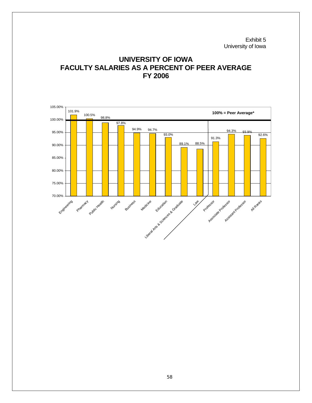Exhibit 5 University of Iowa

# **UNIVERSITY OF IOWA FACULTY SALARIES AS A PERCENT OF PEER AVERAGE FY 2006**

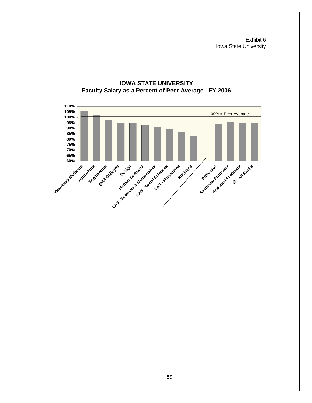Exhibit 6 Iowa State University



### **IOWA STATE UNIVERSITY Faculty Salary as a Percent of Peer Average - FY 2006**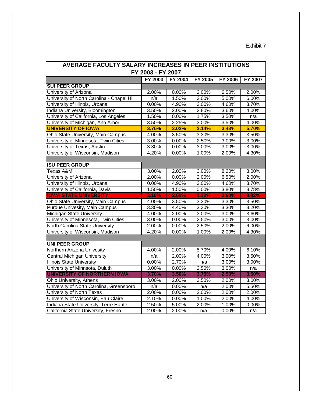# Exhibit 7

| AVERAGE FACULTY SALARY INCREASES IN PEER INSTITUTIONS |         |                |                |                |                |  |  |  |  |
|-------------------------------------------------------|---------|----------------|----------------|----------------|----------------|--|--|--|--|
| FY 2003 - FY 2007                                     |         |                |                |                |                |  |  |  |  |
|                                                       | FY 2003 | <b>FY 2004</b> | <b>FY 2005</b> | <b>FY 2006</b> | <b>FY 2007</b> |  |  |  |  |
| <b>SUI PEER GROUP</b>                                 |         |                |                |                |                |  |  |  |  |
| University of Arizona                                 | 2.00%   | 0.00%          | 2.00%          | 6.50%          | 2.00%          |  |  |  |  |
| University of North Carolina - Chapel Hill            | n/a     | 1.50%          | 3.00%          | 5.00%          | 6.00%          |  |  |  |  |
| University of Illinois, Urbana                        | 0.00%   | 4.90%          | 3.00%          | 4.60%          | 3.70%          |  |  |  |  |
| Indiana University, Bloomington                       | 3.50%   | 2.00%          | 2.80%          | 3.60%          | 4.00%          |  |  |  |  |
| University of California, Los Angeles                 | 1.50%   | 0.00%          | 1.75%          | 3.50%          | n/a            |  |  |  |  |
| University of Michigan, Ann Arbor                     | 3.50%   | 2.25%          | 3.00%          | 3.50%          | 4.00%          |  |  |  |  |
| <b>UNIVERSITY OF IOWA</b>                             | 3.76%   | 2.02%          | 2.14%          | 3.43%          | 5.70%          |  |  |  |  |
| Ohio State University, Main Campus                    | 4.00%   | 3.50%          | 3.30%          | 3.30%          | 3.50%          |  |  |  |  |
| University of Minnesota. Twin Cities                  | 3.00%   | 0.00%          | 2.50%          | 3.00%          | 3.00%          |  |  |  |  |
| University of Texas, Austin                           | 3.30%   | 0.00%          | 3.00%          | 3.00%          | 3.00%          |  |  |  |  |
| University of Wisconsin, Madison                      | 4.20%   | 0.00%          | 1.00%          | 2.00%          | 4.30%          |  |  |  |  |
|                                                       |         |                |                |                |                |  |  |  |  |
| <b>ISU PEER GROUP</b>                                 |         |                |                |                |                |  |  |  |  |
| Texas A&M                                             | 3.00%   | 2.00%          | 3.00%          | 8.20%          | 3.00%          |  |  |  |  |
| University of Arizona                                 | 2.00%   | 0.00%          | 2.00%          | 6.50%          | 2.00%          |  |  |  |  |
| University of Illinois, Urbana                        | 0.00%   | 4.90%          | 3.00%          | 4.60%          | 3.70%          |  |  |  |  |
| University of California, Davis                       | 1.50%   | 1.50%          | 0.00%          | 3.80%          | 3.78%          |  |  |  |  |
| <b>IOWA STATE UNIVERSITY</b>                          | 3.10%   | 2.60%          | 2.30%          | 3.60%          | 3.82%          |  |  |  |  |
| Ohio State University, Main Campus                    | 4.00%   | 3.50%          | 3.30%          | 3.30%          | 3.50%          |  |  |  |  |
| Purdue Univesity, Main Campus                         | 3.30%   | 4.40%          | 3.30%          | 3.30%          | 3.20%          |  |  |  |  |
| Michigan State University                             | 4.00%   | 2.00%          | 3.00%          | 3.00%          | 3.60%          |  |  |  |  |
| University of Minnesota, Twin Cities                  | 3.00%   | 0.00%          | 2.50%          | 3.00%          | 3.00%          |  |  |  |  |
| North Carolina State University                       | 2.00%   | 0.00%          | 2.50%          | 2.00%          | 6.00%          |  |  |  |  |
| University of Wisconsin, Madison                      | 4.20%   | 0.00%          | 1.00%          | 2.00%          | 4.30%          |  |  |  |  |
|                                                       |         |                |                |                |                |  |  |  |  |
| <b>UNI PEER GROUP</b>                                 |         |                |                |                |                |  |  |  |  |
| Northern Arizona Univesity                            | 4.00%   | 2.00%          | 5.70%          | 4.00%          | 6.10%          |  |  |  |  |
| <b>Central Michigan University</b>                    | n/a     | 2.00%          | 4.00%          | 3.00%          | 3.50%          |  |  |  |  |
| <b>Illinois State University</b>                      | 0.00%   | 2.70%          | n/a            | 3.00%          | 3.00%          |  |  |  |  |
| University of Minnsota, Duluth                        | 3.00%   | 0.00%          | 2.50%          | 3.00%          | n/a            |  |  |  |  |
| <b>UNIVERSITY OF NORTHERN IOWA</b>                    | 3.70%   | 3.50%          | 3.75%          | 2.50%          | 3.50%          |  |  |  |  |
| <b>Ohio University, Athens</b>                        | 3.00%   | 2.00%          | 3.50%          | 2.00%          | 3.00%          |  |  |  |  |
| University of North Carolina, Greensboro              | n/a     | 0.00%          | n/a            | 2.00%          | 5.50%          |  |  |  |  |
| University of North Texas                             | 2.00%   | 0.00%          | 2.00%          | 2.00%          | 2.00%          |  |  |  |  |
| University of Wisconsin, Eau Claire                   | 2.10%   | 0.00%          | 1.00%          | 2.00%          | 4.00%          |  |  |  |  |
| Indiana State University, Terre Haute                 | 2.50%   | 5.00%          | 2.00%          | 1.00%          | 0.00%          |  |  |  |  |
| California State University, Fresno                   | 2.00%   | 2.00%          | n/a            | 0.00%          | n/a            |  |  |  |  |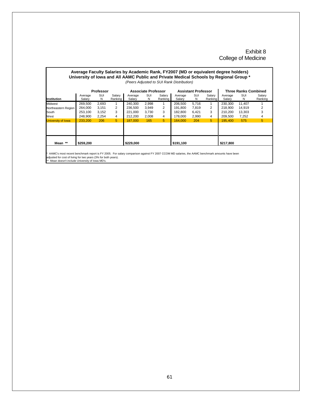#### Exhibit 8 College of Medicine

#### **Average Faculty Salaries by Academic Rank, FY2007 (MD or equivalent degree holders) University of Iowa and All AAMC Public and Private Medical Schools by Regional Group \*** *(Peers Adjusted to SUI Rank Distribution)*

|                     |                   | Professor |                   |                   | Associate Professor |                   |                   | <b>Assistant Professor</b> |                      |                   | <b>Three Ranks Combined</b> |                   |
|---------------------|-------------------|-----------|-------------------|-------------------|---------------------|-------------------|-------------------|----------------------------|----------------------|-------------------|-----------------------------|-------------------|
| Institution         | Average<br>Salary | SUI<br>N  | Salarv<br>Ranking | Average<br>Salary | SUI<br>N            | Salarv<br>Ranking | Average<br>Salary | SUI<br>N                   | Salarv<br>Ranking II | Average<br>Salary | SUI<br>N                    | Salary<br>Ranking |
| Midwest             | 269.500           | 2,693     |                   | 240.300           | 2,998               |                   | 206.500           | 5.716                      |                      | 230.300           | 11.407                      |                   |
| Northeastern Region | 264.000           | 3.151     | $\overline{2}$    | 236.500           | 3.949               | $\overline{2}$    | 191.800           | 7.819                      | $\overline{2}$       | 218,900           | 14.919                      |                   |
| South               | 253.100           | 3.152     | 3                 | 221.000           | 3.730               | 3                 | 182.800           | 6.421                      | 3                    | 210.200           | 13.303                      |                   |
| West                | 248.900           | 2.254     | 4                 | 212.200           | 2.008               | 4                 | 178.000           | 2.990                      | 4                    | 209.500           | 7.252                       | 4                 |
| University of Iowa  | 233.200           | 206       | 5                 | 187.000           | 165                 | 5                 | 164.000           | 204                        | 5                    | 195.400           | 575                         | 5                 |
|                     |                   |           |                   |                   |                     |                   |                   |                            |                      |                   |                             |                   |
| Mean **             | \$259.200         |           |                   | \$229.000         |                     |                   | \$191,100         |                            |                      | \$217,800         |                             |                   |

\* AAMC's most recent benchmark report is FY 2005. For salary comparison against FY 2007 CCOM MD salaries, the AAMC benchmark amounts have been

adjusted for cost of living for two years (3% for both years). \*\* Mean doesn't include University of Iowa MD's.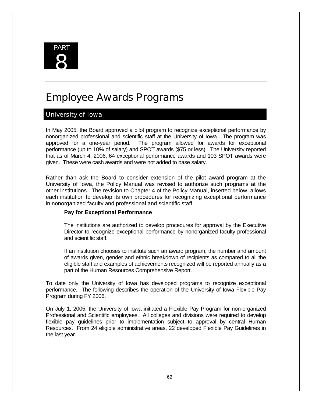

# Employee Awards Programs

# University of Iowa

In May 2005, the Board approved a pilot program to recognize exceptional performance by nonorganized professional and scientific staff at the University of Iowa. The program was approved for a one-year period. The program allowed for awards for exceptional performance (up to 10% of salary) and SPOT awards (\$75 or less). The University reported that as of March 4, 2006, 64 exceptional performance awards and 103 SPOT awards were given. These were cash awards and were not added to base salary.

Rather than ask the Board to consider extension of the pilot award program at the University of Iowa, the Policy Manual was revised to authorize such programs at the other institutions. The revision to Chapter 4 of the Policy Manual, inserted below, allows each institution to develop its own procedures for recognizing exceptional performance in nonorganized faculty and professional and scientific staff.

#### **Pay for Exceptional Performance**

The institutions are authorized to develop procedures for approval by the Executive Director to recognize exceptional performance by nonorganized faculty professional and scientific staff.

If an institution chooses to institute such an award program, the number and amount of awards given, gender and ethnic breakdown of recipients as compared to all the eligible staff and examples of achievements recognized will be reported annually as a part of the Human Resources Comprehensive Report.

To date only the University of Iowa has developed programs to recognize exceptional performance. The following describes the operation of the University of Iowa Flexible Pay Program during FY 2006.

On July 1, 2005, the University of Iowa initiated a Flexible Pay Program for non-organized Professional and Scientific employees. All colleges and divisions were required to develop flexible pay guidelines prior to implementation subject to approval by central Human Resources. From 24 eligible administrative areas, 22 developed Flexible Pay Guidelines in the last year.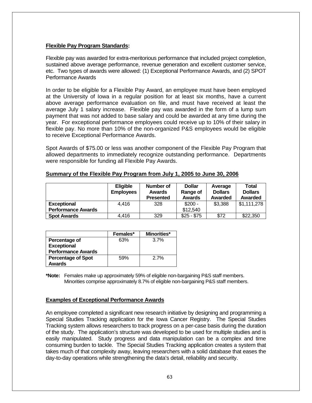#### **Flexible Pay Program Standards:**

Flexible pay was awarded for extra-meritorious performance that included project completion, sustained above average performance, revenue generation and excellent customer service, etc. Two types of awards were allowed: (1) Exceptional Performance Awards, and (2) SPOT Performance Awards

In order to be eligible for a Flexible Pay Award, an employee must have been employed at the University of Iowa in a regular position for at least six months, have a current above average performance evaluation on file, and must have received at least the average July 1 salary increase. Flexible pay was awarded in the form of a lump sum payment that was not added to base salary and could be awarded at any time during the year. For exceptional performance employees could receive up to 10% of their salary in flexible pay. No more than 10% of the non-organized P&S employees would be eligible to receive Exceptional Performance Awards.

Spot Awards of \$75.00 or less was another component of the Flexible Pay Program that allowed departments to immediately recognize outstanding performance. Departments were responsible for funding all Flexible Pay Awards.

|                           | <b>Eligible</b><br><b>Employees</b> | Number of<br><b>Awards</b><br><b>Presented</b> | <b>Dollar</b><br>Range of<br>Awards | Average<br><b>Dollars</b><br>Awarded | Total<br><b>Dollars</b><br>Awarded |
|---------------------------|-------------------------------------|------------------------------------------------|-------------------------------------|--------------------------------------|------------------------------------|
| <b>Exceptional</b>        | 4.416                               | 328                                            | $$200 -$                            | \$3,388                              | \$1,111,278                        |
| <b>Performance Awards</b> |                                     |                                                | \$12,540                            |                                      |                                    |
| <b>Spot Awards</b>        | 4.416                               | 329                                            | $$25 - $75$                         | \$72                                 | \$22,350                           |

#### **Summary of the Flexible Pay Program from July 1, 2005 to June 30, 2006**

|                           | Females* | Minorities* |
|---------------------------|----------|-------------|
| Percentage of             | 63%      | 3.7%        |
| <b>Exceptional</b>        |          |             |
| <b>Performance Awards</b> |          |             |
| <b>Percentage of Spot</b> | 59%      | 2.7%        |
| Awards                    |          |             |

**\*Note:** Females make up approximately 59% of eligible non-bargaining P&S staff members. Minorities comprise approximately 8.7% of eligible non-bargaining P&S staff members.

#### **Examples of Exceptional Performance Awards**

An employee completed a significant new research initiative by designing and programming a Special Studies Tracking application for the Iowa Cancer Registry. The Special Studies Tracking system allows researchers to track progress on a per-case basis during the duration of the study. The application's structure was developed to be used for multiple studies and is easily manipulated. Study progress and data manipulation can be a complex and time consuming burden to tackle. The Special Studies Tracking application creates a system that takes much of that complexity away, leaving researchers with a solid database that eases the day-to-day operations while strengthening the data's detail, reliability and security.